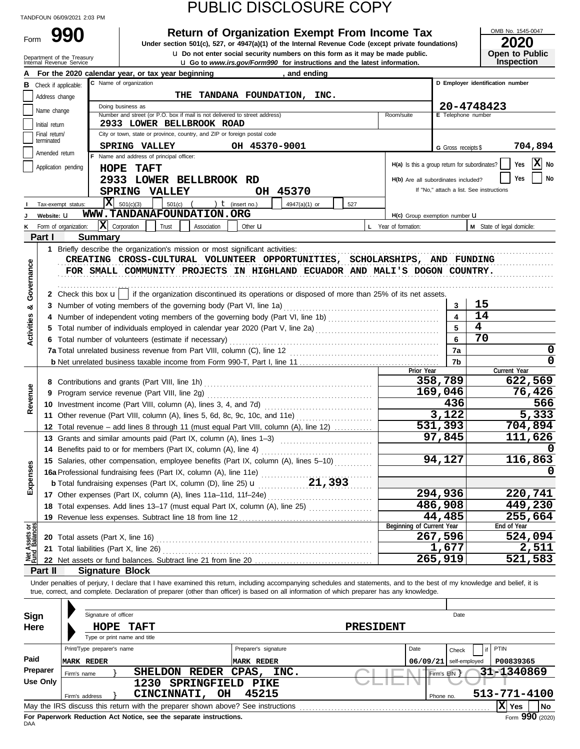Form 990

Department of the

### PUBLIC DISCLOSURE COPY

**990 200 2010 2020 2020 2020 Depend on Exempt From Income Tax 2020 2020** 

**u** Go to *www.irs.gov/Form990* for instructions and the latest information. **u** Do not enter social security numbers on this form as it may be made public.

OMB No. 1545-0047 **Open to Public<br>Inspection** 

| Department of the ricasury<br>Internal Revenue Service |  |  |
|--------------------------------------------------------|--|--|
|                                                        |  |  |

|                                |                       | For the 2020 calendar year, or tax year beginning                                                                                                                          | and ending                                 |                                               |                          |                                          |  |  |  |  |  |  |  |  |  |
|--------------------------------|-----------------------|----------------------------------------------------------------------------------------------------------------------------------------------------------------------------|--------------------------------------------|-----------------------------------------------|--------------------------|------------------------------------------|--|--|--|--|--|--|--|--|--|
| в                              | Check if applicable:  | C Name of organization                                                                                                                                                     |                                            |                                               |                          | D Employer identification number         |  |  |  |  |  |  |  |  |  |
|                                | Address change        |                                                                                                                                                                            | THE TANDANA FOUNDATION, INC.               |                                               |                          |                                          |  |  |  |  |  |  |  |  |  |
|                                |                       | Doing business as                                                                                                                                                          |                                            |                                               |                          | 20-4748423                               |  |  |  |  |  |  |  |  |  |
|                                | Name change           | Number and street (or P.O. box if mail is not delivered to street address)                                                                                                 |                                            | Room/suite                                    | E Telephone number       |                                          |  |  |  |  |  |  |  |  |  |
|                                | Initial return        | 2933 LOWER BELLBROOK ROAD                                                                                                                                                  |                                            |                                               |                          |                                          |  |  |  |  |  |  |  |  |  |
|                                | Final return/         | City or town, state or province, country, and ZIP or foreign postal code                                                                                                   |                                            |                                               |                          |                                          |  |  |  |  |  |  |  |  |  |
|                                | terminated            | SPRING VALLEY                                                                                                                                                              | OH 45370-9001                              |                                               | G Gross receipts \$      | 704,894                                  |  |  |  |  |  |  |  |  |  |
|                                | Amended return        | F Name and address of principal officer:                                                                                                                                   |                                            |                                               |                          |                                          |  |  |  |  |  |  |  |  |  |
|                                | Application pending   | HOPE TAFT                                                                                                                                                                  |                                            | H(a) Is this a group return for subordinates? |                          | X No<br>Yes                              |  |  |  |  |  |  |  |  |  |
|                                |                       | 2933 LOWER BELLBROOK RD                                                                                                                                                    |                                            | H(b) Are all subordinates included?           |                          | No<br>Yes                                |  |  |  |  |  |  |  |  |  |
|                                |                       |                                                                                                                                                                            |                                            |                                               |                          | If "No," attach a list. See instructions |  |  |  |  |  |  |  |  |  |
|                                |                       | SPRING VALLEY                                                                                                                                                              | OH 45370                                   |                                               |                          |                                          |  |  |  |  |  |  |  |  |  |
|                                | Tax-exempt status:    | $\overline{\mathbf{X}}$ 501(c)(3)<br>$501(c)$ (                                                                                                                            | ) $t$ (insert no.)<br>4947(a)(1) or<br>527 |                                               |                          |                                          |  |  |  |  |  |  |  |  |  |
|                                | Website: U            | WWW.TANDANAFOUNDATION.ORG                                                                                                                                                  |                                            | $H(c)$ Group exemption number $U$             |                          |                                          |  |  |  |  |  |  |  |  |  |
|                                | Form of organization: | $ \mathbf{X} $ Corporation<br>Trust<br>Association                                                                                                                         | Other $\mathbf u$                          | L Year of formation:                          |                          | M State of legal domicile:               |  |  |  |  |  |  |  |  |  |
|                                | Part I                | <b>Summary</b>                                                                                                                                                             |                                            |                                               |                          |                                          |  |  |  |  |  |  |  |  |  |
|                                |                       | 1 Briefly describe the organization's mission or most significant activities:                                                                                              |                                            |                                               |                          |                                          |  |  |  |  |  |  |  |  |  |
|                                |                       | CREATING CROSS-CULTURAL VOLUNTEER OPPORTUNITIES, SCHOLARSHIPS, AND FUNDING                                                                                                 |                                            |                                               |                          |                                          |  |  |  |  |  |  |  |  |  |
|                                |                       | FOR SMALL COMMUNITY PROJECTS IN HIGHLAND ECUADOR AND MALI'S DOGON COUNTRY.                                                                                                 |                                            |                                               |                          |                                          |  |  |  |  |  |  |  |  |  |
|                                |                       |                                                                                                                                                                            |                                            |                                               |                          |                                          |  |  |  |  |  |  |  |  |  |
| Governance                     |                       | 2 Check this box $\mathbf{u}$   if the organization discontinued its operations or disposed of more than 25% of its net assets.                                            |                                            |                                               |                          |                                          |  |  |  |  |  |  |  |  |  |
|                                |                       |                                                                                                                                                                            |                                            |                                               |                          | 15                                       |  |  |  |  |  |  |  |  |  |
| ೲ                              |                       | 3 Number of voting members of the governing body (Part VI, line 1a)                                                                                                        |                                            |                                               | 3                        |                                          |  |  |  |  |  |  |  |  |  |
|                                |                       | 4 Number of independent voting members of the governing body (Part VI, line 1b) [11] [11] Number of independent voting members of the governing body (Part VI, line 1b)    |                                            |                                               | $\overline{\mathbf{4}}$  | 14                                       |  |  |  |  |  |  |  |  |  |
| Activities                     |                       |                                                                                                                                                                            |                                            |                                               | 5                        | 4                                        |  |  |  |  |  |  |  |  |  |
|                                |                       | 6 Total number of volunteers (estimate if necessary)                                                                                                                       |                                            |                                               | 6                        | 70                                       |  |  |  |  |  |  |  |  |  |
|                                |                       | 7a Total unrelated business revenue from Part VIII, column (C), line 12                                                                                                    |                                            |                                               | 7a                       | 0                                        |  |  |  |  |  |  |  |  |  |
|                                |                       |                                                                                                                                                                            |                                            |                                               | 7b                       | 0                                        |  |  |  |  |  |  |  |  |  |
|                                |                       |                                                                                                                                                                            |                                            | Prior Year                                    |                          | Current Year                             |  |  |  |  |  |  |  |  |  |
|                                |                       |                                                                                                                                                                            |                                            |                                               | 358,789                  | 622,569                                  |  |  |  |  |  |  |  |  |  |
| Revenue                        |                       | 9 Program service revenue (Part VIII, line 2g)                                                                                                                             |                                            |                                               | 169,046                  | 76,426                                   |  |  |  |  |  |  |  |  |  |
|                                |                       |                                                                                                                                                                            |                                            |                                               | 436                      | 566                                      |  |  |  |  |  |  |  |  |  |
|                                |                       | 11 Other revenue (Part VIII, column (A), lines 5, 6d, 8c, 9c, 10c, and 11e)                                                                                                |                                            | 3,122                                         | 5,333                    |                                          |  |  |  |  |  |  |  |  |  |
|                                |                       | 12 Total revenue - add lines 8 through 11 (must equal Part VIII, column (A), line 12)                                                                                      |                                            |                                               | 531,393                  | 704,894                                  |  |  |  |  |  |  |  |  |  |
|                                |                       | 13 Grants and similar amounts paid (Part IX, column (A), lines 1-3)                                                                                                        |                                            |                                               | 97,845                   | 111,626                                  |  |  |  |  |  |  |  |  |  |
|                                |                       |                                                                                                                                                                            |                                            |                                               |                          |                                          |  |  |  |  |  |  |  |  |  |
|                                |                       | 15 Salaries, other compensation, employee benefits (Part IX, column (A), lines 5-10)                                                                                       |                                            |                                               | 94,127                   | 116,863                                  |  |  |  |  |  |  |  |  |  |
|                                |                       |                                                                                                                                                                            |                                            |                                               |                          |                                          |  |  |  |  |  |  |  |  |  |
| xpenses                        |                       |                                                                                                                                                                            |                                            |                                               |                          |                                          |  |  |  |  |  |  |  |  |  |
|                                |                       | <b>b</b> Total fundraising expenses (Part IX, column (D), line 25) $\mathbf{u}$                                                                                            |                                            |                                               |                          |                                          |  |  |  |  |  |  |  |  |  |
|                                |                       | 17 Other expenses (Part IX, column (A), lines 11a-11d, 11f-24e)                                                                                                            |                                            |                                               | 294,936                  | 220,741                                  |  |  |  |  |  |  |  |  |  |
|                                |                       | 18 Total expenses. Add lines 13-17 (must equal Part IX, column (A), line 25) [                                                                                             |                                            |                                               | 486,908                  | 449,230                                  |  |  |  |  |  |  |  |  |  |
|                                |                       | 19 Revenue less expenses. Subtract line 18 from line 12                                                                                                                    |                                            |                                               | 44,485                   | 255,664                                  |  |  |  |  |  |  |  |  |  |
|                                |                       |                                                                                                                                                                            |                                            | Beginning of Current Year                     |                          | End of Year                              |  |  |  |  |  |  |  |  |  |
| Net Assets or<br>Fund Balances |                       | 20 Total assets (Part X, line 16)                                                                                                                                          |                                            |                                               | 267,596                  | 524,094                                  |  |  |  |  |  |  |  |  |  |
|                                |                       | 21 Total liabilities (Part X, line 26)                                                                                                                                     |                                            |                                               | 1,677                    | 2,511                                    |  |  |  |  |  |  |  |  |  |
|                                |                       | 22 Net assets or fund balances. Subtract line 21 from line 20                                                                                                              |                                            |                                               | 265,919                  | 521,583                                  |  |  |  |  |  |  |  |  |  |
|                                | Part II               | <b>Signature Block</b>                                                                                                                                                     |                                            |                                               |                          |                                          |  |  |  |  |  |  |  |  |  |
|                                |                       | Under penalties of perjury, I declare that I have examined this return, including accompanying schedules and statements, and to the best of my knowledge and belief, it is |                                            |                                               |                          |                                          |  |  |  |  |  |  |  |  |  |
|                                |                       | true, correct, and complete. Declaration of preparer (other than officer) is based on all information of which preparer has any knowledge.                                 |                                            |                                               |                          |                                          |  |  |  |  |  |  |  |  |  |
|                                |                       |                                                                                                                                                                            |                                            |                                               |                          |                                          |  |  |  |  |  |  |  |  |  |
| <b>Sign</b>                    |                       | Signature of officer                                                                                                                                                       |                                            |                                               | Date                     |                                          |  |  |  |  |  |  |  |  |  |
| Here                           |                       | HOPE<br><b>TAFT</b>                                                                                                                                                        | <b>PRESIDENT</b>                           |                                               |                          |                                          |  |  |  |  |  |  |  |  |  |
|                                |                       | Type or print name and title                                                                                                                                               |                                            |                                               |                          |                                          |  |  |  |  |  |  |  |  |  |
|                                |                       | Print/Type preparer's name                                                                                                                                                 | Preparer's signature                       | Date                                          |                          | PTIN                                     |  |  |  |  |  |  |  |  |  |
| Paid                           |                       |                                                                                                                                                                            |                                            |                                               | Check                    |                                          |  |  |  |  |  |  |  |  |  |
|                                |                       | <b>MARK REDER</b>                                                                                                                                                          | <b>MARK REDER</b>                          |                                               | $06/09/21$ self-employed | P00839365                                |  |  |  |  |  |  |  |  |  |
|                                | Preparer              | SHELDON REDER<br>Firm's name                                                                                                                                               | CPAS,<br>INC.                              |                                               | Firm's EIN }             | 31-1340869                               |  |  |  |  |  |  |  |  |  |
|                                | <b>Use Only</b>       | 1230 SPRINGFIELD PIKE                                                                                                                                                      |                                            |                                               |                          |                                          |  |  |  |  |  |  |  |  |  |
|                                |                       | CINCINNATI, OH<br>Firm's address                                                                                                                                           | 45215                                      |                                               | Phone no.                | 513-771-4100                             |  |  |  |  |  |  |  |  |  |
|                                |                       |                                                                                                                                                                            |                                            |                                               |                          | $ \mathbf{X} $ Yes<br><b>No</b>          |  |  |  |  |  |  |  |  |  |

| Sign     | Signature of officer                                                                                 |                                                                       | Date                 |                  |            |               |              |  |  |  |  |
|----------|------------------------------------------------------------------------------------------------------|-----------------------------------------------------------------------|----------------------|------------------|------------|---------------|--------------|--|--|--|--|
| Here     | HOPE                                                                                                 | <b>TAFT</b>                                                           |                      | <b>PRESIDENT</b> |            |               |              |  |  |  |  |
|          |                                                                                                      | Type or print name and title                                          |                      |                  |            |               |              |  |  |  |  |
|          | Print/Type preparer's name                                                                           |                                                                       | Preparer's signature |                  | Date       | Check         | PTIN         |  |  |  |  |
| Paid     | <b>MARK REDER</b>                                                                                    |                                                                       | MARK REDER           |                  | 06/09/21   | self-employed | P00839365    |  |  |  |  |
| Preparer | Firm's name                                                                                          | REDER CPAS,<br><b>SHELDON</b>                                         | INC.                 |                  | Firm's EIN |               | 31-1340869   |  |  |  |  |
| Use Only |                                                                                                      | <b>SPRINGFIELD</b><br>1230                                            | <b>PIKE</b>          |                  |            |               |              |  |  |  |  |
|          | Firm's address                                                                                       | CINCINNATI,<br>OH                                                     | 45215                |                  | Phone no.  |               | 513-771-4100 |  |  |  |  |
|          | xl<br>May the IRS discuss this return with the preparer shown above? See instructions<br>  No<br>Yes |                                                                       |                      |                  |            |               |              |  |  |  |  |
|          |                                                                                                      | For Bonanceal, Badrietton, Ant Notton, and the accounts instrumitions |                      |                  |            |               | nnn.         |  |  |  |  |

**For**<br>DAA **For Paperwork Reduction Act Notice, see the separate instructions.**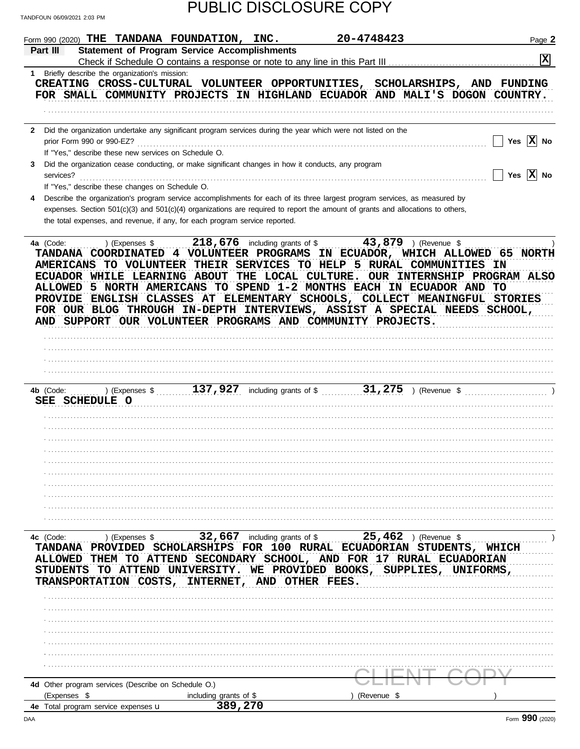| Check if Schedule O contains a response or note to any line in this Part III<br>1 Briefly describe the organization's mission:<br>CREATING CROSS-CULTURAL VOLUNTEER OPPORTUNITIES, SCHOLARSHIPS, AND FUNDING<br>FOR SMALL COMMUNITY PROJECTS IN HIGHLAND ECUADOR AND MALI'S DOGON COUNTRY.<br>Did the organization undertake any significant program services during the year which were not listed on the<br>$\mathbf{2}$<br>prior Form 990 or 990-EZ?<br>If "Yes," describe these new services on Schedule O.<br>Did the organization cease conducting, or make significant changes in how it conducts, any program<br>3<br>Yes $ X $ No<br>services?<br>If "Yes," describe these changes on Schedule O.<br>Describe the organization's program service accomplishments for each of its three largest program services, as measured by<br>4<br>expenses. Section 501(c)(3) and 501(c)(4) organizations are required to report the amount of grants and allocations to others,<br>the total expenses, and revenue, if any, for each program service reported.<br>218,676 including grants of $$$<br>43,879 ) (Revenue \$<br>) (Expenses \$<br>4a (Code:<br>TANDANA COORDINATED 4 VOLUNTEER PROGRAMS IN ECUADOR, WHICH ALLOWED 65 NORTH<br>AMERICANS TO VOLUNTEER THEIR SERVICES TO HELP 5 RURAL COMMUNITIES IN<br>THE LOCAL CULTURE.<br>OUR INTERNSHIP PROGRAM ALSO<br>ECUADOR WHILE LEARNING ABOUT<br>5 NORTH AMERICANS TO SPEND 1-2 MONTHS EACH IN ECUADOR AND TO<br><b>ALLOWED</b><br>ENGLISH CLASSES AT ELEMENTARY SCHOOLS, COLLECT MEANINGFUL STORIES<br><b>PROVIDE</b><br>FOR OUR BLOG THROUGH IN-DEPTH INTERVIEWS, ASSIST A SPECIAL NEEDS SCHOOL,<br>AND SUPPORT OUR VOLUNTEER PROGRAMS AND COMMUNITY PROJECTS.<br>31,275<br>137,927<br>including grants of \$<br>) (Revenue \$<br>4b (Code:<br>) (Expenses \$<br>SEE SCHEDULE O<br>25,462<br>32,667<br>including grants of \$<br>) (Revenue \$<br>4c (Code:<br>) (Expenses \$<br><b>FOR</b><br>100 RURAL ECUADORIAN STUDENTS,<br><b>SCHOLARSHIPS</b><br><b>TANDANA</b><br><b>PROVIDED</b><br><b>WHICH</b><br>ATTEND SECONDARY SCHOOL, AND FOR 17 RURAL ECUADORIAN<br><b>ALLOWED</b><br>TО<br>THEM<br>PROVIDED BOOKS,<br><b>ATTEND</b><br><b>UNIVERSITY.</b><br><b>SUPPLIES</b><br>STUDENTS<br>TO.<br>WE.<br>UNIFORMS<br>COSTS,<br>AND OTHER FEES.<br><b>TRANSPORTATION</b><br>TUTEKNET.<br>4d Other program services (Describe on Schedule O.)<br>(Expenses \$<br>(Revenue \$<br>including grants of \$<br>389,270 | Part III | Form 990 (2020) THE TANDANA FOUNDATION, INC.<br><b>Statement of Program Service Accomplishments</b> | 20-4748423 | Page 2       |
|-----------------------------------------------------------------------------------------------------------------------------------------------------------------------------------------------------------------------------------------------------------------------------------------------------------------------------------------------------------------------------------------------------------------------------------------------------------------------------------------------------------------------------------------------------------------------------------------------------------------------------------------------------------------------------------------------------------------------------------------------------------------------------------------------------------------------------------------------------------------------------------------------------------------------------------------------------------------------------------------------------------------------------------------------------------------------------------------------------------------------------------------------------------------------------------------------------------------------------------------------------------------------------------------------------------------------------------------------------------------------------------------------------------------------------------------------------------------------------------------------------------------------------------------------------------------------------------------------------------------------------------------------------------------------------------------------------------------------------------------------------------------------------------------------------------------------------------------------------------------------------------------------------------------------------------------------------------------------------------------------------------------------------------------------------------------------------------------------------------------------------------------------------------------------------------------------------------------------------------------------------------------------------------------------------------------------------------------------------------------------------------------------------------------------------------------------------------------------------|----------|-----------------------------------------------------------------------------------------------------|------------|--------------|
|                                                                                                                                                                                                                                                                                                                                                                                                                                                                                                                                                                                                                                                                                                                                                                                                                                                                                                                                                                                                                                                                                                                                                                                                                                                                                                                                                                                                                                                                                                                                                                                                                                                                                                                                                                                                                                                                                                                                                                                                                                                                                                                                                                                                                                                                                                                                                                                                                                                                             |          |                                                                                                     |            | X            |
|                                                                                                                                                                                                                                                                                                                                                                                                                                                                                                                                                                                                                                                                                                                                                                                                                                                                                                                                                                                                                                                                                                                                                                                                                                                                                                                                                                                                                                                                                                                                                                                                                                                                                                                                                                                                                                                                                                                                                                                                                                                                                                                                                                                                                                                                                                                                                                                                                                                                             |          |                                                                                                     |            |              |
|                                                                                                                                                                                                                                                                                                                                                                                                                                                                                                                                                                                                                                                                                                                                                                                                                                                                                                                                                                                                                                                                                                                                                                                                                                                                                                                                                                                                                                                                                                                                                                                                                                                                                                                                                                                                                                                                                                                                                                                                                                                                                                                                                                                                                                                                                                                                                                                                                                                                             |          |                                                                                                     |            |              |
|                                                                                                                                                                                                                                                                                                                                                                                                                                                                                                                                                                                                                                                                                                                                                                                                                                                                                                                                                                                                                                                                                                                                                                                                                                                                                                                                                                                                                                                                                                                                                                                                                                                                                                                                                                                                                                                                                                                                                                                                                                                                                                                                                                                                                                                                                                                                                                                                                                                                             |          |                                                                                                     |            |              |
|                                                                                                                                                                                                                                                                                                                                                                                                                                                                                                                                                                                                                                                                                                                                                                                                                                                                                                                                                                                                                                                                                                                                                                                                                                                                                                                                                                                                                                                                                                                                                                                                                                                                                                                                                                                                                                                                                                                                                                                                                                                                                                                                                                                                                                                                                                                                                                                                                                                                             |          |                                                                                                     |            |              |
|                                                                                                                                                                                                                                                                                                                                                                                                                                                                                                                                                                                                                                                                                                                                                                                                                                                                                                                                                                                                                                                                                                                                                                                                                                                                                                                                                                                                                                                                                                                                                                                                                                                                                                                                                                                                                                                                                                                                                                                                                                                                                                                                                                                                                                                                                                                                                                                                                                                                             |          |                                                                                                     |            |              |
|                                                                                                                                                                                                                                                                                                                                                                                                                                                                                                                                                                                                                                                                                                                                                                                                                                                                                                                                                                                                                                                                                                                                                                                                                                                                                                                                                                                                                                                                                                                                                                                                                                                                                                                                                                                                                                                                                                                                                                                                                                                                                                                                                                                                                                                                                                                                                                                                                                                                             |          |                                                                                                     |            | Yes $ X $ No |
|                                                                                                                                                                                                                                                                                                                                                                                                                                                                                                                                                                                                                                                                                                                                                                                                                                                                                                                                                                                                                                                                                                                                                                                                                                                                                                                                                                                                                                                                                                                                                                                                                                                                                                                                                                                                                                                                                                                                                                                                                                                                                                                                                                                                                                                                                                                                                                                                                                                                             |          |                                                                                                     |            |              |
|                                                                                                                                                                                                                                                                                                                                                                                                                                                                                                                                                                                                                                                                                                                                                                                                                                                                                                                                                                                                                                                                                                                                                                                                                                                                                                                                                                                                                                                                                                                                                                                                                                                                                                                                                                                                                                                                                                                                                                                                                                                                                                                                                                                                                                                                                                                                                                                                                                                                             |          |                                                                                                     |            |              |
|                                                                                                                                                                                                                                                                                                                                                                                                                                                                                                                                                                                                                                                                                                                                                                                                                                                                                                                                                                                                                                                                                                                                                                                                                                                                                                                                                                                                                                                                                                                                                                                                                                                                                                                                                                                                                                                                                                                                                                                                                                                                                                                                                                                                                                                                                                                                                                                                                                                                             |          |                                                                                                     |            |              |
|                                                                                                                                                                                                                                                                                                                                                                                                                                                                                                                                                                                                                                                                                                                                                                                                                                                                                                                                                                                                                                                                                                                                                                                                                                                                                                                                                                                                                                                                                                                                                                                                                                                                                                                                                                                                                                                                                                                                                                                                                                                                                                                                                                                                                                                                                                                                                                                                                                                                             |          |                                                                                                     |            |              |
|                                                                                                                                                                                                                                                                                                                                                                                                                                                                                                                                                                                                                                                                                                                                                                                                                                                                                                                                                                                                                                                                                                                                                                                                                                                                                                                                                                                                                                                                                                                                                                                                                                                                                                                                                                                                                                                                                                                                                                                                                                                                                                                                                                                                                                                                                                                                                                                                                                                                             |          |                                                                                                     |            |              |
|                                                                                                                                                                                                                                                                                                                                                                                                                                                                                                                                                                                                                                                                                                                                                                                                                                                                                                                                                                                                                                                                                                                                                                                                                                                                                                                                                                                                                                                                                                                                                                                                                                                                                                                                                                                                                                                                                                                                                                                                                                                                                                                                                                                                                                                                                                                                                                                                                                                                             |          |                                                                                                     |            |              |
|                                                                                                                                                                                                                                                                                                                                                                                                                                                                                                                                                                                                                                                                                                                                                                                                                                                                                                                                                                                                                                                                                                                                                                                                                                                                                                                                                                                                                                                                                                                                                                                                                                                                                                                                                                                                                                                                                                                                                                                                                                                                                                                                                                                                                                                                                                                                                                                                                                                                             |          |                                                                                                     |            |              |
|                                                                                                                                                                                                                                                                                                                                                                                                                                                                                                                                                                                                                                                                                                                                                                                                                                                                                                                                                                                                                                                                                                                                                                                                                                                                                                                                                                                                                                                                                                                                                                                                                                                                                                                                                                                                                                                                                                                                                                                                                                                                                                                                                                                                                                                                                                                                                                                                                                                                             |          |                                                                                                     |            |              |
|                                                                                                                                                                                                                                                                                                                                                                                                                                                                                                                                                                                                                                                                                                                                                                                                                                                                                                                                                                                                                                                                                                                                                                                                                                                                                                                                                                                                                                                                                                                                                                                                                                                                                                                                                                                                                                                                                                                                                                                                                                                                                                                                                                                                                                                                                                                                                                                                                                                                             |          |                                                                                                     |            |              |
|                                                                                                                                                                                                                                                                                                                                                                                                                                                                                                                                                                                                                                                                                                                                                                                                                                                                                                                                                                                                                                                                                                                                                                                                                                                                                                                                                                                                                                                                                                                                                                                                                                                                                                                                                                                                                                                                                                                                                                                                                                                                                                                                                                                                                                                                                                                                                                                                                                                                             |          |                                                                                                     |            |              |
|                                                                                                                                                                                                                                                                                                                                                                                                                                                                                                                                                                                                                                                                                                                                                                                                                                                                                                                                                                                                                                                                                                                                                                                                                                                                                                                                                                                                                                                                                                                                                                                                                                                                                                                                                                                                                                                                                                                                                                                                                                                                                                                                                                                                                                                                                                                                                                                                                                                                             |          |                                                                                                     |            |              |
|                                                                                                                                                                                                                                                                                                                                                                                                                                                                                                                                                                                                                                                                                                                                                                                                                                                                                                                                                                                                                                                                                                                                                                                                                                                                                                                                                                                                                                                                                                                                                                                                                                                                                                                                                                                                                                                                                                                                                                                                                                                                                                                                                                                                                                                                                                                                                                                                                                                                             |          |                                                                                                     |            |              |
|                                                                                                                                                                                                                                                                                                                                                                                                                                                                                                                                                                                                                                                                                                                                                                                                                                                                                                                                                                                                                                                                                                                                                                                                                                                                                                                                                                                                                                                                                                                                                                                                                                                                                                                                                                                                                                                                                                                                                                                                                                                                                                                                                                                                                                                                                                                                                                                                                                                                             |          |                                                                                                     |            |              |
|                                                                                                                                                                                                                                                                                                                                                                                                                                                                                                                                                                                                                                                                                                                                                                                                                                                                                                                                                                                                                                                                                                                                                                                                                                                                                                                                                                                                                                                                                                                                                                                                                                                                                                                                                                                                                                                                                                                                                                                                                                                                                                                                                                                                                                                                                                                                                                                                                                                                             |          |                                                                                                     |            |              |
|                                                                                                                                                                                                                                                                                                                                                                                                                                                                                                                                                                                                                                                                                                                                                                                                                                                                                                                                                                                                                                                                                                                                                                                                                                                                                                                                                                                                                                                                                                                                                                                                                                                                                                                                                                                                                                                                                                                                                                                                                                                                                                                                                                                                                                                                                                                                                                                                                                                                             |          |                                                                                                     |            |              |
|                                                                                                                                                                                                                                                                                                                                                                                                                                                                                                                                                                                                                                                                                                                                                                                                                                                                                                                                                                                                                                                                                                                                                                                                                                                                                                                                                                                                                                                                                                                                                                                                                                                                                                                                                                                                                                                                                                                                                                                                                                                                                                                                                                                                                                                                                                                                                                                                                                                                             |          |                                                                                                     |            |              |
|                                                                                                                                                                                                                                                                                                                                                                                                                                                                                                                                                                                                                                                                                                                                                                                                                                                                                                                                                                                                                                                                                                                                                                                                                                                                                                                                                                                                                                                                                                                                                                                                                                                                                                                                                                                                                                                                                                                                                                                                                                                                                                                                                                                                                                                                                                                                                                                                                                                                             |          |                                                                                                     |            |              |
|                                                                                                                                                                                                                                                                                                                                                                                                                                                                                                                                                                                                                                                                                                                                                                                                                                                                                                                                                                                                                                                                                                                                                                                                                                                                                                                                                                                                                                                                                                                                                                                                                                                                                                                                                                                                                                                                                                                                                                                                                                                                                                                                                                                                                                                                                                                                                                                                                                                                             |          |                                                                                                     |            |              |
|                                                                                                                                                                                                                                                                                                                                                                                                                                                                                                                                                                                                                                                                                                                                                                                                                                                                                                                                                                                                                                                                                                                                                                                                                                                                                                                                                                                                                                                                                                                                                                                                                                                                                                                                                                                                                                                                                                                                                                                                                                                                                                                                                                                                                                                                                                                                                                                                                                                                             |          |                                                                                                     |            |              |
|                                                                                                                                                                                                                                                                                                                                                                                                                                                                                                                                                                                                                                                                                                                                                                                                                                                                                                                                                                                                                                                                                                                                                                                                                                                                                                                                                                                                                                                                                                                                                                                                                                                                                                                                                                                                                                                                                                                                                                                                                                                                                                                                                                                                                                                                                                                                                                                                                                                                             |          |                                                                                                     |            |              |
|                                                                                                                                                                                                                                                                                                                                                                                                                                                                                                                                                                                                                                                                                                                                                                                                                                                                                                                                                                                                                                                                                                                                                                                                                                                                                                                                                                                                                                                                                                                                                                                                                                                                                                                                                                                                                                                                                                                                                                                                                                                                                                                                                                                                                                                                                                                                                                                                                                                                             |          |                                                                                                     |            |              |
|                                                                                                                                                                                                                                                                                                                                                                                                                                                                                                                                                                                                                                                                                                                                                                                                                                                                                                                                                                                                                                                                                                                                                                                                                                                                                                                                                                                                                                                                                                                                                                                                                                                                                                                                                                                                                                                                                                                                                                                                                                                                                                                                                                                                                                                                                                                                                                                                                                                                             |          |                                                                                                     |            |              |
|                                                                                                                                                                                                                                                                                                                                                                                                                                                                                                                                                                                                                                                                                                                                                                                                                                                                                                                                                                                                                                                                                                                                                                                                                                                                                                                                                                                                                                                                                                                                                                                                                                                                                                                                                                                                                                                                                                                                                                                                                                                                                                                                                                                                                                                                                                                                                                                                                                                                             |          |                                                                                                     |            |              |
|                                                                                                                                                                                                                                                                                                                                                                                                                                                                                                                                                                                                                                                                                                                                                                                                                                                                                                                                                                                                                                                                                                                                                                                                                                                                                                                                                                                                                                                                                                                                                                                                                                                                                                                                                                                                                                                                                                                                                                                                                                                                                                                                                                                                                                                                                                                                                                                                                                                                             |          |                                                                                                     |            |              |
|                                                                                                                                                                                                                                                                                                                                                                                                                                                                                                                                                                                                                                                                                                                                                                                                                                                                                                                                                                                                                                                                                                                                                                                                                                                                                                                                                                                                                                                                                                                                                                                                                                                                                                                                                                                                                                                                                                                                                                                                                                                                                                                                                                                                                                                                                                                                                                                                                                                                             |          |                                                                                                     |            |              |
|                                                                                                                                                                                                                                                                                                                                                                                                                                                                                                                                                                                                                                                                                                                                                                                                                                                                                                                                                                                                                                                                                                                                                                                                                                                                                                                                                                                                                                                                                                                                                                                                                                                                                                                                                                                                                                                                                                                                                                                                                                                                                                                                                                                                                                                                                                                                                                                                                                                                             |          |                                                                                                     |            |              |
|                                                                                                                                                                                                                                                                                                                                                                                                                                                                                                                                                                                                                                                                                                                                                                                                                                                                                                                                                                                                                                                                                                                                                                                                                                                                                                                                                                                                                                                                                                                                                                                                                                                                                                                                                                                                                                                                                                                                                                                                                                                                                                                                                                                                                                                                                                                                                                                                                                                                             |          |                                                                                                     |            |              |
|                                                                                                                                                                                                                                                                                                                                                                                                                                                                                                                                                                                                                                                                                                                                                                                                                                                                                                                                                                                                                                                                                                                                                                                                                                                                                                                                                                                                                                                                                                                                                                                                                                                                                                                                                                                                                                                                                                                                                                                                                                                                                                                                                                                                                                                                                                                                                                                                                                                                             |          |                                                                                                     |            |              |
|                                                                                                                                                                                                                                                                                                                                                                                                                                                                                                                                                                                                                                                                                                                                                                                                                                                                                                                                                                                                                                                                                                                                                                                                                                                                                                                                                                                                                                                                                                                                                                                                                                                                                                                                                                                                                                                                                                                                                                                                                                                                                                                                                                                                                                                                                                                                                                                                                                                                             |          |                                                                                                     |            |              |
|                                                                                                                                                                                                                                                                                                                                                                                                                                                                                                                                                                                                                                                                                                                                                                                                                                                                                                                                                                                                                                                                                                                                                                                                                                                                                                                                                                                                                                                                                                                                                                                                                                                                                                                                                                                                                                                                                                                                                                                                                                                                                                                                                                                                                                                                                                                                                                                                                                                                             |          |                                                                                                     |            |              |
|                                                                                                                                                                                                                                                                                                                                                                                                                                                                                                                                                                                                                                                                                                                                                                                                                                                                                                                                                                                                                                                                                                                                                                                                                                                                                                                                                                                                                                                                                                                                                                                                                                                                                                                                                                                                                                                                                                                                                                                                                                                                                                                                                                                                                                                                                                                                                                                                                                                                             |          |                                                                                                     |            |              |
|                                                                                                                                                                                                                                                                                                                                                                                                                                                                                                                                                                                                                                                                                                                                                                                                                                                                                                                                                                                                                                                                                                                                                                                                                                                                                                                                                                                                                                                                                                                                                                                                                                                                                                                                                                                                                                                                                                                                                                                                                                                                                                                                                                                                                                                                                                                                                                                                                                                                             |          |                                                                                                     |            |              |
|                                                                                                                                                                                                                                                                                                                                                                                                                                                                                                                                                                                                                                                                                                                                                                                                                                                                                                                                                                                                                                                                                                                                                                                                                                                                                                                                                                                                                                                                                                                                                                                                                                                                                                                                                                                                                                                                                                                                                                                                                                                                                                                                                                                                                                                                                                                                                                                                                                                                             |          |                                                                                                     |            |              |
|                                                                                                                                                                                                                                                                                                                                                                                                                                                                                                                                                                                                                                                                                                                                                                                                                                                                                                                                                                                                                                                                                                                                                                                                                                                                                                                                                                                                                                                                                                                                                                                                                                                                                                                                                                                                                                                                                                                                                                                                                                                                                                                                                                                                                                                                                                                                                                                                                                                                             |          |                                                                                                     |            |              |
|                                                                                                                                                                                                                                                                                                                                                                                                                                                                                                                                                                                                                                                                                                                                                                                                                                                                                                                                                                                                                                                                                                                                                                                                                                                                                                                                                                                                                                                                                                                                                                                                                                                                                                                                                                                                                                                                                                                                                                                                                                                                                                                                                                                                                                                                                                                                                                                                                                                                             |          |                                                                                                     |            |              |
|                                                                                                                                                                                                                                                                                                                                                                                                                                                                                                                                                                                                                                                                                                                                                                                                                                                                                                                                                                                                                                                                                                                                                                                                                                                                                                                                                                                                                                                                                                                                                                                                                                                                                                                                                                                                                                                                                                                                                                                                                                                                                                                                                                                                                                                                                                                                                                                                                                                                             |          |                                                                                                     |            |              |
|                                                                                                                                                                                                                                                                                                                                                                                                                                                                                                                                                                                                                                                                                                                                                                                                                                                                                                                                                                                                                                                                                                                                                                                                                                                                                                                                                                                                                                                                                                                                                                                                                                                                                                                                                                                                                                                                                                                                                                                                                                                                                                                                                                                                                                                                                                                                                                                                                                                                             |          |                                                                                                     |            |              |
|                                                                                                                                                                                                                                                                                                                                                                                                                                                                                                                                                                                                                                                                                                                                                                                                                                                                                                                                                                                                                                                                                                                                                                                                                                                                                                                                                                                                                                                                                                                                                                                                                                                                                                                                                                                                                                                                                                                                                                                                                                                                                                                                                                                                                                                                                                                                                                                                                                                                             |          |                                                                                                     |            |              |
|                                                                                                                                                                                                                                                                                                                                                                                                                                                                                                                                                                                                                                                                                                                                                                                                                                                                                                                                                                                                                                                                                                                                                                                                                                                                                                                                                                                                                                                                                                                                                                                                                                                                                                                                                                                                                                                                                                                                                                                                                                                                                                                                                                                                                                                                                                                                                                                                                                                                             |          |                                                                                                     |            |              |
|                                                                                                                                                                                                                                                                                                                                                                                                                                                                                                                                                                                                                                                                                                                                                                                                                                                                                                                                                                                                                                                                                                                                                                                                                                                                                                                                                                                                                                                                                                                                                                                                                                                                                                                                                                                                                                                                                                                                                                                                                                                                                                                                                                                                                                                                                                                                                                                                                                                                             |          |                                                                                                     |            | ההה          |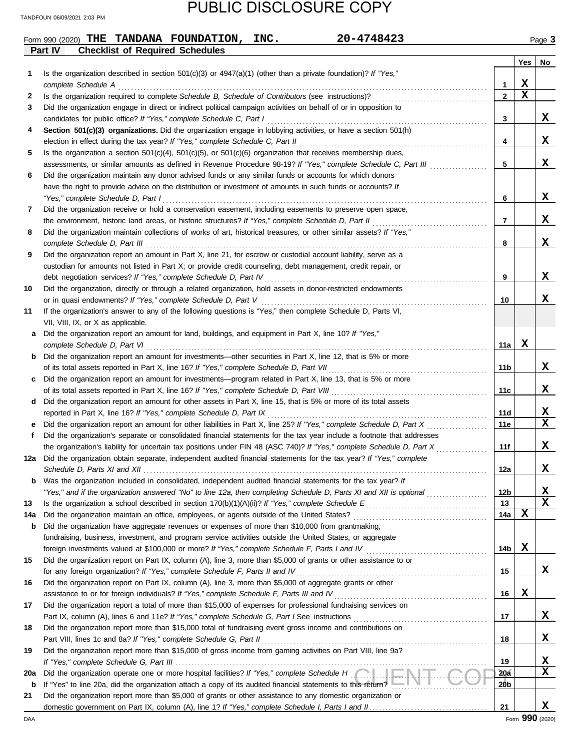|             | 20-4748423<br>Form 990 (2020) THE TANDANA FOUNDATION,<br>INC.                                                                                                                                                                                    |                   |             | Page 3            |
|-------------|--------------------------------------------------------------------------------------------------------------------------------------------------------------------------------------------------------------------------------------------------|-------------------|-------------|-------------------|
|             | Part IV<br><b>Checklist of Required Schedules</b>                                                                                                                                                                                                |                   |             |                   |
|             |                                                                                                                                                                                                                                                  |                   | Yes         | No                |
| 1           | Is the organization described in section 501(c)(3) or $4947(a)(1)$ (other than a private foundation)? If "Yes,"                                                                                                                                  |                   | х           |                   |
| 2           | complete Schedule A                                                                                                                                                                                                                              | 1<br>$\mathbf{2}$ | $\mathbf x$ |                   |
| 3           | Did the organization engage in direct or indirect political campaign activities on behalf of or in opposition to                                                                                                                                 |                   |             |                   |
|             | candidates for public office? If "Yes," complete Schedule C, Part I                                                                                                                                                                              | 3                 |             | x                 |
| 4           | Section 501(c)(3) organizations. Did the organization engage in lobbying activities, or have a section 501(h)                                                                                                                                    |                   |             |                   |
|             | election in effect during the tax year? If "Yes," complete Schedule C, Part II                                                                                                                                                                   | 4                 |             | x                 |
| 5           | Is the organization a section $501(c)(4)$ , $501(c)(5)$ , or $501(c)(6)$ organization that receives membership dues,                                                                                                                             |                   |             |                   |
|             | assessments, or similar amounts as defined in Revenue Procedure 98-19? If "Yes," complete Schedule C, Part III                                                                                                                                   | 5                 |             | X                 |
| 6           | Did the organization maintain any donor advised funds or any similar funds or accounts for which donors                                                                                                                                          |                   |             |                   |
|             | have the right to provide advice on the distribution or investment of amounts in such funds or accounts? If                                                                                                                                      |                   |             |                   |
|             | "Yes," complete Schedule D, Part I                                                                                                                                                                                                               | 6                 |             | X                 |
| 7           | Did the organization receive or hold a conservation easement, including easements to preserve open space,                                                                                                                                        |                   |             |                   |
|             | the environment, historic land areas, or historic structures? If "Yes," complete Schedule D, Part II                                                                                                                                             | 7                 |             | x                 |
| 8           | Did the organization maintain collections of works of art, historical treasures, or other similar assets? If "Yes,"                                                                                                                              |                   |             |                   |
|             | complete Schedule D, Part III<br>Did the organization report an amount in Part X, line 21, for escrow or custodial account liability, serve as a                                                                                                 | 8                 |             | X                 |
| 9           |                                                                                                                                                                                                                                                  |                   |             |                   |
|             | custodian for amounts not listed in Part X; or provide credit counseling, debt management, credit repair, or<br>debt negotiation services? If "Yes," complete Schedule D, Part IV                                                                | 9                 |             | X                 |
| 10          | Did the organization, directly or through a related organization, hold assets in donor-restricted endowments                                                                                                                                     |                   |             |                   |
|             | or in quasi endowments? If "Yes," complete Schedule D, Part V                                                                                                                                                                                    | 10                |             | x                 |
| 11          | If the organization's answer to any of the following questions is "Yes," then complete Schedule D, Parts VI,                                                                                                                                     |                   |             |                   |
|             | VII, VIII, IX, or X as applicable.                                                                                                                                                                                                               |                   |             |                   |
| а           | Did the organization report an amount for land, buildings, and equipment in Part X, line 10? If "Yes,"                                                                                                                                           |                   |             |                   |
|             | complete Schedule D, Part VI                                                                                                                                                                                                                     | 11a               | X           |                   |
| b           | Did the organization report an amount for investments—other securities in Part X, line 12, that is 5% or more                                                                                                                                    |                   |             |                   |
|             | of its total assets reported in Part X, line 16? If "Yes," complete Schedule D, Part VII                                                                                                                                                         | 11b               |             | X.                |
|             | Did the organization report an amount for investments—program related in Part X, line 13, that is 5% or more                                                                                                                                     |                   |             |                   |
|             | of its total assets reported in Part X, line 16? If "Yes," complete Schedule D, Part VIII                                                                                                                                                        | 11c               |             | x                 |
| d           | Did the organization report an amount for other assets in Part X, line 15, that is 5% or more of its total assets                                                                                                                                |                   |             |                   |
|             | reported in Part X, line 16? If "Yes," complete Schedule D, Part IX                                                                                                                                                                              | 11d               |             | X,<br>$\mathbf x$ |
| е<br>f      | Did the organization report an amount for other liabilities in Part X, line 25? If "Yes," complete Schedule D, Part X<br>Did the organization's separate or consolidated financial statements for the tax year include a footnote that addresses | 11e               |             |                   |
|             | the organization's liability for uncertain tax positions under FIN 48 (ASC 740)? If "Yes," complete Schedule D, Part X                                                                                                                           | 11f               |             | x                 |
|             | Did the organization obtain separate, independent audited financial statements for the tax year? If "Yes," complete                                                                                                                              |                   |             |                   |
|             |                                                                                                                                                                                                                                                  | 12a               |             | X                 |
| b           | Was the organization included in consolidated, independent audited financial statements for the tax year? If                                                                                                                                     |                   |             |                   |
|             | "Yes," and if the organization answered "No" to line 12a, then completing Schedule D, Parts XI and XII is optional                                                                                                                               | 12b               |             | X                 |
| 13          |                                                                                                                                                                                                                                                  | 13                |             | x                 |
| 14a         |                                                                                                                                                                                                                                                  | 14a               | x           |                   |
| b           | Did the organization have aggregate revenues or expenses of more than \$10,000 from grantmaking,                                                                                                                                                 |                   |             |                   |
|             | fundraising, business, investment, and program service activities outside the United States, or aggregate                                                                                                                                        |                   |             |                   |
|             | foreign investments valued at \$100,000 or more? If "Yes," complete Schedule F, Parts I and IV [[[[[[[[[[[[[[[                                                                                                                                   | 14b               | x           |                   |
| 15          | Did the organization report on Part IX, column (A), line 3, more than \$5,000 of grants or other assistance to or                                                                                                                                |                   |             |                   |
|             | for any foreign organization? If "Yes," complete Schedule F, Parts II and IV                                                                                                                                                                     | 15                |             | X.                |
| 16          | Did the organization report on Part IX, column (A), line 3, more than \$5,000 of aggregate grants or other                                                                                                                                       |                   | x           |                   |
|             | assistance to or for foreign individuals? If "Yes," complete Schedule F, Parts III and IV [[[[[[[[[[[[[[[[[[[<br>Did the organization report a total of more than \$15,000 of expenses for professional fundraising services on                  | 16                |             |                   |
| 17          |                                                                                                                                                                                                                                                  | 17                |             | X.                |
| 18          | Did the organization report more than \$15,000 total of fundraising event gross income and contributions on                                                                                                                                      |                   |             |                   |
|             |                                                                                                                                                                                                                                                  | 18                |             | x                 |
| 19          | Did the organization report more than \$15,000 of gross income from gaming activities on Part VIII, line 9a?                                                                                                                                     |                   |             |                   |
|             |                                                                                                                                                                                                                                                  | 19                |             | x                 |
| 20a         | Did the organization operate one or more hospital facilities? If "Yes," complete Schedule H [Cull LENTELL                                                                                                                                        | 20a               |             | X                 |
| $\mathbf b$ | If "Yes" to line 20a, did the organization attach a copy of its audited financial statements to this return?                                                                                                                                     | 20b               |             |                   |
| 21          | Did the organization report more than \$5,000 of grants or other assistance to any domestic organization or                                                                                                                                      |                   |             |                   |
|             |                                                                                                                                                                                                                                                  | 21                |             | x                 |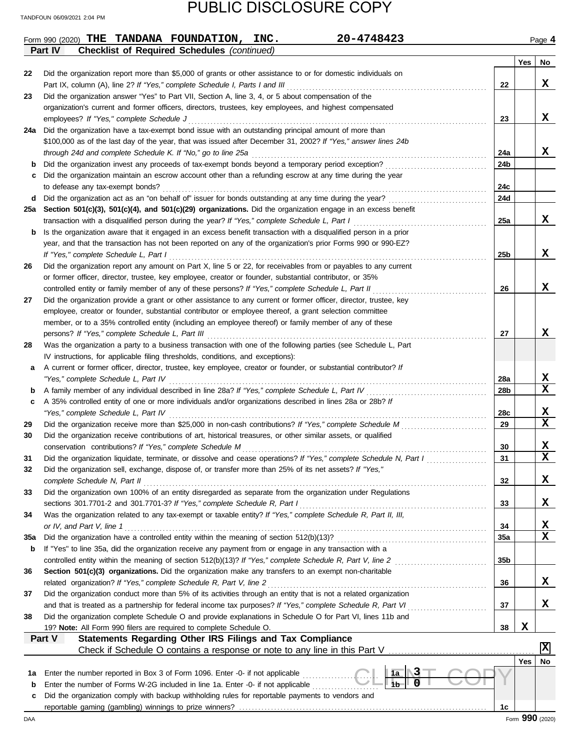|     | 20-4748423<br>Form 990 (2020) THE TANDANA FOUNDATION, INC.                                                                                                        |                 |     | Page 4                  |
|-----|-------------------------------------------------------------------------------------------------------------------------------------------------------------------|-----------------|-----|-------------------------|
|     | Part IV<br><b>Checklist of Required Schedules (continued)</b>                                                                                                     |                 |     |                         |
|     |                                                                                                                                                                   |                 | Yes | No                      |
| 22  | Did the organization report more than \$5,000 of grants or other assistance to or for domestic individuals on                                                     |                 |     |                         |
|     | Part IX, column (A), line 2? If "Yes," complete Schedule I, Parts I and III                                                                                       | 22              |     | X.                      |
| 23  | Did the organization answer "Yes" to Part VII, Section A, line 3, 4, or 5 about compensation of the                                                               |                 |     |                         |
|     | organization's current and former officers, directors, trustees, key employees, and highest compensated                                                           |                 |     |                         |
|     | employees? If "Yes," complete Schedule J                                                                                                                          | 23              |     | X.                      |
| 24a | Did the organization have a tax-exempt bond issue with an outstanding principal amount of more than                                                               |                 |     |                         |
|     | \$100,000 as of the last day of the year, that was issued after December 31, 2002? If "Yes," answer lines 24b                                                     |                 |     |                         |
|     | through 24d and complete Schedule K. If "No," go to line 25a<br>Did the organization invest any proceeds of tax-exempt bonds beyond a temporary period exception? | 24a             |     | X.                      |
| b   | Did the organization maintain an escrow account other than a refunding escrow at any time during the year                                                         | 24b             |     |                         |
| c   | to defease any tax-exempt bonds?                                                                                                                                  | 24c             |     |                         |
| d   | Did the organization act as an "on behalf of" issuer for bonds outstanding at any time during the year?                                                           | <b>24d</b>      |     |                         |
| 25a | Section 501(c)(3), 501(c)(4), and 501(c)(29) organizations. Did the organization engage in an excess benefit                                                      |                 |     |                         |
|     | transaction with a disqualified person during the year? If "Yes," complete Schedule L, Part I                                                                     | 25a             |     | X                       |
| b   | Is the organization aware that it engaged in an excess benefit transaction with a disqualified person in a prior                                                  |                 |     |                         |
|     | year, and that the transaction has not been reported on any of the organization's prior Forms 990 or 990-EZ?                                                      |                 |     |                         |
|     |                                                                                                                                                                   | 25b             |     | x                       |
| 26  | Did the organization report any amount on Part X, line 5 or 22, for receivables from or payables to any current                                                   |                 |     |                         |
|     | or former officer, director, trustee, key employee, creator or founder, substantial contributor, or 35%                                                           |                 |     |                         |
|     | controlled entity or family member of any of these persons? If "Yes," complete Schedule L, Part II                                                                | 26              |     | X                       |
| 27  | Did the organization provide a grant or other assistance to any current or former officer, director, trustee, key                                                 |                 |     |                         |
|     | employee, creator or founder, substantial contributor or employee thereof, a grant selection committee                                                            |                 |     |                         |
|     | member, or to a 35% controlled entity (including an employee thereof) or family member of any of these                                                            |                 |     |                         |
|     | persons? If "Yes," complete Schedule L, Part III                                                                                                                  | 27              |     | X                       |
| 28  | Was the organization a party to a business transaction with one of the following parties (see Schedule L, Part                                                    |                 |     |                         |
|     | IV instructions, for applicable filing thresholds, conditions, and exceptions):                                                                                   |                 |     |                         |
| a   | A current or former officer, director, trustee, key employee, creator or founder, or substantial contributor? If                                                  |                 |     |                         |
|     |                                                                                                                                                                   | 28a             |     | X                       |
| b   | A family member of any individual described in line 28a? If "Yes," complete Schedule L, Part IV [[[[[[[[[[[[[                                                     | 28 <sub>b</sub> |     | $\mathbf x$             |
| c   | A 35% controlled entity of one or more individuals and/or organizations described in lines 28a or 28b? If                                                         |                 |     |                         |
|     |                                                                                                                                                                   | 28c             |     | х                       |
| 29  | Did the organization receive more than \$25,000 in non-cash contributions? If "Yes," complete Schedule M                                                          | 29              |     | $\overline{\mathbf{x}}$ |
| 30  | Did the organization receive contributions of art, historical treasures, or other similar assets, or qualified                                                    |                 |     |                         |
|     | conservation contributions? If "Yes," complete Schedule M                                                                                                         | 30              |     | X                       |
| 31  | Did the organization liquidate, terminate, or dissolve and cease operations? If "Yes," complete Schedule N, Part I                                                | 31              |     | X                       |
| 32  | Did the organization sell, exchange, dispose of, or transfer more than 25% of its net assets? If "Yes,"                                                           |                 |     |                         |
|     |                                                                                                                                                                   | 32              |     | X                       |
| 33  | Did the organization own 100% of an entity disregarded as separate from the organization under Regulations                                                        |                 |     |                         |
|     |                                                                                                                                                                   | 33              |     | х                       |
| 34  | Was the organization related to any tax-exempt or taxable entity? If "Yes," complete Schedule R, Part II, III,                                                    | 34              |     | X                       |
| 35a | or IV, and Part V, line 1                                                                                                                                         | <b>35a</b>      |     | X                       |
| b   | If "Yes" to line 35a, did the organization receive any payment from or engage in any transaction with a                                                           |                 |     |                         |
|     |                                                                                                                                                                   | 35b             |     |                         |
| 36  | Section 501(c)(3) organizations. Did the organization make any transfers to an exempt non-charitable                                                              |                 |     |                         |
|     | related organization? If "Yes," complete Schedule R, Part V, line 2                                                                                               | 36              |     | x                       |
| 37  | Did the organization conduct more than 5% of its activities through an entity that is not a related organization                                                  |                 |     |                         |
|     |                                                                                                                                                                   | 37              |     | X                       |
| 38  | Did the organization complete Schedule O and provide explanations in Schedule O for Part VI, lines 11b and                                                        |                 |     |                         |
|     | 19? Note: All Form 990 filers are required to complete Schedule O.                                                                                                | 38              | X   |                         |
|     | Statements Regarding Other IRS Filings and Tax Compliance<br>Part V                                                                                               |                 |     |                         |
|     |                                                                                                                                                                   |                 |     | $ \mathbf{x} $          |
|     |                                                                                                                                                                   |                 | Yes | No                      |
| 1а  | 1a   <br>Enter the number reported in Box 3 of Form 1096. Enter -0- if not applicable                                                                             |                 |     |                         |
| b   | $\mathbf{O}$<br>l 1b<br>Enter the number of Forms W-2G included in line 1a. Enter -0- if not applicable                                                           |                 |     |                         |
| c   | Did the organization comply with backup withholding rules for reportable payments to vendors and                                                                  |                 |     |                         |
|     |                                                                                                                                                                   | 1c              |     |                         |
| DAA |                                                                                                                                                                   |                 |     | Form 990 (2020)         |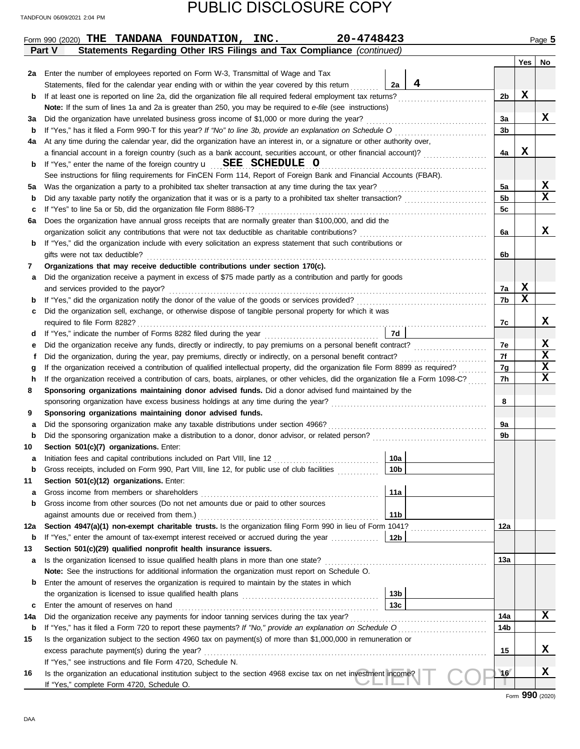|        | 20-4748423<br>Form 990 (2020) THE TANDANA FOUNDATION, INC.                                                                                                                                                                                       |                 |                |     | Page 5      |
|--------|--------------------------------------------------------------------------------------------------------------------------------------------------------------------------------------------------------------------------------------------------|-----------------|----------------|-----|-------------|
|        | Statements Regarding Other IRS Filings and Tax Compliance (continued)<br>Part V                                                                                                                                                                  |                 |                |     |             |
|        |                                                                                                                                                                                                                                                  |                 |                | Yes | No          |
| 2a     | Enter the number of employees reported on Form W-3, Transmittal of Wage and Tax                                                                                                                                                                  |                 |                |     |             |
|        | Statements, filed for the calendar year ending with or within the year covered by this return                                                                                                                                                    | 4<br>2a         |                |     |             |
| b      | If at least one is reported on line 2a, did the organization file all required federal employment tax returns?                                                                                                                                   |                 | 2b             | X   |             |
|        | Note: If the sum of lines 1a and 2a is greater than 250, you may be required to e-file (see instructions)                                                                                                                                        |                 |                |     |             |
| за     | Did the organization have unrelated business gross income of \$1,000 or more during the year?                                                                                                                                                    |                 | 3a             |     | X           |
| b      | If "Yes," has it filed a Form 990-T for this year? If "No" to line 3b, provide an explanation on Schedule O                                                                                                                                      |                 | 3b             |     |             |
| 4a     | At any time during the calendar year, did the organization have an interest in, or a signature or other authority over,                                                                                                                          |                 |                |     |             |
|        | a financial account in a foreign country (such as a bank account, securities account, or other financial account)?                                                                                                                               |                 | 4a             | X   |             |
| b      | If "Yes," enter the name of the foreign country $\mathbf{u}$ SEE SCHEDULE O                                                                                                                                                                      |                 |                |     |             |
|        | See instructions for filing requirements for FinCEN Form 114, Report of Foreign Bank and Financial Accounts (FBAR).                                                                                                                              |                 |                |     |             |
| 5а     | Was the organization a party to a prohibited tax shelter transaction at any time during the tax year?                                                                                                                                            |                 | 5a             |     | х<br>x      |
| b      |                                                                                                                                                                                                                                                  |                 | 5 <sub>b</sub> |     |             |
| c      | If "Yes" to line 5a or 5b, did the organization file Form 8886-T?                                                                                                                                                                                |                 | 5c             |     |             |
| 6а     | Does the organization have annual gross receipts that are normally greater than \$100,000, and did the                                                                                                                                           |                 |                |     |             |
|        | organization solicit any contributions that were not tax deductible as charitable contributions?                                                                                                                                                 |                 | 6a             |     | x           |
| b      | If "Yes," did the organization include with every solicitation an express statement that such contributions or                                                                                                                                   |                 |                |     |             |
|        | gifts were not tax deductible?                                                                                                                                                                                                                   |                 | 6b             |     |             |
| 7      | Organizations that may receive deductible contributions under section 170(c).                                                                                                                                                                    |                 |                |     |             |
| а      | Did the organization receive a payment in excess of \$75 made partly as a contribution and partly for goods                                                                                                                                      |                 |                | X   |             |
|        | and services provided to the payor?                                                                                                                                                                                                              |                 | 7a             | X   |             |
| b      |                                                                                                                                                                                                                                                  |                 | 7b             |     |             |
| c      | Did the organization sell, exchange, or otherwise dispose of tangible personal property for which it was                                                                                                                                         |                 |                |     | X           |
|        |                                                                                                                                                                                                                                                  |                 | 7c             |     |             |
| d      |                                                                                                                                                                                                                                                  | 7d              | 7e             |     | X           |
| е      | Did the organization receive any funds, directly or indirectly, to pay premiums on a personal benefit contract?                                                                                                                                  |                 | 7f             |     | $\mathbf x$ |
| f      | Did the organization, during the year, pay premiums, directly or indirectly, on a personal benefit contract?<br>If the organization received a contribution of qualified intellectual property, did the organization file Form 8899 as required? |                 |                |     | X           |
| g      | If the organization received a contribution of cars, boats, airplanes, or other vehicles, did the organization file a Form 1098-C?                                                                                                               |                 | 7g             |     | $\mathbf x$ |
| h<br>8 | Sponsoring organizations maintaining donor advised funds. Did a donor advised fund maintained by the                                                                                                                                             |                 | 7h             |     |             |
|        | sponsoring organization have excess business holdings at any time during the year?                                                                                                                                                               |                 | 8              |     |             |
| 9      | Sponsoring organizations maintaining donor advised funds.                                                                                                                                                                                        |                 |                |     |             |
| а      | Did the sponsoring organization make any taxable distributions under section 4966?                                                                                                                                                               |                 | 9a             |     |             |
| b      |                                                                                                                                                                                                                                                  |                 | 9b             |     |             |
| 10     | Section 501(c)(7) organizations. Enter:                                                                                                                                                                                                          |                 |                |     |             |
|        | Initiation fees and capital contributions included on Part VIII, line 12                                                                                                                                                                         | <u>_10a</u>     |                |     |             |
| b      | Gross receipts, included on Form 990, Part VIII, line 12, for public use of club facilities                                                                                                                                                      | 10 <sub>b</sub> |                |     |             |
| 11     | Section 501(c)(12) organizations. Enter:                                                                                                                                                                                                         |                 |                |     |             |
| а      | Gross income from members or shareholders                                                                                                                                                                                                        | 11a             |                |     |             |
| b      | Gross income from other sources (Do not net amounts due or paid to other sources                                                                                                                                                                 |                 |                |     |             |
|        | against amounts due or received from them.)                                                                                                                                                                                                      | 11 <sub>b</sub> |                |     |             |
| 12a    | Section 4947(a)(1) non-exempt charitable trusts. Is the organization filing Form 990 in lieu of Form 1041?                                                                                                                                       |                 | 12a            |     |             |
| b      | If "Yes," enter the amount of tax-exempt interest received or accrued during the year                                                                                                                                                            | 12b             |                |     |             |
| 13     | Section 501(c)(29) qualified nonprofit health insurance issuers.                                                                                                                                                                                 |                 |                |     |             |
| а      | Is the organization licensed to issue qualified health plans in more than one state?                                                                                                                                                             |                 | 13а            |     |             |
|        | Note: See the instructions for additional information the organization must report on Schedule O.                                                                                                                                                |                 |                |     |             |
| b      | Enter the amount of reserves the organization is required to maintain by the states in which                                                                                                                                                     |                 |                |     |             |
|        |                                                                                                                                                                                                                                                  | 13 <sub>b</sub> |                |     |             |
| с      | Enter the amount of reserves on hand                                                                                                                                                                                                             | 13 <sub>c</sub> |                |     |             |
| 14a    | Did the organization receive any payments for indoor tanning services during the tax year?                                                                                                                                                       |                 | 14a            |     | x           |
| b      |                                                                                                                                                                                                                                                  |                 | 14b            |     |             |
| 15     | Is the organization subject to the section 4960 tax on payment(s) of more than \$1,000,000 in remuneration or                                                                                                                                    |                 |                |     |             |
|        | excess parachute payment(s) during the year?                                                                                                                                                                                                     |                 | 15             |     | x           |
|        | If "Yes," see instructions and file Form 4720, Schedule N.                                                                                                                                                                                       |                 |                |     |             |
| 16     | Is the organization an educational institution subject to the section 4968 excise tax on net investment income?                                                                                                                                  |                 | 16             |     | X           |
|        | If "Yes," complete Form 4720, Schedule O.                                                                                                                                                                                                        |                 |                |     |             |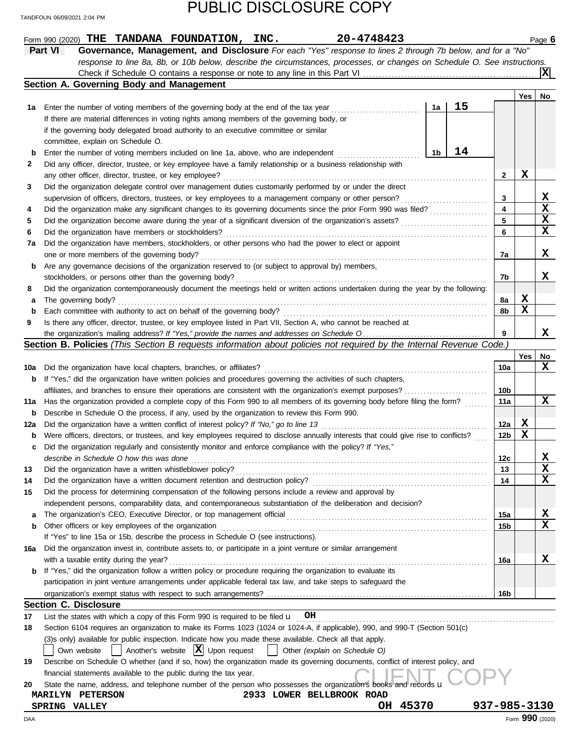|     | 20-4748423<br>Form 990 (2020) THE TANDANA FOUNDATION, INC.                                                                          |                 |     | Page 6          |
|-----|-------------------------------------------------------------------------------------------------------------------------------------|-----------------|-----|-----------------|
|     | Part VI<br>Governance, Management, and Disclosure For each "Yes" response to lines 2 through 7b below, and for a "No"               |                 |     |                 |
|     | response to line 8a, 8b, or 10b below, describe the circumstances, processes, or changes on Schedule O. See instructions.           |                 |     |                 |
|     |                                                                                                                                     |                 |     | ΙXΙ             |
|     | Section A. Governing Body and Management                                                                                            |                 |     |                 |
|     |                                                                                                                                     |                 | Yes | No              |
| 1а  | 15<br>1a<br>Enter the number of voting members of the governing body at the end of the tax year                                     |                 |     |                 |
|     | If there are material differences in voting rights among members of the governing body, or                                          |                 |     |                 |
|     | if the governing body delegated broad authority to an executive committee or similar                                                |                 |     |                 |
|     | committee, explain on Schedule O.                                                                                                   |                 |     |                 |
|     | 14                                                                                                                                  |                 |     |                 |
| b   | 1b<br>Enter the number of voting members included on line 1a, above, who are independent                                            |                 |     |                 |
| 2   | Did any officer, director, trustee, or key employee have a family relationship or a business relationship with                      |                 |     |                 |
|     | any other officer, director, trustee, or key employee?                                                                              | 2               | X   |                 |
| 3   | Did the organization delegate control over management duties customarily performed by or under the direct                           |                 |     |                 |
|     | supervision of officers, directors, trustees, or key employees to a management company or other person?                             | 3               |     | X               |
| 4   | Did the organization make any significant changes to its governing documents since the prior Form 990 was filed?                    | 4               |     | X               |
| 5   | Did the organization become aware during the year of a significant diversion of the organization's assets?                          | 5               |     | X               |
| 6   | Did the organization have members or stockholders?                                                                                  | 6               |     | X               |
| 7a  | Did the organization have members, stockholders, or other persons who had the power to elect or appoint                             |                 |     |                 |
|     | one or more members of the governing body?                                                                                          | 7a              |     | X               |
| b   | Are any governance decisions of the organization reserved to (or subject to approval by) members,                                   |                 |     |                 |
|     | stockholders, or persons other than the governing body?                                                                             | 7b              |     | x               |
| 8   | Did the organization contemporaneously document the meetings held or written actions undertaken during the year by the following:   |                 |     |                 |
| а   | The governing body?                                                                                                                 | 8а              | x   |                 |
| b   | Each committee with authority to act on behalf of the governing body?                                                               | 8b              | х   |                 |
| 9   | Is there any officer, director, trustee, or key employee listed in Part VII, Section A, who cannot be reached at                    |                 |     |                 |
|     |                                                                                                                                     | 9               |     | x               |
|     | <b>Section B. Policies</b> (This Section B requests information about policies not required by the Internal Revenue Code.)          |                 |     |                 |
|     |                                                                                                                                     |                 | Yes | No              |
| 10a | Did the organization have local chapters, branches, or affiliates?                                                                  | 10a             |     | X               |
|     |                                                                                                                                     |                 |     |                 |
| b   | If "Yes," did the organization have written policies and procedures governing the activities of such chapters,                      |                 |     |                 |
|     | affiliates, and branches to ensure their operations are consistent with the organization's exempt purposes?                         | 10b             |     |                 |
| 11a | Has the organization provided a complete copy of this Form 990 to all members of its governing body before filing the form?         | 11a             |     | X               |
| b   | Describe in Schedule O the process, if any, used by the organization to review this Form 990.                                       |                 |     |                 |
| 12a | Did the organization have a written conflict of interest policy? If "No," go to line 13                                             | 12a             | X   |                 |
| b   | Were officers, directors, or trustees, and key employees required to disclose annually interests that could give rise to conflicts? | 12 <sub>b</sub> | х   |                 |
| c   | Did the organization regularly and consistently monitor and enforce compliance with the policy? If "Yes,"                           |                 |     |                 |
|     | describe in Schedule O how this was done                                                                                            | 12c             |     |                 |
| 13  | Did the organization have a written whistleblower policy?                                                                           | 13              |     | $\mathbf x$     |
| 14  | Did the organization have a written document retention and destruction policy?                                                      | 14              |     | X               |
| 15  | Did the process for determining compensation of the following persons include a review and approval by                              |                 |     |                 |
|     | independent persons, comparability data, and contemporaneous substantiation of the deliberation and decision?                       |                 |     |                 |
| a   |                                                                                                                                     | 15a             |     | X               |
| b   | Other officers or key employees of the organization                                                                                 | 15b             |     | x               |
|     | If "Yes" to line 15a or 15b, describe the process in Schedule O (see instructions).                                                 |                 |     |                 |
| 16a | Did the organization invest in, contribute assets to, or participate in a joint venture or similar arrangement                      |                 |     |                 |
|     | with a taxable entity during the year?                                                                                              | 16a             |     | X.              |
| b   | If "Yes," did the organization follow a written policy or procedure requiring the organization to evaluate its                      |                 |     |                 |
|     | participation in joint venture arrangements under applicable federal tax law, and take steps to safeguard the                       |                 |     |                 |
|     |                                                                                                                                     |                 |     |                 |
|     | <b>Section C. Disclosure</b>                                                                                                        | 16 <sub>b</sub> |     |                 |
|     |                                                                                                                                     |                 |     |                 |
| 17  | List the states with which a copy of this Form 990 is required to be filed $\mathbf{u}$ OH                                          |                 |     |                 |
| 18  | Section 6104 requires an organization to make its Forms 1023 (1024 or 1024-A, if applicable), 990, and 990-T (Section 501(c)        |                 |     |                 |
|     | (3)s only) available for public inspection. Indicate how you made these available. Check all that apply.                            |                 |     |                 |
|     | Another's website $ \mathbf{X} $ Upon request<br>$\perp$<br>    Other (explain on Schedule O)<br>Own website                        |                 |     |                 |
| 19  | Describe on Schedule O whether (and if so, how) the organization made its governing documents, conflict of interest policy, and     |                 |     |                 |
|     | financial statements available to the public during the tax year.                                                                   |                 |     |                 |
| 20  | State the name, address, and telephone number of the person who possesses the organization's books and records u                    |                 |     |                 |
|     | 2933 LOWER BELLBROOK ROAD<br><b>MARILYN PETERSON</b>                                                                                |                 |     |                 |
|     | OH 45370<br>SPRING VALLEY                                                                                                           | 937-985-3130    |     |                 |
| DAA |                                                                                                                                     |                 |     | Form 990 (2020) |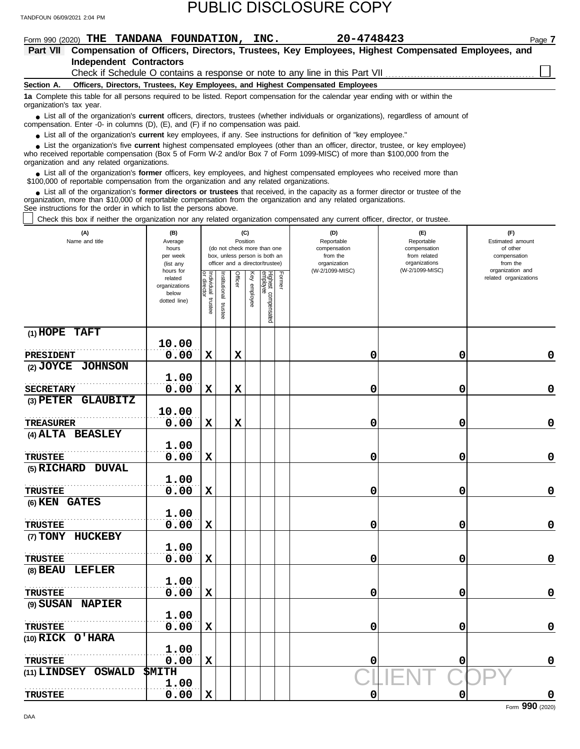| IANDFOUN 06/09/2021 2:04 PM                                                                                                                                                                                                                                                                                                   |                                                                |                                   |                          |         |                 |                                                                                                 |        |                                                                                                                |                                                                    |                                                                 |
|-------------------------------------------------------------------------------------------------------------------------------------------------------------------------------------------------------------------------------------------------------------------------------------------------------------------------------|----------------------------------------------------------------|-----------------------------------|--------------------------|---------|-----------------|-------------------------------------------------------------------------------------------------|--------|----------------------------------------------------------------------------------------------------------------|--------------------------------------------------------------------|-----------------------------------------------------------------|
| Form 990 (2020) THE TANDANA FOUNDATION, INC.<br>Part VII                                                                                                                                                                                                                                                                      |                                                                |                                   |                          |         |                 |                                                                                                 |        | 20-4748423<br>Compensation of Officers, Directors, Trustees, Key Employees, Highest Compensated Employees, and |                                                                    | Page 7                                                          |
| <b>Independent Contractors</b>                                                                                                                                                                                                                                                                                                |                                                                |                                   |                          |         |                 |                                                                                                 |        |                                                                                                                |                                                                    |                                                                 |
|                                                                                                                                                                                                                                                                                                                               |                                                                |                                   |                          |         |                 |                                                                                                 |        | Check if Schedule O contains a response or note to any line in this Part VII                                   |                                                                    |                                                                 |
| Section A.                                                                                                                                                                                                                                                                                                                    |                                                                |                                   |                          |         |                 |                                                                                                 |        | Officers, Directors, Trustees, Key Employees, and Highest Compensated Employees                                |                                                                    |                                                                 |
| 1a Complete this table for all persons required to be listed. Report compensation for the calendar year ending with or within the<br>organization's tax year.                                                                                                                                                                 |                                                                |                                   |                          |         |                 |                                                                                                 |        |                                                                                                                |                                                                    |                                                                 |
| • List all of the organization's <b>current</b> officers, directors, trustees (whether individuals or organizations), regardless of amount of<br>compensation. Enter -0- in columns (D), (E), and (F) if no compensation was paid.                                                                                            |                                                                |                                   |                          |         |                 |                                                                                                 |        |                                                                                                                |                                                                    |                                                                 |
| • List all of the organization's current key employees, if any. See instructions for definition of "key employee."                                                                                                                                                                                                            |                                                                |                                   |                          |         |                 |                                                                                                 |        |                                                                                                                |                                                                    |                                                                 |
| • List the organization's five current highest compensated employees (other than an officer, director, trustee, or key employee)<br>who received reportable compensation (Box 5 of Form W-2 and/or Box 7 of Form 1099-MISC) of more than \$100,000 from the<br>organization and any related organizations.                    |                                                                |                                   |                          |         |                 |                                                                                                 |        |                                                                                                                |                                                                    |                                                                 |
| • List all of the organization's former officers, key employees, and highest compensated employees who received more than<br>\$100,000 of reportable compensation from the organization and any related organizations.                                                                                                        |                                                                |                                   |                          |         |                 |                                                                                                 |        |                                                                                                                |                                                                    |                                                                 |
| • List all of the organization's former directors or trustees that received, in the capacity as a former director or trustee of the<br>organization, more than \$10,000 of reportable compensation from the organization and any related organizations.<br>See instructions for the order in which to list the persons above. |                                                                |                                   |                          |         |                 |                                                                                                 |        |                                                                                                                |                                                                    |                                                                 |
| Check this box if neither the organization nor any related organization compensated any current officer, director, or trustee.                                                                                                                                                                                                |                                                                |                                   |                          |         |                 |                                                                                                 |        |                                                                                                                |                                                                    |                                                                 |
| (A)<br>Name and title                                                                                                                                                                                                                                                                                                         | (B)<br>Average<br>hours<br>per week<br>(list any               |                                   |                          |         | (C)<br>Position | (do not check more than one<br>box, unless person is both an<br>officer and a director/trustee) |        | (D)<br>Reportable<br>compensation<br>from the<br>organization                                                  | (F)<br>Reportable<br>compensation<br>from related<br>organizations | (F)<br>Estimated amount<br>of other<br>compensation<br>from the |
|                                                                                                                                                                                                                                                                                                                               | hours for<br>related<br>organizations<br>below<br>dotted line) | Individual trustee<br>or director | Institutional<br>trustee | Officer | Key employee    | Highest compensated<br>employee                                                                 | Former | (W-2/1099-MISC)                                                                                                | (W-2/1099-MISC)                                                    | organization and<br>related organizations                       |
| $(1)$ HOPE<br><b>TAFT</b>                                                                                                                                                                                                                                                                                                     |                                                                |                                   |                          |         |                 |                                                                                                 |        |                                                                                                                |                                                                    |                                                                 |
| <b>PRESIDENT</b>                                                                                                                                                                                                                                                                                                              | 10.00<br>0.00                                                  | $\mathbf x$                       |                          | X       |                 |                                                                                                 |        | 0                                                                                                              | 0                                                                  | 0                                                               |
| (2) JOYCE JOHNSON                                                                                                                                                                                                                                                                                                             | 1.00                                                           |                                   |                          |         |                 |                                                                                                 |        |                                                                                                                |                                                                    |                                                                 |
| <b>SECRETARY</b>                                                                                                                                                                                                                                                                                                              | 0.00                                                           | $\mathbf x$                       |                          | X       |                 |                                                                                                 |        | 0                                                                                                              | 0                                                                  | 0                                                               |
| $(3)$ $\rm PETER$<br><b>GLAUBITZ</b>                                                                                                                                                                                                                                                                                          |                                                                |                                   |                          |         |                 |                                                                                                 |        |                                                                                                                |                                                                    |                                                                 |
|                                                                                                                                                                                                                                                                                                                               | 10.00                                                          |                                   |                          |         |                 |                                                                                                 |        |                                                                                                                |                                                                    |                                                                 |
| TREASURER<br>(4) ALTA BEASLEY                                                                                                                                                                                                                                                                                                 | 0.00                                                           | X                                 |                          | X       |                 |                                                                                                 |        | 0                                                                                                              | 0                                                                  | 0                                                               |
|                                                                                                                                                                                                                                                                                                                               | 1.00                                                           |                                   |                          |         |                 |                                                                                                 |        |                                                                                                                |                                                                    |                                                                 |
| <b>TRUSTEE</b>                                                                                                                                                                                                                                                                                                                | 0.00                                                           | $\mathbf x$                       |                          |         |                 |                                                                                                 |        | 0                                                                                                              | 0                                                                  | 0                                                               |
| (5) RICHARD DUVAL                                                                                                                                                                                                                                                                                                             |                                                                |                                   |                          |         |                 |                                                                                                 |        |                                                                                                                |                                                                    |                                                                 |
|                                                                                                                                                                                                                                                                                                                               | 1.00                                                           |                                   |                          |         |                 |                                                                                                 |        |                                                                                                                |                                                                    |                                                                 |
| <b>TRUSTEE</b>                                                                                                                                                                                                                                                                                                                | 0.00                                                           | $\mathbf x$                       |                          |         |                 |                                                                                                 |        | 0                                                                                                              | 0                                                                  | 0                                                               |
| (6) KEN GATES                                                                                                                                                                                                                                                                                                                 |                                                                |                                   |                          |         |                 |                                                                                                 |        |                                                                                                                |                                                                    |                                                                 |
|                                                                                                                                                                                                                                                                                                                               | 1.00                                                           |                                   |                          |         |                 |                                                                                                 |        |                                                                                                                |                                                                    |                                                                 |
| <b>TRUSTEE</b>                                                                                                                                                                                                                                                                                                                | 0.00                                                           | X                                 |                          |         |                 |                                                                                                 |        | 0                                                                                                              | 0                                                                  | 0                                                               |

CLIENT COPY Form **990** (2020) **(8) BEAU LEFLER (9) SUSAN NAPIER (10) RICK O'HARA (11) LINDSEY OSWALD SMITH** . . . . . . . . . . . . . . . . . . . . . . . . . . . . . . . . . . . . . . . . . . . . . . . . . . . . . . . **TRUSTEE TRUSTEE 1.000 TRUSTEE 10.000** . . . . . . . . . . . . . . . . . . . . . . . . . . . . . . . . . . . . . . . . . . . . . . . . . . . . . . . **1.00 1.00 0.00 X 0 0 0 1.00 0.00 X 0 0 0 1.00 0.00 X 0 0 0 TRUSTEE 0.00 X 0 0 0**

**0.00 X 0 0 0**

**(7)**

**TRUSTEE 10.000** 

**1.00**

**TONY HUCKEBY**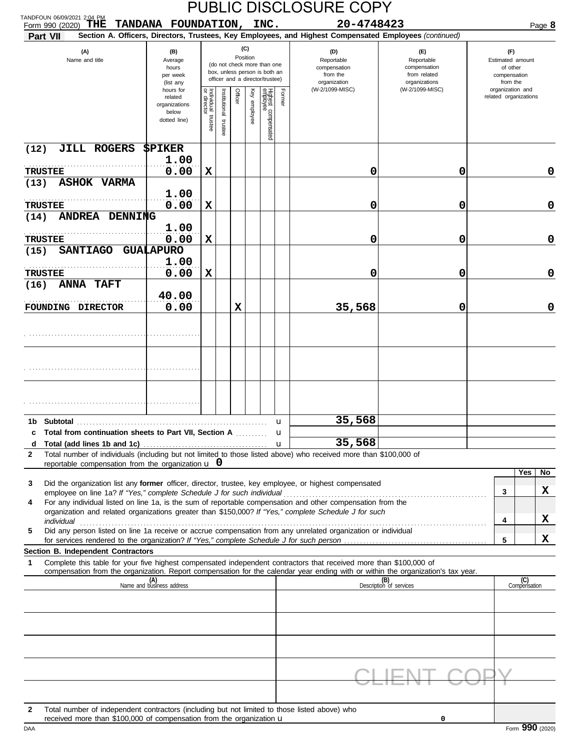| TANDFOUN 06/09/2021 2:04 PM                                                                                                                                                                                                                                                                                                                                   |                                                                                                                    |                                   |                         |         |                                 |                                                                                                                                    |                   | <b>PUBLIC DISCLOSURE COPY</b>                                                                                        |                                                                                       |                                                                                                              |                     |
|---------------------------------------------------------------------------------------------------------------------------------------------------------------------------------------------------------------------------------------------------------------------------------------------------------------------------------------------------------------|--------------------------------------------------------------------------------------------------------------------|-----------------------------------|-------------------------|---------|---------------------------------|------------------------------------------------------------------------------------------------------------------------------------|-------------------|----------------------------------------------------------------------------------------------------------------------|---------------------------------------------------------------------------------------|--------------------------------------------------------------------------------------------------------------|---------------------|
| THE<br>Form 990 (2020)<br>Part VII                                                                                                                                                                                                                                                                                                                            | TANDANA FOUNDATION, INC.                                                                                           |                                   |                         |         |                                 |                                                                                                                                    |                   | 20-4748423<br>Section A. Officers, Directors, Trustees, Key Employees, and Highest Compensated Employees (continued) |                                                                                       |                                                                                                              | Page 8              |
| (A)<br>Name and title                                                                                                                                                                                                                                                                                                                                         | (B)<br>Average<br>hours<br>per week<br>(list any<br>hours for<br>related<br>organizations<br>below<br>dotted line) | Individual trustee<br>or director | nstitutional<br>trustee | Officer | (C)<br>Position<br>Key employee | (do not check more than one<br>box, unless person is both an<br>officer and a director/trustee)<br>Highest compensated<br>employee | Former            | (D)<br>Reportable<br>compensation<br>from the<br>organization<br>(W-2/1099-MISC)                                     | (F)<br>Reportable<br>compensation<br>from related<br>organizations<br>(W-2/1099-MISC) | (F)<br>Estimated amount<br>of other<br>compensation<br>from the<br>organization and<br>related organizations |                     |
| JILL ROGERS<br>(12)<br><b>TRUSTEE</b>                                                                                                                                                                                                                                                                                                                         | \$PIKER<br>1.00<br>0.00                                                                                            | X                                 |                         |         |                                 |                                                                                                                                    |                   | 0                                                                                                                    | 0                                                                                     |                                                                                                              | $\mathbf 0$         |
| <b>ASHOK VARMA</b><br>(13)<br><b>TRUSTEE</b><br>ANDREA DENNING<br>(14)                                                                                                                                                                                                                                                                                        | 1.00<br>0.00                                                                                                       | X                                 |                         |         |                                 |                                                                                                                                    |                   | 0                                                                                                                    | 0                                                                                     |                                                                                                              | $\mathbf 0$         |
| <b>TRUSTEE</b><br><b>SANTIAGO</b><br>(15)                                                                                                                                                                                                                                                                                                                     | 1.00<br>0.00<br><b>GUALAPURO</b>                                                                                   | X                                 |                         |         |                                 |                                                                                                                                    |                   | 0                                                                                                                    | 0                                                                                     |                                                                                                              | $\mathbf 0$         |
| <b>TRUSTEE</b><br><b>ANNA TAFT</b><br>(16)                                                                                                                                                                                                                                                                                                                    | 1.00<br>0.00                                                                                                       | X                                 |                         |         |                                 |                                                                                                                                    |                   | 0                                                                                                                    | 0                                                                                     |                                                                                                              | $\mathbf 0$         |
| FOUNDING DIRECTOR                                                                                                                                                                                                                                                                                                                                             | 40.00<br>0.00                                                                                                      |                                   |                         | X       |                                 |                                                                                                                                    |                   | 35,568                                                                                                               | 0                                                                                     |                                                                                                              | $\mathbf 0$         |
|                                                                                                                                                                                                                                                                                                                                                               |                                                                                                                    |                                   |                         |         |                                 |                                                                                                                                    |                   |                                                                                                                      |                                                                                       |                                                                                                              |                     |
| 1b Subtotal<br>Total from continuation sheets to Part VII, Section A  u<br>c<br>d                                                                                                                                                                                                                                                                             |                                                                                                                    |                                   |                         |         |                                 |                                                                                                                                    | u<br>$\mathbf{u}$ | 35,568<br>35,568                                                                                                     |                                                                                       |                                                                                                              |                     |
| Total number of individuals (including but not limited to those listed above) who received more than \$100,000 of<br>2<br>reportable compensation from the organization $\bf{u}$ 0<br>Did the organization list any former officer, director, trustee, key employee, or highest compensated<br>3                                                              |                                                                                                                    |                                   |                         |         |                                 |                                                                                                                                    |                   |                                                                                                                      |                                                                                       |                                                                                                              | Yes<br>No.          |
| For any individual listed on line 1a, is the sum of reportable compensation and other compensation from the<br>4<br>organization and related organizations greater than \$150,000? If "Yes," complete Schedule J for such<br>individual<br>Did any person listed on line 1a receive or accrue compensation from any unrelated organization or individual<br>5 |                                                                                                                    |                                   |                         |         |                                 |                                                                                                                                    |                   |                                                                                                                      |                                                                                       | 3<br>4                                                                                                       | x<br>X              |
| Section B. Independent Contractors                                                                                                                                                                                                                                                                                                                            |                                                                                                                    |                                   |                         |         |                                 |                                                                                                                                    |                   |                                                                                                                      |                                                                                       | 5                                                                                                            | X                   |
| Complete this table for your five highest compensated independent contractors that received more than \$100,000 of<br>1<br>compensation from the organization. Report compensation for the calendar year ending with or within the organization's tax year.                                                                                                   |                                                                                                                    |                                   |                         |         |                                 |                                                                                                                                    |                   |                                                                                                                      |                                                                                       |                                                                                                              |                     |
|                                                                                                                                                                                                                                                                                                                                                               | (A)<br>Name and business address                                                                                   |                                   |                         |         |                                 |                                                                                                                                    |                   |                                                                                                                      | (B)<br>Description of services                                                        |                                                                                                              | (C)<br>Compensation |
|                                                                                                                                                                                                                                                                                                                                                               |                                                                                                                    |                                   |                         |         |                                 |                                                                                                                                    |                   |                                                                                                                      |                                                                                       |                                                                                                              |                     |
| Total number of independent contractors (including but not limited to those listed above) who<br>$\mathbf{2}$<br>received more than \$100,000 of compensation from the organization u<br>DAA                                                                                                                                                                  |                                                                                                                    |                                   |                         |         |                                 |                                                                                                                                    |                   |                                                                                                                      | 0                                                                                     |                                                                                                              | Form 990 (2020)     |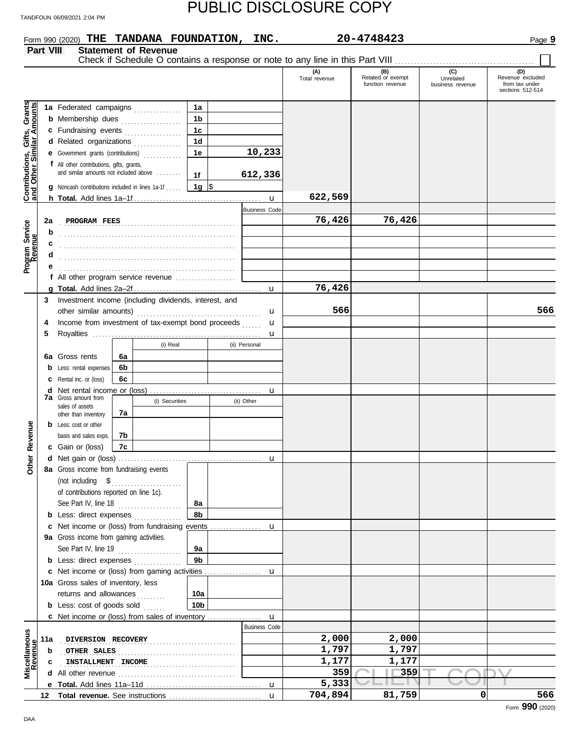**Form 990 (2020) THE TANDANA FOUNDATION, INC.** 20-4748423 Page 9

|                                                                  | Part VIII |                                                        |    | <b>Statement of Revenue</b> |                |                      | Check if Schedule O contains a response or note to any line in this Part VIII |                                              |                                      |                                                               |
|------------------------------------------------------------------|-----------|--------------------------------------------------------|----|-----------------------------|----------------|----------------------|-------------------------------------------------------------------------------|----------------------------------------------|--------------------------------------|---------------------------------------------------------------|
|                                                                  |           |                                                        |    |                             |                |                      | (A)<br>Total revenue                                                          | (B)<br>Related or exempt<br>function revenue | (C)<br>Unrelated<br>business revenue | (D)<br>Revenue excluded<br>from tax under<br>sections 512-514 |
|                                                                  |           | 1a Federated campaigns                                 |    |                             | 1a             |                      |                                                                               |                                              |                                      |                                                               |
| <b>Contributions, Gifts, Grants</b><br>and Other Similar Amounts |           | <b>b</b> Membership dues                               |    |                             | 1b             |                      |                                                                               |                                              |                                      |                                                               |
|                                                                  |           | c Fundraising events                                   |    |                             | 1 <sub>c</sub> |                      |                                                                               |                                              |                                      |                                                               |
|                                                                  |           | d Related organizations                                |    |                             | 1 <sub>d</sub> |                      |                                                                               |                                              |                                      |                                                               |
|                                                                  |           | e Government grants (contributions)                    |    |                             | 1e             | 10,233               |                                                                               |                                              |                                      |                                                               |
|                                                                  |           | <b>f</b> All other contributions, gifts, grants,       |    |                             |                |                      |                                                                               |                                              |                                      |                                                               |
|                                                                  |           | and similar amounts not included above                 |    |                             | 1f             | 612,336              |                                                                               |                                              |                                      |                                                               |
|                                                                  |           | <b>g</b> Noncash contributions included in lines 1a-1f |    |                             | 1g $\sqrt{3}$  |                      |                                                                               |                                              |                                      |                                                               |
|                                                                  |           |                                                        |    |                             |                | $\mathbf{u}$         | 622,569                                                                       |                                              |                                      |                                                               |
|                                                                  |           |                                                        |    |                             |                | <b>Business Code</b> |                                                                               |                                              |                                      |                                                               |
|                                                                  | 2a        | PROGRAM FEES                                           |    |                             |                |                      | 76,426                                                                        | 76,426                                       |                                      |                                                               |
| Program Service<br>Revenue                                       | b         |                                                        |    |                             |                |                      |                                                                               |                                              |                                      |                                                               |
|                                                                  | c         |                                                        |    |                             |                |                      |                                                                               |                                              |                                      |                                                               |
|                                                                  |           |                                                        |    |                             |                |                      |                                                                               |                                              |                                      |                                                               |
|                                                                  |           |                                                        |    |                             |                |                      |                                                                               |                                              |                                      |                                                               |
|                                                                  |           | f All other program service revenue                    |    |                             |                | $\mathbf{u}$         | 76,426                                                                        |                                              |                                      |                                                               |
|                                                                  | 3         | Investment income (including dividends, interest, and  |    |                             |                |                      |                                                                               |                                              |                                      |                                                               |
|                                                                  |           |                                                        |    |                             |                | u                    | 566                                                                           |                                              |                                      | 566                                                           |
|                                                                  | 4         | Income from investment of tax-exempt bond proceeds     |    |                             |                | u                    |                                                                               |                                              |                                      |                                                               |
|                                                                  | 5         |                                                        |    |                             |                | $\mathbf u$          |                                                                               |                                              |                                      |                                                               |
|                                                                  |           |                                                        |    | (i) Real                    |                | (ii) Personal        |                                                                               |                                              |                                      |                                                               |
|                                                                  |           | 6a Gross rents                                         | 6а |                             |                |                      |                                                                               |                                              |                                      |                                                               |
|                                                                  |           | <b>b</b> Less: rental expenses                         | 6b |                             |                |                      |                                                                               |                                              |                                      |                                                               |
|                                                                  |           | <b>c</b> Rental inc. or (loss)                         | 6c |                             |                |                      |                                                                               |                                              |                                      |                                                               |
|                                                                  |           |                                                        |    |                             |                | u                    |                                                                               |                                              |                                      |                                                               |
|                                                                  |           | <b>7a</b> Gross amount from<br>sales of assets         |    | (i) Securities              |                | (ii) Other           |                                                                               |                                              |                                      |                                                               |
|                                                                  |           | other than inventory                                   | 7a |                             |                |                      |                                                                               |                                              |                                      |                                                               |
|                                                                  |           | <b>b</b> Less: cost or other                           |    |                             |                |                      |                                                                               |                                              |                                      |                                                               |
| Revenue                                                          |           | basis and sales exps.                                  | 7b |                             |                |                      |                                                                               |                                              |                                      |                                                               |
|                                                                  |           | c Gain or (loss)                                       | 7c |                             |                |                      |                                                                               |                                              |                                      |                                                               |
| <b>Other</b>                                                     |           |                                                        |    |                             |                | u                    |                                                                               |                                              |                                      |                                                               |
|                                                                  |           | 8a Gross income from fundraising events                |    |                             |                |                      |                                                                               |                                              |                                      |                                                               |
|                                                                  |           |                                                        |    |                             |                |                      |                                                                               |                                              |                                      |                                                               |
|                                                                  |           | of contributions reported on line 1c).                 |    |                             | 8а             |                      |                                                                               |                                              |                                      |                                                               |
|                                                                  |           | See Part IV, line 18<br><b>b</b> Less: direct expenses |    |                             | 8b             |                      |                                                                               |                                              |                                      |                                                               |
|                                                                  |           | c Net income or (loss) from fundraising events         |    |                             |                | u                    |                                                                               |                                              |                                      |                                                               |
|                                                                  |           | 9a Gross income from gaming activities.                |    |                             |                |                      |                                                                               |                                              |                                      |                                                               |
|                                                                  |           | See Part IV, line 19                                   |    |                             | 9a             |                      |                                                                               |                                              |                                      |                                                               |
|                                                                  |           | <b>b</b> Less: direct expenses                         |    |                             | 9 <sub>b</sub> |                      |                                                                               |                                              |                                      |                                                               |
|                                                                  |           | c Net income or (loss) from gaming activities          |    |                             |                | u                    |                                                                               |                                              |                                      |                                                               |
|                                                                  |           | 10a Gross sales of inventory, less                     |    |                             |                |                      |                                                                               |                                              |                                      |                                                               |
|                                                                  |           | returns and allowances                                 |    |                             | 10a            |                      |                                                                               |                                              |                                      |                                                               |
|                                                                  |           | <b>b</b> Less: cost of goods sold                      |    |                             | 10b            |                      |                                                                               |                                              |                                      |                                                               |
|                                                                  |           | c Net income or (loss) from sales of inventory         |    |                             |                | u                    |                                                                               |                                              |                                      |                                                               |
|                                                                  |           |                                                        |    |                             |                | <b>Business Code</b> |                                                                               |                                              |                                      |                                                               |
|                                                                  | 11a       | <b>DIVERSION RECOVERY</b>                              |    |                             |                |                      | 2,000                                                                         | 2,000                                        |                                      |                                                               |
| Miscellaneous<br>Revenue                                         | b         | OTHER SALES                                            |    |                             |                |                      | 1,797                                                                         | 1,797                                        |                                      |                                                               |
|                                                                  | c         | INSTALLMENT INCOME                                     |    |                             |                |                      | 1,177                                                                         | 1,177                                        |                                      |                                                               |
|                                                                  |           |                                                        |    |                             |                |                      | 359                                                                           | 359                                          |                                      |                                                               |
|                                                                  |           |                                                        |    |                             |                | u                    | 5,333                                                                         |                                              |                                      |                                                               |
|                                                                  |           |                                                        |    |                             |                | $\mathbf{u}$         | 704,894                                                                       | 81,759                                       | 0                                    | 566<br>Form 990 (2020)                                        |
|                                                                  |           |                                                        |    |                             |                |                      |                                                                               |                                              |                                      |                                                               |

DAA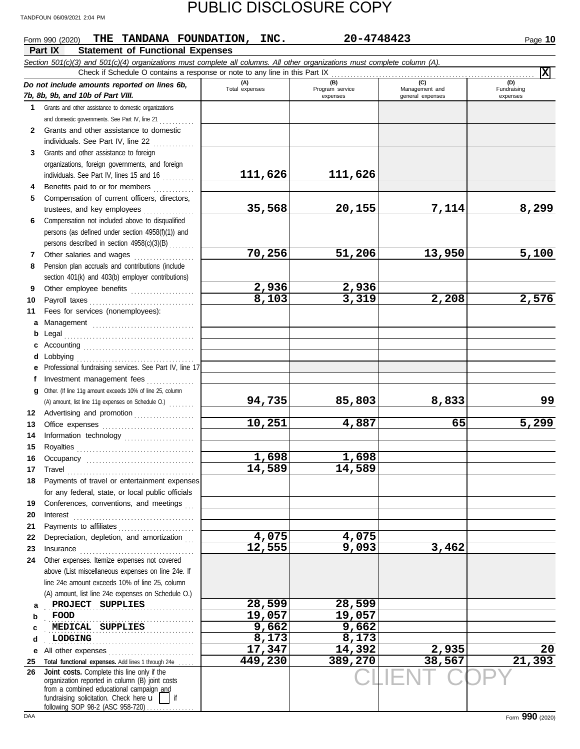#### CLIENT COPY **Part IX Statement of Functional Expenses Form 990 (2020) THE TANDANA FOUNDATION, INC.** 20-4748423 20 2010 2001 2001 2010 *Section 501(c)(3) and 501(c)(4) organizations must complete all columns. All other organizations must complete column (A). Do not include amounts reported on lines 6b, 7b, 8b, 9b, and 10b of Part VIII.* **1 2 3 4 5 6 7 8 9 10 11 a** Management ................................. **b** Legal **c** Accounting . . . . . . . . . . . . . . . . . . . . . . . . . . . . . . . . . . . **d** Lobbying . . . . . . . . . . . . . . . . . . . . . . . . . . . . . . . . . . . . . **e** Professional fundraising services. See Part IV, line 17 **f g** Other. (If line 11g amount exceeds 10% of line 25, column **12** Advertising and promotion . . . . . . . . . . . . . . . . . **13 14 15 16 17 18 19 20 21 22 23 24 a b c d e** All other expenses . . . . . . . . . . . . . . . . . . . . . . . . . . . **25 26** Grants and other assistance to domestic organizations and domestic governments. See Part IV, line 21 . . . . . . . . . . . Grants and other assistance to domestic individuals. See Part IV, line 22 Grants and other assistance to foreign organizations, foreign governments, and foreign individuals. See Part IV, lines 15 and 16 Benefits paid to or for members . . . . . . . . . . . . Compensation of current officers, directors, trustees, and key employees ............... Compensation not included above to disqualified persons (as defined under section 4958(f)(1)) and persons described in section 4958(c)(3)(B) . . . . . . . . Other salaries and wages ................... Pension plan accruals and contributions (include section 401(k) and 403(b) employer contributions) Other employee benefits .................... Payroll taxes . . . . . . . . . . . . . . . . . . . . . . . . . . . . . . . . . Fees for services (nonemployees): . . . . . . . . . . . . . . . . . . . . . . . . . . . . . . . . . . . . . . . . . Investment management fees ................ Office expenses ................................ Information technology ...................... Royalties . . . . . . . . . . . . . . . . . . . . . . . . . . . . . . . . . . . . . Occupancy . . . . . . . . . . . . . . . . . . . . . . . . . . . . . . . . . . Travel . . . . . . . . . . . . . . . . . . . . . . . . . . . . . . . . . . . . . . . . Payments of travel or entertainment expenses for any federal, state, or local public officials Conferences, conventions, and meetings Interest . . . . . . . . . . . . . . . . . . . . . . . . . . . . . . . . . . . . . . Payments to affiliates . . . . . . . . . . . . . . . . . . . . . . . . Depreciation, depletion, and amortization Insurance . . . . . . . . . . . . . . . . . . . . . . . . . . . . . . . . . . . . Other expenses. Itemize expenses not covered above (List miscellaneous expenses on line 24e. If line 24e amount exceeds 10% of line 25, column (A) amount, list line 24e expenses on Schedule O.) Total functional expenses. Add lines 1 through 24e fundraising solicitation. Check here  $\mathbf{u}$  | if organization reported in column (B) joint costs from a combined educational campaign and following SOP 98-2 (ASC 958-720). **(A) (B) (C) (D)** Management and expenses general expenses Fundraising expenses . . . . . . . . . . . . . . . . . . . . . . . . . . . . . . . . . . . . . . . . . . . . . . . **PROJECT SUPPLIES 28,599 28,599** . . . . . . . . . . . . . . . . . . . . . . . . . . . . . . . . . . . . . . . . . . . . . . . **MEDICAL SUPPLIES 9,662 9,662** . . . . . . . . . . . . . . . . . . . . . . . . . . . . . . . . . . . . . . . . . . . . . . . **LODGING 8,173 8,173** Check if Schedule O contains a response or note to any line in this Part IX **Joint costs.** Complete this line only if the (A) amount, list line 11g expenses on Schedule O.) . . . . . . . . **X 111,626 111,626 35,568 20,155 7,114 8,299 70,256 51,206 13,950 5,100 2,936 2,936 8,103 3,319 2,208 2,576 94,735 85,803 8,833 99 10,251 4,887 65 5,299 1,698 1,698 14,589 14,589 4,075 4,075 12,555 9,093 3,462 FOOD 19,057 19,057 17,347 14,392 2,935 20 449,230 389,270 38,567 21,393**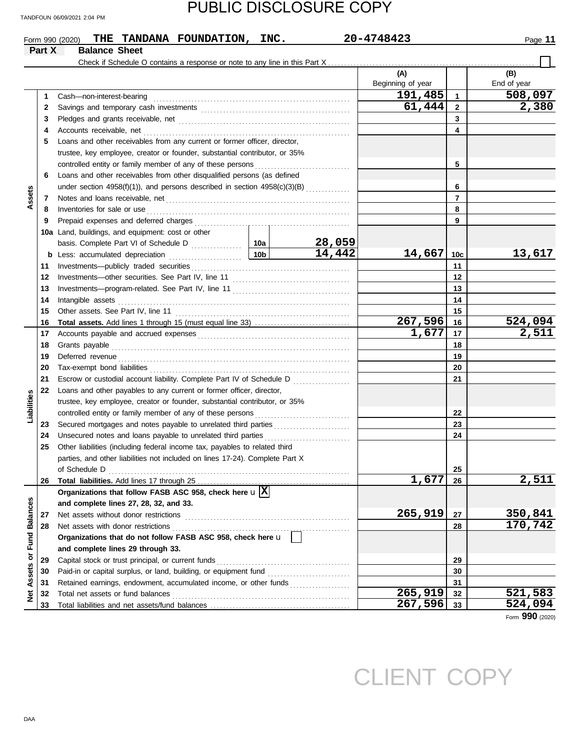|                  |        | THE TANDANA FOUNDATION, INC.<br>Form 990 (2020)                                |                 |        | 20-4748423               |                 | Page 11            |
|------------------|--------|--------------------------------------------------------------------------------|-----------------|--------|--------------------------|-----------------|--------------------|
|                  | Part X | <b>Balance Sheet</b>                                                           |                 |        |                          |                 |                    |
|                  |        | Check if Schedule O contains a response or note to any line in this Part X.    |                 |        |                          |                 |                    |
|                  |        |                                                                                |                 |        | (A)<br>Beginning of year |                 | (B)<br>End of year |
|                  | 1      | Cash-non-interest-bearing                                                      |                 |        | 191,485                  | $\mathbf{1}$    | 508,097            |
|                  | 2      |                                                                                |                 |        | 61,444                   | $\overline{2}$  | 2,380              |
|                  | 3      |                                                                                |                 |        |                          | 3               |                    |
|                  | 4      |                                                                                |                 |        |                          | 4               |                    |
|                  | 5      | Loans and other receivables from any current or former officer, director,      |                 |        |                          |                 |                    |
|                  |        | trustee, key employee, creator or founder, substantial contributor, or 35%     |                 |        |                          |                 |                    |
|                  |        | controlled entity or family member of any of these persons                     |                 |        |                          | 5               |                    |
|                  | 6      | Loans and other receivables from other disqualified persons (as defined        |                 |        |                          |                 |                    |
|                  |        | under section $4958(f)(1)$ ), and persons described in section $4958(c)(3)(B)$ |                 |        |                          | 6               |                    |
| Assets           | 7      |                                                                                |                 |        |                          | $\overline{7}$  |                    |
|                  | 8      | Inventories for sale or use                                                    |                 |        |                          | 8               |                    |
|                  | 9      | Prepaid expenses and deferred charges                                          |                 |        |                          | 9               |                    |
|                  |        | 10a Land, buildings, and equipment: cost or other                              |                 |        |                          |                 |                    |
|                  |        |                                                                                |                 | 28,059 |                          |                 |                    |
|                  | b      | Less: accumulated depreciation                                                 | 10 <sub>b</sub> | 14,442 | 14,667                   | 10 <sub>c</sub> | 13,617             |
|                  | 11     |                                                                                |                 |        |                          | 11              |                    |
|                  | 12     |                                                                                |                 |        |                          | 12              |                    |
|                  | 13     |                                                                                |                 |        |                          | 13              |                    |
|                  | 14     | Intangible assets                                                              |                 | 14     |                          |                 |                    |
|                  | 15     |                                                                                |                 |        |                          | 15              |                    |
|                  | 16     |                                                                                |                 |        | 267,596                  | 16              | 524,094            |
|                  | 17     |                                                                                |                 |        | 1,677                    | 17              | 2,511              |
|                  | 18     | Grants payable                                                                 |                 | 18     |                          |                 |                    |
|                  | 19     |                                                                                |                 | 19     |                          |                 |                    |
|                  | 20     |                                                                                |                 |        |                          | 20              |                    |
|                  | 21     | Escrow or custodial account liability. Complete Part IV of Schedule D          |                 |        |                          | 21              |                    |
|                  | 22     | Loans and other payables to any current or former officer, director,           |                 |        |                          |                 |                    |
| Liabilities      |        | trustee, key employee, creator or founder, substantial contributor, or 35%     |                 |        |                          |                 |                    |
|                  |        | controlled entity or family member of any of these persons                     |                 |        |                          | 22              |                    |
|                  | 23     | Secured mortgages and notes payable to unrelated third parties                 |                 |        |                          | 23              |                    |
|                  | 24     | Unsecured notes and loans payable to unrelated third parties                   |                 |        |                          | 24              |                    |
|                  | 25     | Other liabilities (including federal income tax, payables to related third     |                 |        |                          |                 |                    |
|                  |        | parties, and other liabilities not included on lines 17-24). Complete Part X   |                 |        |                          |                 |                    |
|                  |        |                                                                                |                 |        |                          | 25              |                    |
|                  | 26     |                                                                                |                 |        | 1,677                    | 26              | <u>2,511</u>       |
|                  |        | Organizations that follow FASB ASC 958, check here $\mathbf{u} \mathbf{X}$     |                 |        |                          |                 |                    |
|                  |        | and complete lines 27, 28, 32, and 33.                                         |                 |        |                          |                 |                    |
|                  | 27     | Net assets without donor restrictions                                          |                 |        | 265,919                  | 27              | 350,841            |
| or Fund Balances | 28     | Net assets with donor restrictions                                             |                 |        |                          | 28              | 170,742            |
|                  |        | Organizations that do not follow FASB ASC 958, check here u                    |                 |        |                          |                 |                    |
|                  |        | and complete lines 29 through 33.                                              |                 |        |                          |                 |                    |
|                  | 29     | Capital stock or trust principal, or current funds                             |                 | 29     |                          |                 |                    |
|                  | 30     |                                                                                |                 |        |                          | 30              |                    |
| Assets           | 31     | Retained earnings, endowment, accumulated income, or other funds               |                 |        |                          | 31              |                    |
| <b>Net</b>       | 32     |                                                                                |                 |        | 265,919                  | 32              | 521,583            |
|                  | 33     |                                                                                |                 |        | 267,596                  | 33              | 524,094            |
|                  |        |                                                                                |                 |        |                          |                 | Form 990 (2020)    |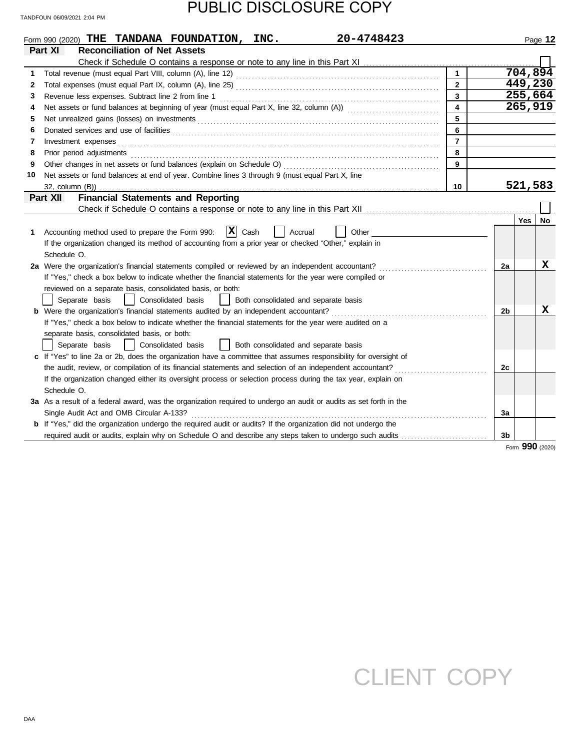|    | 20-4748423<br>Form 990 (2020) THE TANDANA FOUNDATION, INC.                                                                                                                                                                     |                         |    |         | Page 12         |  |
|----|--------------------------------------------------------------------------------------------------------------------------------------------------------------------------------------------------------------------------------|-------------------------|----|---------|-----------------|--|
|    | Part XI<br><b>Reconciliation of Net Assets</b>                                                                                                                                                                                 |                         |    |         |                 |  |
|    |                                                                                                                                                                                                                                |                         |    |         |                 |  |
| 1. |                                                                                                                                                                                                                                | $\mathbf{1}$            |    |         | 704,894         |  |
| 2  |                                                                                                                                                                                                                                | $\overline{2}$          |    | 449,230 |                 |  |
| 3  |                                                                                                                                                                                                                                | 3                       |    |         | 255,664         |  |
| 4  |                                                                                                                                                                                                                                | $\overline{\mathbf{4}}$ |    |         | 265,919         |  |
| 5  |                                                                                                                                                                                                                                | 5                       |    |         |                 |  |
| 6  |                                                                                                                                                                                                                                | 6                       |    |         |                 |  |
| 7  |                                                                                                                                                                                                                                | $\overline{7}$          |    |         |                 |  |
| 8  | Prior period adjustments [11] production and an intervention of the state of the state of the state of the state of the state of the state of the state of the state of the state of the state of the state of the state of th | 8                       |    |         |                 |  |
| 9  |                                                                                                                                                                                                                                | 9                       |    |         |                 |  |
| 10 | Net assets or fund balances at end of year. Combine lines 3 through 9 (must equal Part X, line                                                                                                                                 |                         |    |         |                 |  |
|    | 32, column (B))                                                                                                                                                                                                                | 10                      |    | 521,583 |                 |  |
|    | <b>Financial Statements and Reporting</b><br>Part XII                                                                                                                                                                          |                         |    |         |                 |  |
|    |                                                                                                                                                                                                                                |                         |    |         |                 |  |
|    |                                                                                                                                                                                                                                |                         |    | Yes     | No              |  |
| 1. | $ \mathbf{X} $ Cash<br>Accounting method used to prepare the Form 990:<br>Accrual<br>Other                                                                                                                                     |                         |    |         |                 |  |
|    | If the organization changed its method of accounting from a prior year or checked "Other," explain in                                                                                                                          |                         |    |         |                 |  |
|    | Schedule O.                                                                                                                                                                                                                    |                         |    |         |                 |  |
|    | 2a Were the organization's financial statements compiled or reviewed by an independent accountant?                                                                                                                             |                         | 2a |         | x               |  |
|    | If "Yes," check a box below to indicate whether the financial statements for the year were compiled or                                                                                                                         |                         |    |         |                 |  |
|    | reviewed on a separate basis, consolidated basis, or both:                                                                                                                                                                     |                         |    |         |                 |  |
|    | Consolidated basis<br>Separate basis<br>Both consolidated and separate basis                                                                                                                                                   |                         |    |         |                 |  |
|    | <b>b</b> Were the organization's financial statements audited by an independent accountant?                                                                                                                                    |                         | 2b |         | х               |  |
|    | If "Yes," check a box below to indicate whether the financial statements for the year were audited on a                                                                                                                        |                         |    |         |                 |  |
|    | separate basis, consolidated basis, or both:                                                                                                                                                                                   |                         |    |         |                 |  |
|    | Both consolidated and separate basis<br>Consolidated basis<br>Separate basis                                                                                                                                                   |                         |    |         |                 |  |
|    | c If "Yes" to line 2a or 2b, does the organization have a committee that assumes responsibility for oversight of                                                                                                               |                         |    |         |                 |  |
|    | the audit, review, or compilation of its financial statements and selection of an independent accountant?                                                                                                                      |                         | 2c |         |                 |  |
|    | If the organization changed either its oversight process or selection process during the tax year, explain on                                                                                                                  |                         |    |         |                 |  |
|    | Schedule O.                                                                                                                                                                                                                    |                         |    |         |                 |  |
|    | 3a As a result of a federal award, was the organization required to undergo an audit or audits as set forth in the                                                                                                             |                         |    |         |                 |  |
|    | Single Audit Act and OMB Circular A-133?                                                                                                                                                                                       |                         | За |         |                 |  |
|    | <b>b</b> If "Yes," did the organization undergo the required audit or audits? If the organization did not undergo the                                                                                                          |                         |    |         |                 |  |
|    | required audit or audits, explain why on Schedule O and describe any steps taken to undergo such audits                                                                                                                        |                         | 3b |         |                 |  |
|    |                                                                                                                                                                                                                                |                         |    |         | Form 990 (2020) |  |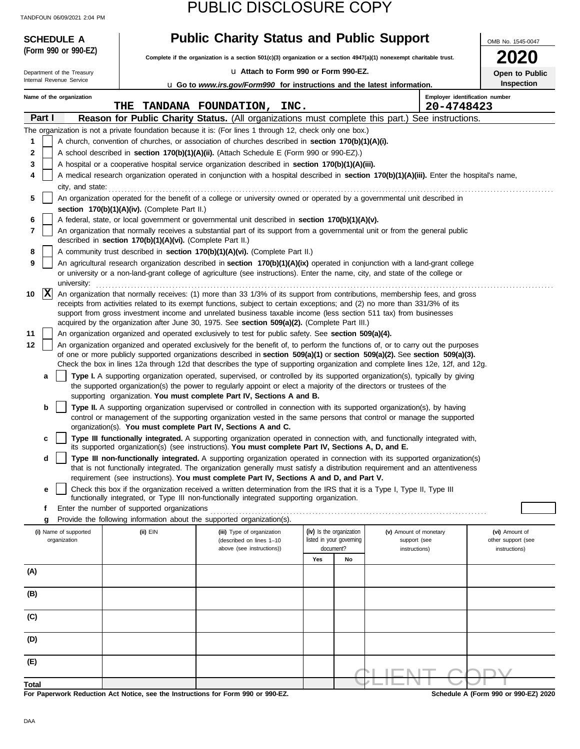| <b>SCHEDULE A</b>          |                                                            | <b>Public Charity Status and Public Support</b>                                                                                                                |                | OMB No. 1545-0047        |                                                                                                                                                                                                                                                                |                    |
|----------------------------|------------------------------------------------------------|----------------------------------------------------------------------------------------------------------------------------------------------------------------|----------------|--------------------------|----------------------------------------------------------------------------------------------------------------------------------------------------------------------------------------------------------------------------------------------------------------|--------------------|
| (Form 990 or 990-EZ)       |                                                            | Complete if the organization is a section 501(c)(3) organization or a section 4947(a)(1) nonexempt charitable trust.                                           |                | <b>2020</b>              |                                                                                                                                                                                                                                                                |                    |
| Department of the Treasury |                                                            | La Attach to Form 990 or Form 990-EZ.                                                                                                                          | Open to Public |                          |                                                                                                                                                                                                                                                                |                    |
| Internal Revenue Service   |                                                            | <b>u</b> Go to www.irs.gov/Form990 for instructions and the latest information.                                                                                |                | <b>Inspection</b>        |                                                                                                                                                                                                                                                                |                    |
| Name of the organization   |                                                            |                                                                                                                                                                |                |                          | Employer identification number                                                                                                                                                                                                                                 |                    |
|                            | THE                                                        | TANDANA FOUNDATION, INC.                                                                                                                                       |                |                          | 20-4748423                                                                                                                                                                                                                                                     |                    |
| Part I                     |                                                            |                                                                                                                                                                |                |                          | Reason for Public Charity Status. (All organizations must complete this part.) See instructions.                                                                                                                                                               |                    |
|                            |                                                            | The organization is not a private foundation because it is: (For lines 1 through 12, check only one box.)                                                      |                |                          |                                                                                                                                                                                                                                                                |                    |
| 1                          |                                                            | A church, convention of churches, or association of churches described in section 170(b)(1)(A)(i).                                                             |                |                          |                                                                                                                                                                                                                                                                |                    |
| 2                          |                                                            | A school described in section 170(b)(1)(A)(ii). (Attach Schedule E (Form 990 or 990-EZ).)                                                                      |                |                          |                                                                                                                                                                                                                                                                |                    |
| 3                          |                                                            | A hospital or a cooperative hospital service organization described in section 170(b)(1)(A)(iii).                                                              |                |                          |                                                                                                                                                                                                                                                                |                    |
| 4                          |                                                            |                                                                                                                                                                |                |                          | A medical research organization operated in conjunction with a hospital described in section 170(b)(1)(A)(iii). Enter the hospital's name,                                                                                                                     |                    |
| 5                          |                                                            | city, and state:<br>$\frac{1}{2}$<br>An organization operated for the benefit of a college or university owned or operated by a governmental unit described in |                |                          |                                                                                                                                                                                                                                                                |                    |
|                            | section 170(b)(1)(A)(iv). (Complete Part II.)              |                                                                                                                                                                |                |                          |                                                                                                                                                                                                                                                                |                    |
| 6                          |                                                            | A federal, state, or local government or governmental unit described in section 170(b)(1)(A)(v).                                                               |                |                          |                                                                                                                                                                                                                                                                |                    |
| 7                          |                                                            |                                                                                                                                                                |                |                          | An organization that normally receives a substantial part of its support from a governmental unit or from the general public                                                                                                                                   |                    |
|                            | described in section 170(b)(1)(A)(vi). (Complete Part II.) |                                                                                                                                                                |                |                          |                                                                                                                                                                                                                                                                |                    |
| 8                          |                                                            | A community trust described in section 170(b)(1)(A)(vi). (Complete Part II.)                                                                                   |                |                          |                                                                                                                                                                                                                                                                |                    |
| 9                          |                                                            |                                                                                                                                                                |                |                          | An agricultural research organization described in section 170(b)(1)(A)(ix) operated in conjunction with a land-grant college                                                                                                                                  |                    |
|                            |                                                            | or university or a non-land-grant college of agriculture (see instructions). Enter the name, city, and state of the college or                                 |                |                          |                                                                                                                                                                                                                                                                |                    |
| university:<br> X<br>10    |                                                            |                                                                                                                                                                |                |                          | An organization that normally receives: (1) more than 33 1/3% of its support from contributions, membership fees, and gross                                                                                                                                    |                    |
|                            |                                                            | receipts from activities related to its exempt functions, subject to certain exceptions; and (2) no more than 331/3% of its                                    |                |                          |                                                                                                                                                                                                                                                                |                    |
|                            |                                                            | support from gross investment income and unrelated business taxable income (less section 511 tax) from businesses                                              |                |                          |                                                                                                                                                                                                                                                                |                    |
|                            |                                                            | acquired by the organization after June 30, 1975. See section 509(a)(2). (Complete Part III.)                                                                  |                |                          |                                                                                                                                                                                                                                                                |                    |
|                            |                                                            | An organization organized and operated exclusively to test for public safety. See section 509(a)(4).                                                           |                |                          |                                                                                                                                                                                                                                                                |                    |
|                            |                                                            |                                                                                                                                                                |                |                          | An organization organized and operated exclusively for the benefit of, to perform the functions of, or to carry out the purposes                                                                                                                               |                    |
|                            |                                                            |                                                                                                                                                                |                |                          | of one or more publicly supported organizations described in section 509(a)(1) or section 509(a)(2). See section 509(a)(3).<br>Check the box in lines 12a through 12d that describes the type of supporting organization and complete lines 12e, 12f, and 12g. |                    |
| a                          |                                                            |                                                                                                                                                                |                |                          | Type I. A supporting organization operated, supervised, or controlled by its supported organization(s), typically by giving                                                                                                                                    |                    |
|                            |                                                            | the supported organization(s) the power to regularly appoint or elect a majority of the directors or trustees of the                                           |                |                          |                                                                                                                                                                                                                                                                |                    |
|                            |                                                            | supporting organization. You must complete Part IV, Sections A and B.                                                                                          |                |                          |                                                                                                                                                                                                                                                                |                    |
| b                          |                                                            |                                                                                                                                                                |                |                          | Type II. A supporting organization supervised or controlled in connection with its supported organization(s), by having                                                                                                                                        |                    |
|                            |                                                            |                                                                                                                                                                |                |                          | control or management of the supporting organization vested in the same persons that control or manage the supported                                                                                                                                           |                    |
|                            |                                                            | organization(s). You must complete Part IV, Sections A and C.                                                                                                  |                |                          |                                                                                                                                                                                                                                                                |                    |
|                            |                                                            | its supported organization(s) (see instructions). You must complete Part IV, Sections A, D, and E.                                                             |                |                          | Type III functionally integrated. A supporting organization operated in connection with, and functionally integrated with,                                                                                                                                     |                    |
| d                          |                                                            |                                                                                                                                                                |                |                          | Type III non-functionally integrated. A supporting organization operated in connection with its supported organization(s)                                                                                                                                      |                    |
|                            |                                                            |                                                                                                                                                                |                |                          | that is not functionally integrated. The organization generally must satisfy a distribution requirement and an attentiveness                                                                                                                                   |                    |
|                            |                                                            | requirement (see instructions). You must complete Part IV, Sections A and D, and Part V.                                                                       |                |                          |                                                                                                                                                                                                                                                                |                    |
| е                          |                                                            | Check this box if the organization received a written determination from the IRS that it is a Type I, Type II, Type III                                        |                |                          |                                                                                                                                                                                                                                                                |                    |
| f                          | Enter the number of supported organizations                | functionally integrated, or Type III non-functionally integrated supporting organization.                                                                      |                |                          |                                                                                                                                                                                                                                                                |                    |
| g                          |                                                            | Provide the following information about the supported organization(s).                                                                                         |                |                          |                                                                                                                                                                                                                                                                |                    |
| (i) Name of supported      | (ii) EIN                                                   | (iii) Type of organization                                                                                                                                     |                | (iv) Is the organization | (v) Amount of monetary                                                                                                                                                                                                                                         | (vi) Amount of     |
| organization               |                                                            | (described on lines 1-10                                                                                                                                       |                | listed in your governing | support (see                                                                                                                                                                                                                                                   | other support (see |
|                            |                                                            | above (see instructions))                                                                                                                                      |                | document?                | instructions)                                                                                                                                                                                                                                                  | instructions)      |
|                            |                                                            |                                                                                                                                                                | Yes            | No                       |                                                                                                                                                                                                                                                                |                    |
| (A)                        |                                                            |                                                                                                                                                                |                |                          |                                                                                                                                                                                                                                                                |                    |
|                            |                                                            |                                                                                                                                                                |                |                          |                                                                                                                                                                                                                                                                |                    |
| (B)                        |                                                            |                                                                                                                                                                |                |                          |                                                                                                                                                                                                                                                                |                    |
| (C)                        |                                                            |                                                                                                                                                                |                |                          |                                                                                                                                                                                                                                                                |                    |
|                            |                                                            |                                                                                                                                                                |                |                          |                                                                                                                                                                                                                                                                |                    |
| (D)                        |                                                            |                                                                                                                                                                |                |                          |                                                                                                                                                                                                                                                                |                    |
|                            |                                                            |                                                                                                                                                                |                |                          |                                                                                                                                                                                                                                                                |                    |
| (E)                        |                                                            |                                                                                                                                                                |                |                          |                                                                                                                                                                                                                                                                |                    |
|                            |                                                            |                                                                                                                                                                |                |                          |                                                                                                                                                                                                                                                                |                    |
|                            |                                                            |                                                                                                                                                                |                |                          |                                                                                                                                                                                                                                                                |                    |

**For Paperwork Reduction Act Notice, see the Instructions for Form 990 or 990-EZ. Total**

**Schedule A (Form 990 or 990-EZ) 2020**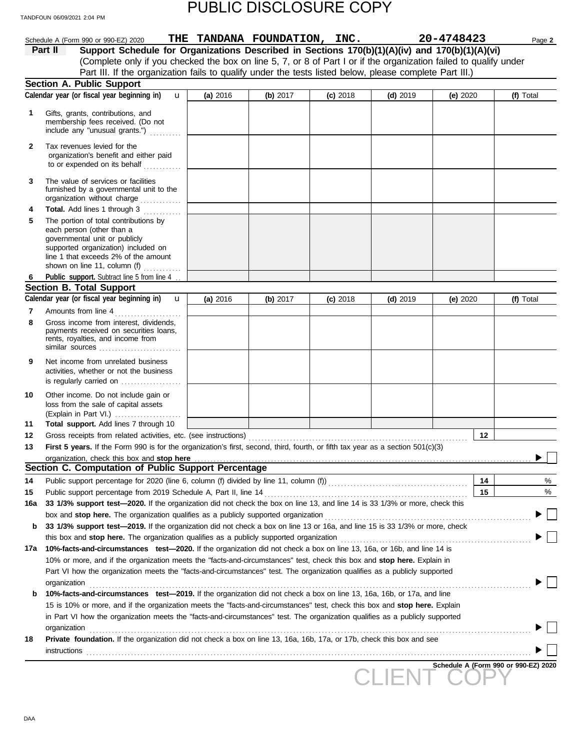|              | Schedule A (Form 990 or 990-EZ) 2020                                                                                                                                                                                           |          |            | THE TANDANA FOUNDATION, INC. |            | 20-4748423 |    | Page 2                               |
|--------------|--------------------------------------------------------------------------------------------------------------------------------------------------------------------------------------------------------------------------------|----------|------------|------------------------------|------------|------------|----|--------------------------------------|
|              | Support Schedule for Organizations Described in Sections 170(b)(1)(A)(iv) and 170(b)(1)(A)(vi)<br>Part II                                                                                                                      |          |            |                              |            |            |    |                                      |
|              | (Complete only if you checked the box on line 5, 7, or 8 of Part I or if the organization failed to qualify under                                                                                                              |          |            |                              |            |            |    |                                      |
|              | Part III. If the organization fails to qualify under the tests listed below, please complete Part III.)                                                                                                                        |          |            |                              |            |            |    |                                      |
|              | <b>Section A. Public Support</b>                                                                                                                                                                                               |          |            |                              |            |            |    |                                      |
|              | Calendar year (or fiscal year beginning in)<br>$\mathbf{u}$                                                                                                                                                                    | (a) 2016 | (b) $2017$ | $(c)$ 2018                   | $(d)$ 2019 | (e) 2020   |    | (f) Total                            |
| 1            | Gifts, grants, contributions, and                                                                                                                                                                                              |          |            |                              |            |            |    |                                      |
|              | membership fees received. (Do not                                                                                                                                                                                              |          |            |                              |            |            |    |                                      |
|              | include any "unusual grants.")                                                                                                                                                                                                 |          |            |                              |            |            |    |                                      |
| $\mathbf{2}$ | Tax revenues levied for the                                                                                                                                                                                                    |          |            |                              |            |            |    |                                      |
|              | organization's benefit and either paid                                                                                                                                                                                         |          |            |                              |            |            |    |                                      |
|              | to or expended on its behalf                                                                                                                                                                                                   |          |            |                              |            |            |    |                                      |
| 3            | The value of services or facilities                                                                                                                                                                                            |          |            |                              |            |            |    |                                      |
|              | furnished by a governmental unit to the                                                                                                                                                                                        |          |            |                              |            |            |    |                                      |
|              | organization without charge                                                                                                                                                                                                    |          |            |                              |            |            |    |                                      |
| 4            | Total. Add lines 1 through 3                                                                                                                                                                                                   |          |            |                              |            |            |    |                                      |
| 5            | The portion of total contributions by                                                                                                                                                                                          |          |            |                              |            |            |    |                                      |
|              | each person (other than a                                                                                                                                                                                                      |          |            |                              |            |            |    |                                      |
|              | governmental unit or publicly                                                                                                                                                                                                  |          |            |                              |            |            |    |                                      |
|              | supported organization) included on<br>line 1 that exceeds 2% of the amount                                                                                                                                                    |          |            |                              |            |            |    |                                      |
|              | shown on line 11, column (f) $\ldots$                                                                                                                                                                                          |          |            |                              |            |            |    |                                      |
| 6            | Public support. Subtract line 5 from line 4                                                                                                                                                                                    |          |            |                              |            |            |    |                                      |
|              | <b>Section B. Total Support</b>                                                                                                                                                                                                |          |            |                              |            |            |    |                                      |
|              | Calendar year (or fiscal year beginning in)<br>$\mathbf u$                                                                                                                                                                     | (a) 2016 | (b) $2017$ | $(c)$ 2018                   | $(d)$ 2019 | (e) 2020   |    | (f) Total                            |
| 7            | Amounts from line 4                                                                                                                                                                                                            |          |            |                              |            |            |    |                                      |
| 8            | Gross income from interest, dividends,                                                                                                                                                                                         |          |            |                              |            |            |    |                                      |
|              | payments received on securities loans,<br>rents, royalties, and income from                                                                                                                                                    |          |            |                              |            |            |    |                                      |
|              | similar sources                                                                                                                                                                                                                |          |            |                              |            |            |    |                                      |
| 9            | Net income from unrelated business                                                                                                                                                                                             |          |            |                              |            |            |    |                                      |
|              | activities, whether or not the business                                                                                                                                                                                        |          |            |                              |            |            |    |                                      |
|              | is regularly carried on                                                                                                                                                                                                        |          |            |                              |            |            |    |                                      |
| 10           | Other income. Do not include gain or                                                                                                                                                                                           |          |            |                              |            |            |    |                                      |
|              | loss from the sale of capital assets                                                                                                                                                                                           |          |            |                              |            |            |    |                                      |
|              | (Explain in Part VI.)                                                                                                                                                                                                          |          |            |                              |            |            |    |                                      |
| 11           | Total support. Add lines 7 through 10                                                                                                                                                                                          |          |            |                              |            |            |    |                                      |
| 12           |                                                                                                                                                                                                                                |          |            |                              |            |            | 12 |                                      |
| 13           | First 5 years. If the Form 990 is for the organization's first, second, third, fourth, or fifth tax year as a section 501(c)(3)                                                                                                |          |            |                              |            |            |    |                                      |
|              | organization, check this box and stop here contained and successive contained a state of the contained and stop here contained and stop here contained a state of the contained and stop here contained a state of the contain |          |            |                              |            |            |    | ▸                                    |
|              | Section C. Computation of Public Support Percentage                                                                                                                                                                            |          |            |                              |            |            |    |                                      |
| 14           |                                                                                                                                                                                                                                |          |            |                              |            |            | 14 | %                                    |
| 15           | Public support percentage from 2019 Schedule A, Part II, line 14                                                                                                                                                               |          |            |                              |            |            | 15 | %                                    |
| 16a          | 33 1/3% support test-2020. If the organization did not check the box on line 13, and line 14 is 33 1/3% or more, check this                                                                                                    |          |            |                              |            |            |    |                                      |
|              | box and stop here. The organization qualifies as a publicly supported organization                                                                                                                                             |          |            |                              |            |            |    |                                      |
| b            | 33 1/3% support test-2019. If the organization did not check a box on line 13 or 16a, and line 15 is 33 1/3% or more, check                                                                                                    |          |            |                              |            |            |    |                                      |
|              | this box and stop here. The organization qualifies as a publicly supported organization                                                                                                                                        |          |            |                              |            |            |    |                                      |
| 17a          | 10%-facts-and-circumstances test-2020. If the organization did not check a box on line 13, 16a, or 16b, and line 14 is                                                                                                         |          |            |                              |            |            |    |                                      |
|              | 10% or more, and if the organization meets the "facts-and-circumstances" test, check this box and stop here. Explain in                                                                                                        |          |            |                              |            |            |    |                                      |
|              | Part VI how the organization meets the "facts-and-circumstances" test. The organization qualifies as a publicly supported                                                                                                      |          |            |                              |            |            |    |                                      |
|              | organization                                                                                                                                                                                                                   |          |            |                              |            |            |    |                                      |
| b            | 10%-facts-and-circumstances test-2019. If the organization did not check a box on line 13, 16a, 16b, or 17a, and line                                                                                                          |          |            |                              |            |            |    |                                      |
|              | 15 is 10% or more, and if the organization meets the "facts-and-circumstances" test, check this box and stop here. Explain                                                                                                     |          |            |                              |            |            |    |                                      |
|              | in Part VI how the organization meets the "facts-and-circumstances" test. The organization qualifies as a publicly supported                                                                                                   |          |            |                              |            |            |    |                                      |
|              | organization                                                                                                                                                                                                                   |          |            |                              |            |            |    |                                      |
| 18           | Private foundation. If the organization did not check a box on line 13, 16a, 16b, 17a, or 17b, check this box and see                                                                                                          |          |            |                              |            |            |    |                                      |
|              |                                                                                                                                                                                                                                |          |            |                              |            |            |    |                                      |
|              |                                                                                                                                                                                                                                |          |            |                              |            |            |    | Schedule A (Form 990 or 990-EZ) 2020 |
|              |                                                                                                                                                                                                                                |          |            |                              |            |            |    |                                      |
|              |                                                                                                                                                                                                                                |          |            |                              |            |            |    |                                      |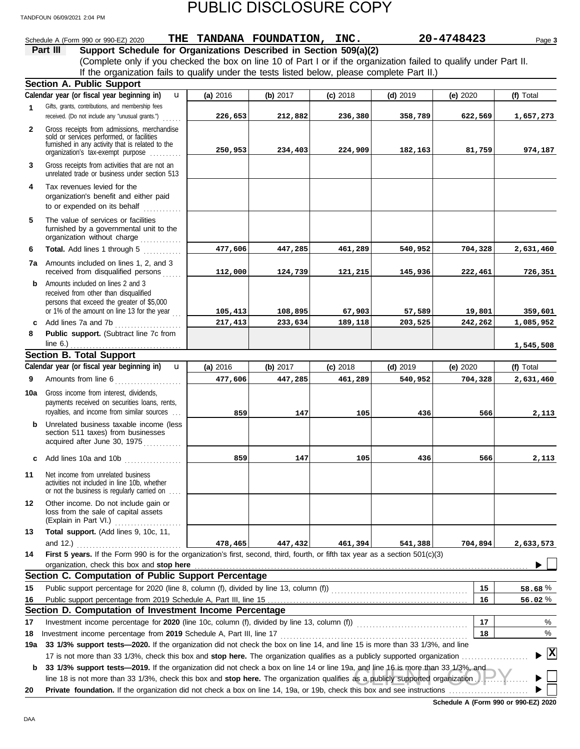|                | Schedule A (Form 990 or 990-EZ) 2020                                                                                                                                          | THE TANDANA FOUNDATION, INC. |          |            |            | 20-4748423 | Page 3       |
|----------------|-------------------------------------------------------------------------------------------------------------------------------------------------------------------------------|------------------------------|----------|------------|------------|------------|--------------|
|                | Part III<br>Support Schedule for Organizations Described in Section 509(a)(2)                                                                                                 |                              |          |            |            |            |              |
|                | (Complete only if you checked the box on line 10 of Part I or if the organization failed to qualify under Part II.                                                            |                              |          |            |            |            |              |
|                | If the organization fails to qualify under the tests listed below, please complete Part II.)                                                                                  |                              |          |            |            |            |              |
|                | <b>Section A. Public Support</b>                                                                                                                                              |                              |          |            |            |            |              |
|                | Calendar year (or fiscal year beginning in)<br>u                                                                                                                              | (a) 2016                     | (b) 2017 | $(c)$ 2018 | $(d)$ 2019 | (e) 2020   | (f) Total    |
| $\mathbf{1}$   | Gifts, grants, contributions, and membership fees                                                                                                                             |                              |          |            |            |            |              |
|                | received. (Do not include any "unusual grants.")<br>.                                                                                                                         | 226,653                      | 212,882  | 236,380    | 358,789    | 622,569    | 1,657,273    |
| $\overline{2}$ | Gross receipts from admissions, merchandise                                                                                                                                   |                              |          |            |            |            |              |
|                | sold or services performed, or facilities<br>furnished in any activity that is related to the                                                                                 |                              |          |            |            |            |              |
|                | organization's tax-exempt purpose                                                                                                                                             | 250,953                      | 234,403  | 224,909    | 182,163    | 81,759     | 974,187      |
| 3              | Gross receipts from activities that are not an<br>unrelated trade or business under section 513                                                                               |                              |          |            |            |            |              |
| 4              | Tax revenues levied for the                                                                                                                                                   |                              |          |            |            |            |              |
|                | organization's benefit and either paid                                                                                                                                        |                              |          |            |            |            |              |
|                | to or expended on its behalf<br>.                                                                                                                                             |                              |          |            |            |            |              |
| 5              | The value of services or facilities<br>furnished by a governmental unit to the<br>organization without charge                                                                 |                              |          |            |            |            |              |
| 6              | Total. Add lines 1 through 5                                                                                                                                                  | 477,606                      | 447,285  | 461,289    | 540,952    | 704,328    | 2,631,460    |
|                | 7a Amounts included on lines 1, 2, and 3                                                                                                                                      |                              |          |            |            |            |              |
|                | received from disqualified persons                                                                                                                                            | 112,000                      | 124,739  | 121,215    | 145,936    | 222,461    | 726,351      |
| b              | Amounts included on lines 2 and 3                                                                                                                                             |                              |          |            |            |            |              |
|                | received from other than disqualified                                                                                                                                         |                              |          |            |            |            |              |
|                | persons that exceed the greater of \$5,000                                                                                                                                    |                              |          |            |            |            |              |
|                | or 1% of the amount on line 13 for the year $\ldots$                                                                                                                          | 105,413                      | 108,895  | 67,903     | 57,589     | 19,801     | 359,601      |
| c              | Add lines 7a and 7b<br>.                                                                                                                                                      | 217,413                      | 233,634  | 189,118    | 203,525    | 242,262    | 1,085,952    |
| 8              | Public support. (Subtract line 7c from                                                                                                                                        |                              |          |            |            |            | 1,545,508    |
|                | <b>Section B. Total Support</b>                                                                                                                                               |                              |          |            |            |            |              |
|                | Calendar year (or fiscal year beginning in)<br>$\mathbf{u}$                                                                                                                   | (a) 2016                     | (b) 2017 | $(c)$ 2018 | $(d)$ 2019 | (e) 2020   | (f) Total    |
| 9              | Amounts from line 6                                                                                                                                                           | 477,606                      | 447,285  | 461,289    | 540,952    | 704,328    | 2,631,460    |
|                |                                                                                                                                                                               |                              |          |            |            |            |              |
| 10a            | Gross income from interest, dividends,<br>payments received on securities loans, rents,                                                                                       |                              |          |            |            |            |              |
|                | royalties, and income from similar sources                                                                                                                                    | 859                          | 147      | 105        | 436        | 566        | 2,113        |
| b              | Unrelated business taxable income (less                                                                                                                                       |                              |          |            |            |            |              |
|                | section 511 taxes) from businesses                                                                                                                                            |                              |          |            |            |            |              |
|                | acquired after June 30, 1975                                                                                                                                                  |                              |          |            |            |            |              |
|                | c Add lines 10a and 10b<br>.                                                                                                                                                  | 859                          | 147      | 105        | 436        | 566        | 2.113        |
| 11             | Net income from unrelated business                                                                                                                                            |                              |          |            |            |            |              |
|                | activities not included in line 10b, whether<br>or not the business is regularly carried on                                                                                   |                              |          |            |            |            |              |
| 12             | Other income. Do not include gain or                                                                                                                                          |                              |          |            |            |            |              |
|                | loss from the sale of capital assets                                                                                                                                          |                              |          |            |            |            |              |
|                | (Explain in Part VI.)<br>.                                                                                                                                                    |                              |          |            |            |            |              |
| 13             | Total support. (Add lines 9, 10c, 11,                                                                                                                                         |                              |          |            |            |            |              |
|                | and 12.) $\ldots$                                                                                                                                                             | 478,465                      | 447,432  | 461,394    | 541,388    | 704,894    | 2,633,573    |
| 14             | First 5 years. If the Form 990 is for the organization's first, second, third, fourth, or fifth tax year as a section 501(c)(3)<br>organization, check this box and stop here |                              |          |            |            |            |              |
|                | Section C. Computation of Public Support Percentage                                                                                                                           |                              |          |            |            |            |              |
| 15             |                                                                                                                                                                               |                              |          |            |            | 15         | 58.68%       |
| 16             |                                                                                                                                                                               |                              |          |            |            | 16         | 56.02%       |
|                | Section D. Computation of Investment Income Percentage                                                                                                                        |                              |          |            |            |            |              |
| 17             |                                                                                                                                                                               |                              |          |            |            | 17         | %            |
| 18             | Investment income percentage from 2019 Schedule A, Part III, line 17                                                                                                          |                              |          |            |            | 18         | %            |
| 19a            | 33 1/3% support tests-2020. If the organization did not check the box on line 14, and line 15 is more than 33 1/3%, and line                                                  |                              |          |            |            |            |              |
|                | 17 is not more than 33 1/3%, check this box and stop here. The organization qualifies as a publicly supported organization                                                    |                              |          |            |            |            | $\mathbf{x}$ |
| b              | 33 1/3% support tests-2019. If the organization did not check a box on line 14 or line 19a, and line 16 is more than 33 1/3%, and                                             |                              |          |            |            |            |              |
|                | line 18 is not more than 33 1/3%, check this box and stop here. The organization qualifies as a publicly supported organization                                               |                              |          |            |            |            |              |
| 20             |                                                                                                                                                                               |                              |          |            |            |            |              |
|                |                                                                                                                                                                               |                              |          |            |            |            |              |

**Schedule A (Form 990 or 990-EZ) 2020**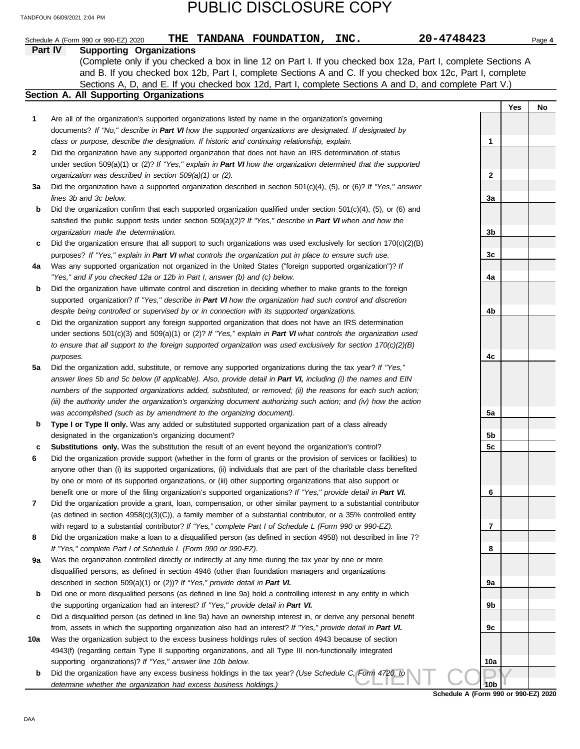|         | 20-4748423<br>THE TANDANA FOUNDATION, INC.<br>Schedule A (Form 990 or 990-EZ) 2020                                                                                                                                           |                 |     | Page 4 |
|---------|------------------------------------------------------------------------------------------------------------------------------------------------------------------------------------------------------------------------------|-----------------|-----|--------|
| Part IV | <b>Supporting Organizations</b>                                                                                                                                                                                              |                 |     |        |
|         | (Complete only if you checked a box in line 12 on Part I. If you checked box 12a, Part I, complete Sections A                                                                                                                |                 |     |        |
|         | and B. If you checked box 12b, Part I, complete Sections A and C. If you checked box 12c, Part I, complete                                                                                                                   |                 |     |        |
|         | Sections A, D, and E. If you checked box 12d, Part I, complete Sections A and D, and complete Part V.)                                                                                                                       |                 |     |        |
|         | Section A. All Supporting Organizations                                                                                                                                                                                      |                 |     |        |
|         |                                                                                                                                                                                                                              |                 | Yes | No     |
| 1       | Are all of the organization's supported organizations listed by name in the organization's governing                                                                                                                         |                 |     |        |
|         | documents? If "No," describe in Part VI how the supported organizations are designated. If designated by                                                                                                                     |                 |     |        |
| 2       | class or purpose, describe the designation. If historic and continuing relationship, explain.<br>Did the organization have any supported organization that does not have an IRS determination of status                      | 1               |     |        |
|         | under section 509(a)(1) or (2)? If "Yes," explain in Part VI how the organization determined that the supported                                                                                                              |                 |     |        |
|         | organization was described in section 509(a)(1) or (2).                                                                                                                                                                      | 2               |     |        |
| За      | Did the organization have a supported organization described in section $501(c)(4)$ , (5), or (6)? If "Yes," answer                                                                                                          |                 |     |        |
|         | lines 3b and 3c below.                                                                                                                                                                                                       | За              |     |        |
| b       | Did the organization confirm that each supported organization qualified under section $501(c)(4)$ , $(5)$ , or $(6)$ and                                                                                                     |                 |     |        |
|         | satisfied the public support tests under section 509(a)(2)? If "Yes," describe in Part VI when and how the                                                                                                                   |                 |     |        |
|         | organization made the determination.                                                                                                                                                                                         | 3b              |     |        |
| c       | Did the organization ensure that all support to such organizations was used exclusively for section $170(c)(2)(B)$                                                                                                           |                 |     |        |
|         | purposes? If "Yes," explain in Part VI what controls the organization put in place to ensure such use.                                                                                                                       | 3c              |     |        |
| 4a      | Was any supported organization not organized in the United States ("foreign supported organization")? If                                                                                                                     |                 |     |        |
|         | "Yes," and if you checked 12a or 12b in Part I, answer (b) and (c) below.                                                                                                                                                    | 4a              |     |        |
| b       | Did the organization have ultimate control and discretion in deciding whether to make grants to the foreign                                                                                                                  |                 |     |        |
|         | supported organization? If "Yes," describe in Part VI how the organization had such control and discretion                                                                                                                   |                 |     |        |
|         | despite being controlled or supervised by or in connection with its supported organizations.                                                                                                                                 | 4b              |     |        |
| c       | Did the organization support any foreign supported organization that does not have an IRS determination                                                                                                                      |                 |     |        |
|         | under sections $501(c)(3)$ and $509(a)(1)$ or (2)? If "Yes," explain in Part VI what controls the organization used                                                                                                          |                 |     |        |
|         | to ensure that all support to the foreign supported organization was used exclusively for section $170(c)(2)(B)$                                                                                                             |                 |     |        |
|         | purposes.                                                                                                                                                                                                                    | 4c              |     |        |
| 5a      | Did the organization add, substitute, or remove any supported organizations during the tax year? If "Yes,"<br>answer lines 5b and 5c below (if applicable). Also, provide detail in Part VI, including (i) the names and EIN |                 |     |        |
|         | numbers of the supported organizations added, substituted, or removed; (ii) the reasons for each such action;                                                                                                                |                 |     |        |
|         | (iii) the authority under the organization's organizing document authorizing such action; and (iv) how the action                                                                                                            |                 |     |        |
|         | was accomplished (such as by amendment to the organizing document).                                                                                                                                                          | 5a              |     |        |
| b       | Type I or Type II only. Was any added or substituted supported organization part of a class already                                                                                                                          |                 |     |        |
|         | designated in the organization's organizing document?                                                                                                                                                                        | 5b              |     |        |
| c       | Substitutions only. Was the substitution the result of an event beyond the organization's control?                                                                                                                           | 5c              |     |        |
| 6       | Did the organization provide support (whether in the form of grants or the provision of services or facilities) to                                                                                                           |                 |     |        |
|         | anyone other than (i) its supported organizations, (ii) individuals that are part of the charitable class benefited                                                                                                          |                 |     |        |
|         | by one or more of its supported organizations, or (iii) other supporting organizations that also support or                                                                                                                  |                 |     |        |
|         | benefit one or more of the filing organization's supported organizations? If "Yes," provide detail in Part VI.                                                                                                               | 6               |     |        |
| 7       | Did the organization provide a grant, loan, compensation, or other similar payment to a substantial contributor                                                                                                              |                 |     |        |
|         | (as defined in section $4958(c)(3)(C)$ ), a family member of a substantial contributor, or a 35% controlled entity                                                                                                           |                 |     |        |
|         | with regard to a substantial contributor? If "Yes," complete Part I of Schedule L (Form 990 or 990-EZ).                                                                                                                      | 7               |     |        |
| 8       | Did the organization make a loan to a disqualified person (as defined in section 4958) not described in line 7?                                                                                                              |                 |     |        |
| 9a      | If "Yes," complete Part I of Schedule L (Form 990 or 990-EZ).<br>Was the organization controlled directly or indirectly at any time during the tax year by one or more                                                       | 8               |     |        |
|         | disqualified persons, as defined in section 4946 (other than foundation managers and organizations                                                                                                                           |                 |     |        |
|         | described in section 509(a)(1) or (2))? If "Yes," provide detail in Part VI.                                                                                                                                                 | 9a              |     |        |
| b       | Did one or more disqualified persons (as defined in line 9a) hold a controlling interest in any entity in which                                                                                                              |                 |     |        |
|         | the supporting organization had an interest? If "Yes," provide detail in Part VI.                                                                                                                                            | 9b              |     |        |
| c       | Did a disqualified person (as defined in line 9a) have an ownership interest in, or derive any personal benefit                                                                                                              |                 |     |        |
|         | from, assets in which the supporting organization also had an interest? If "Yes," provide detail in Part VI.                                                                                                                 | 9c              |     |        |
| 10a     | Was the organization subject to the excess business holdings rules of section 4943 because of section                                                                                                                        |                 |     |        |
|         | 4943(f) (regarding certain Type II supporting organizations, and all Type III non-functionally integrated                                                                                                                    |                 |     |        |
|         | supporting organizations)? If "Yes," answer line 10b below.                                                                                                                                                                  | 10a             |     |        |
| b       | Did the organization have any excess business holdings in the tax year? (Use Schedule C, Form 4720, to                                                                                                                       |                 |     |        |
|         | determine whether the organization had excess business holdings.)                                                                                                                                                            | 10 <sub>b</sub> |     |        |

**Schedule A (Form 990 or 990-EZ) 2020**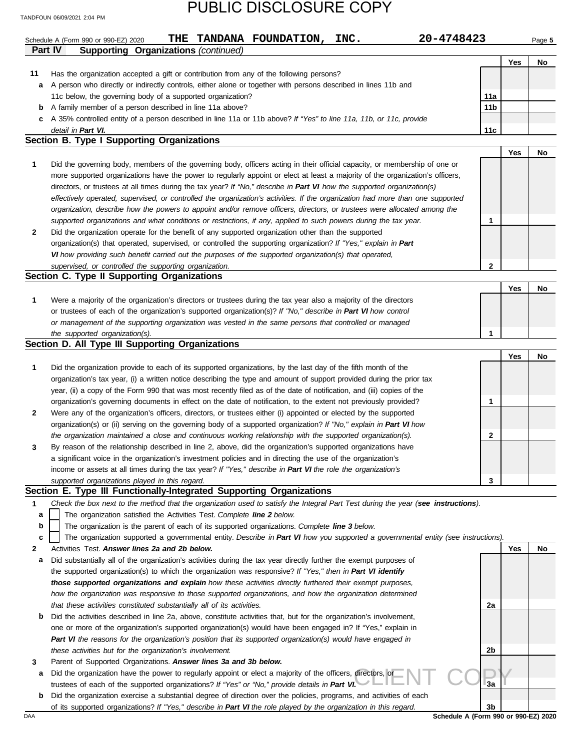|              | 20-4748423<br>TANDANA FOUNDATION,<br>INC.<br>THE<br>Schedule A (Form 990 or 990-EZ) 2020                                          |                 |     | Page 5 |
|--------------|-----------------------------------------------------------------------------------------------------------------------------------|-----------------|-----|--------|
|              | <b>Part IV</b><br><b>Supporting Organizations (continued)</b>                                                                     |                 |     |        |
|              |                                                                                                                                   |                 | Yes | No     |
| 11           | Has the organization accepted a gift or contribution from any of the following persons?                                           |                 |     |        |
| a            | A person who directly or indirectly controls, either alone or together with persons described in lines 11b and                    |                 |     |        |
|              | 11c below, the governing body of a supported organization?                                                                        | 11a             |     |        |
| b            | A family member of a person described in line 11a above?                                                                          | 11 <sub>b</sub> |     |        |
| c            | A 35% controlled entity of a person described in line 11a or 11b above? If "Yes" to line 11a, 11b, or 11c, provide                |                 |     |        |
|              | detail in Part VI.                                                                                                                | 11c             |     |        |
|              | Section B. Type I Supporting Organizations                                                                                        |                 |     |        |
|              |                                                                                                                                   |                 |     |        |
|              |                                                                                                                                   |                 | Yes | No     |
| 1            | Did the governing body, members of the governing body, officers acting in their official capacity, or membership of one or        |                 |     |        |
|              | more supported organizations have the power to regularly appoint or elect at least a majority of the organization's officers,     |                 |     |        |
|              | directors, or trustees at all times during the tax year? If "No," describe in Part VI how the supported organization(s)           |                 |     |        |
|              | effectively operated, supervised, or controlled the organization's activities. If the organization had more than one supported    |                 |     |        |
|              | organization, describe how the powers to appoint and/or remove officers, directors, or trustees were allocated among the          |                 |     |        |
|              | supported organizations and what conditions or restrictions, if any, applied to such powers during the tax year.                  | $\mathbf{1}$    |     |        |
| $\mathbf{2}$ | Did the organization operate for the benefit of any supported organization other than the supported                               |                 |     |        |
|              | organization(s) that operated, supervised, or controlled the supporting organization? If "Yes," explain in Part                   |                 |     |        |
|              | VI how providing such benefit carried out the purposes of the supported organization(s) that operated,                            |                 |     |        |
|              | supervised, or controlled the supporting organization.                                                                            | 2               |     |        |
|              | Section C. Type II Supporting Organizations                                                                                       |                 |     |        |
|              |                                                                                                                                   |                 | Yes | No     |
| 1            | Were a majority of the organization's directors or trustees during the tax year also a majority of the directors                  |                 |     |        |
|              | or trustees of each of the organization's supported organization(s)? If "No," describe in Part VI how control                     |                 |     |        |
|              | or management of the supporting organization was vested in the same persons that controlled or managed                            |                 |     |        |
|              | the supported organization(s).                                                                                                    | 1               |     |        |
|              | Section D. All Type III Supporting Organizations                                                                                  |                 |     |        |
|              |                                                                                                                                   |                 |     |        |
|              |                                                                                                                                   |                 | Yes | No     |
| 1            | Did the organization provide to each of its supported organizations, by the last day of the fifth month of the                    |                 |     |        |
|              | organization's tax year, (i) a written notice describing the type and amount of support provided during the prior tax             |                 |     |        |
|              | year, (ii) a copy of the Form 990 that was most recently filed as of the date of notification, and (iii) copies of the            |                 |     |        |
|              | organization's governing documents in effect on the date of notification, to the extent not previously provided?                  | 1               |     |        |
| 2            | Were any of the organization's officers, directors, or trustees either (i) appointed or elected by the supported                  |                 |     |        |
|              | organization(s) or (ii) serving on the governing body of a supported organization? If "No," explain in Part VI how                |                 |     |        |
|              | the organization maintained a close and continuous working relationship with the supported organization(s).                       | 2               |     |        |
| 3            | By reason of the relationship described in line 2, above, did the organization's supported organizations have                     |                 |     |        |
|              | a significant voice in the organization's investment policies and in directing the use of the organization's                      |                 |     |        |
|              | income or assets at all times during the tax year? If "Yes," describe in Part VI the role the organization's                      |                 |     |        |
|              | supported organizations played in this regard.                                                                                    | 3               |     |        |
|              | Section E. Type III Functionally-Integrated Supporting Organizations                                                              |                 |     |        |
| 1            | Check the box next to the method that the organization used to satisfy the Integral Part Test during the year (see instructions). |                 |     |        |
| а            | The organization satisfied the Activities Test. Complete line 2 below.                                                            |                 |     |        |
| b            | The organization is the parent of each of its supported organizations. Complete line 3 below.                                     |                 |     |        |
|              |                                                                                                                                   |                 |     |        |
| c            | The organization supported a governmental entity. Describe in Part VI how you supported a governmental entity (see instructions). |                 |     |        |
| 2            | Activities Test. Answer lines 2a and 2b below.                                                                                    |                 | Yes | No     |
| а            | Did substantially all of the organization's activities during the tax year directly further the exempt purposes of                |                 |     |        |
|              | the supported organization(s) to which the organization was responsive? If "Yes," then in Part VI identify                        |                 |     |        |
|              | those supported organizations and explain how these activities directly furthered their exempt purposes,                          |                 |     |        |
|              | how the organization was responsive to those supported organizations, and how the organization determined                         |                 |     |        |
|              | that these activities constituted substantially all of its activities.                                                            | 2a              |     |        |
| b            | Did the activities described in line 2a, above, constitute activities that, but for the organization's involvement,               |                 |     |        |
|              | one or more of the organization's supported organization(s) would have been engaged in? If "Yes," explain in                      |                 |     |        |
|              | Part VI the reasons for the organization's position that its supported organization(s) would have engaged in                      |                 |     |        |
|              | these activities but for the organization's involvement.                                                                          | 2b              |     |        |
| З            | Parent of Supported Organizations. Answer lines 3a and 3b below.                                                                  |                 |     |        |
| а            | Did the organization have the power to regularly appoint or elect a majority of the officers, directors, or                       |                 |     |        |
|              | trustees of each of the supported organizations? If "Yes" or "No," provide details in Part VI.                                    | Зa              |     |        |
| b            | Did the organization exercise a substantial degree of direction over the policies, programs, and activities of each               |                 |     |        |
|              | of its supported organizations? If "Yes," describe in Part VI the role played by the organization in this regard.                 | 3b              |     |        |
| DAA          | Schedule A (Form 990 or 990-EZ) 2020                                                                                              |                 |     |        |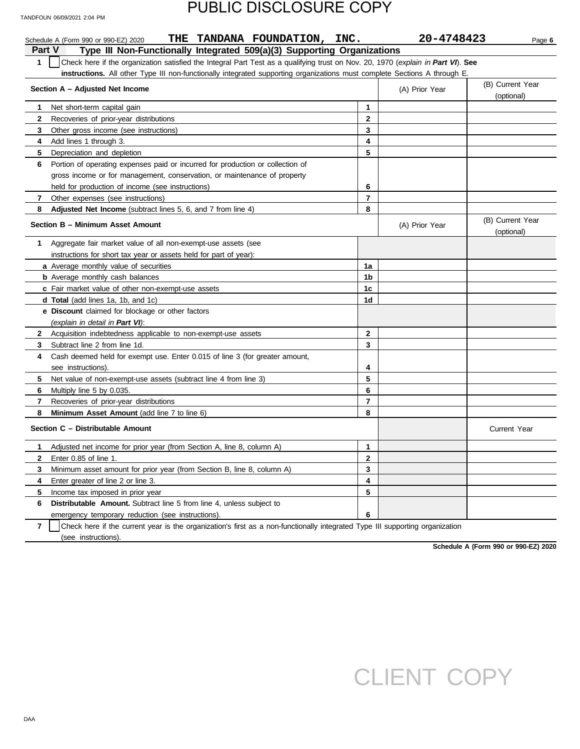|                | THE TANDANA FOUNDATION, INC.<br>Schedule A (Form 990 or 990-EZ) 2020                                                             |              | 20-4748423     | Page 6                         |
|----------------|----------------------------------------------------------------------------------------------------------------------------------|--------------|----------------|--------------------------------|
| <b>Part V</b>  | Type III Non-Functionally Integrated 509(a)(3) Supporting Organizations                                                          |              |                |                                |
| $\mathbf 1$    | Check here if the organization satisfied the Integral Part Test as a qualifying trust on Nov. 20, 1970 (explain in Part VI). See |              |                |                                |
|                | instructions. All other Type III non-functionally integrated supporting organizations must complete Sections A through E.        |              |                |                                |
|                | Section A - Adjusted Net Income                                                                                                  |              | (A) Prior Year | (B) Current Year<br>(optional) |
| $\mathbf 1$    | Net short-term capital gain                                                                                                      | 1            |                |                                |
| $\mathbf{2}$   | Recoveries of prior-year distributions                                                                                           | $\mathbf{2}$ |                |                                |
| 3              | Other gross income (see instructions)                                                                                            | 3            |                |                                |
| 4              | Add lines 1 through 3.                                                                                                           | 4            |                |                                |
| 5.             | Depreciation and depletion                                                                                                       | 5            |                |                                |
| 6              | Portion of operating expenses paid or incurred for production or collection of                                                   |              |                |                                |
|                | gross income or for management, conservation, or maintenance of property                                                         |              |                |                                |
|                | held for production of income (see instructions)                                                                                 | 6            |                |                                |
| 7              | Other expenses (see instructions)                                                                                                | 7            |                |                                |
| 8              | Adjusted Net Income (subtract lines 5, 6, and 7 from line 4)                                                                     | 8            |                |                                |
|                | Section B - Minimum Asset Amount                                                                                                 |              | (A) Prior Year | (B) Current Year<br>(optional) |
| 1              | Aggregate fair market value of all non-exempt-use assets (see                                                                    |              |                |                                |
|                | instructions for short tax year or assets held for part of year):                                                                |              |                |                                |
|                | a Average monthly value of securities                                                                                            | 1a           |                |                                |
|                | <b>b</b> Average monthly cash balances                                                                                           | 1b           |                |                                |
|                | c Fair market value of other non-exempt-use assets                                                                               | 1c           |                |                                |
|                | <b>d Total</b> (add lines 1a, 1b, and 1c)                                                                                        | 1d           |                |                                |
|                | e Discount claimed for blockage or other factors                                                                                 |              |                |                                |
|                | (explain in detail in Part VI):                                                                                                  |              |                |                                |
| $\mathbf{2}$   | Acquisition indebtedness applicable to non-exempt-use assets                                                                     | $\mathbf{2}$ |                |                                |
| 3              | Subtract line 2 from line 1d.                                                                                                    | 3            |                |                                |
| 4              | Cash deemed held for exempt use. Enter 0.015 of line 3 (for greater amount,                                                      |              |                |                                |
|                | see instructions).                                                                                                               | 4            |                |                                |
| 5.             | Net value of non-exempt-use assets (subtract line 4 from line 3)                                                                 | 5            |                |                                |
| 6              | Multiply line 5 by 0.035.                                                                                                        | 6            |                |                                |
| 7              | Recoveries of prior-year distributions                                                                                           | 7            |                |                                |
| 8              | Minimum Asset Amount (add line 7 to line 6)                                                                                      | 8            |                |                                |
|                | Section C - Distributable Amount                                                                                                 |              |                | <b>Current Year</b>            |
| 1.             | Adjusted net income for prior year (from Section A, line 8, column A)                                                            | 1            |                |                                |
|                | Enter 0.85 of line 1.                                                                                                            | 2            |                |                                |
| 3              | Minimum asset amount for prior year (from Section B, line 8, column A)                                                           | 3            |                |                                |
| 4              | Enter greater of line 2 or line 3.                                                                                               | 4            |                |                                |
| 5              | Income tax imposed in prior year                                                                                                 | 5            |                |                                |
| 6              | Distributable Amount. Subtract line 5 from line 4, unless subject to                                                             |              |                |                                |
|                | emergency temporary reduction (see instructions).                                                                                | 6            |                |                                |
| $\overline{7}$ | Check here if the current year is the organization's first as a non-functionally integrated Type III supporting organization     |              |                |                                |

**Schedule A (Form 990 or 990-EZ) 2020**

# CLIENT COPY

(see instructions).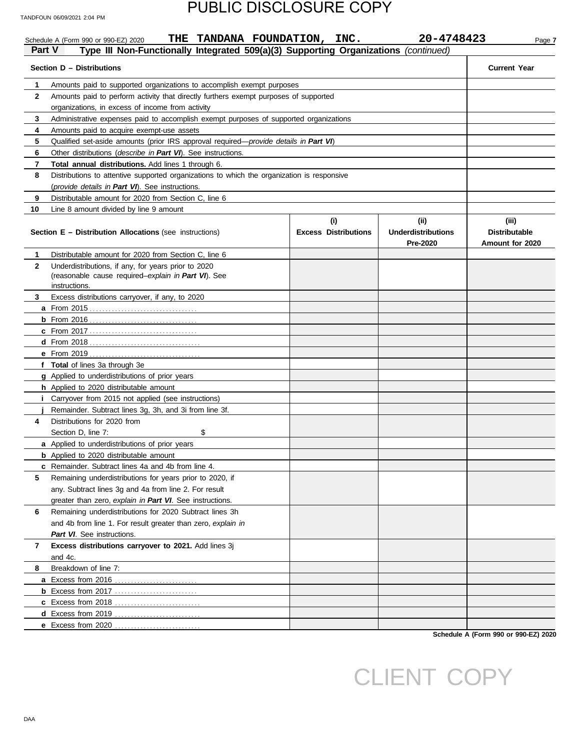| Part V       | THE TANDANA FOUNDATION, INC.<br>Schedule A (Form 990 or 990-EZ) 2020<br>Type III Non-Functionally Integrated 509(a)(3) Supporting Organizations (continued) |                             | 20-4748423                     | Page 7                                  |  |  |  |  |  |  |  |  |
|--------------|-------------------------------------------------------------------------------------------------------------------------------------------------------------|-----------------------------|--------------------------------|-----------------------------------------|--|--|--|--|--|--|--|--|
|              | Section D - Distributions                                                                                                                                   |                             |                                | <b>Current Year</b>                     |  |  |  |  |  |  |  |  |
| 1            | Amounts paid to supported organizations to accomplish exempt purposes                                                                                       |                             |                                |                                         |  |  |  |  |  |  |  |  |
| $\mathbf{2}$ | Amounts paid to perform activity that directly furthers exempt purposes of supported<br>organizations, in excess of income from activity                    |                             |                                |                                         |  |  |  |  |  |  |  |  |
| 3            | Administrative expenses paid to accomplish exempt purposes of supported organizations                                                                       |                             |                                |                                         |  |  |  |  |  |  |  |  |
|              | 4<br>Amounts paid to acquire exempt-use assets                                                                                                              |                             |                                |                                         |  |  |  |  |  |  |  |  |
| 5            | Qualified set-aside amounts (prior IRS approval required—provide details in Part VI)                                                                        |                             |                                |                                         |  |  |  |  |  |  |  |  |
| 6            | Other distributions (describe in Part VI). See instructions.                                                                                                |                             |                                |                                         |  |  |  |  |  |  |  |  |
| 7            | Total annual distributions. Add lines 1 through 6.                                                                                                          |                             |                                |                                         |  |  |  |  |  |  |  |  |
| 8            | Distributions to attentive supported organizations to which the organization is responsive                                                                  |                             |                                |                                         |  |  |  |  |  |  |  |  |
|              | (provide details in Part VI). See instructions.                                                                                                             |                             |                                |                                         |  |  |  |  |  |  |  |  |
| 9            | Distributable amount for 2020 from Section C, line 6                                                                                                        |                             |                                |                                         |  |  |  |  |  |  |  |  |
| 10           | Line 8 amount divided by line 9 amount                                                                                                                      |                             |                                |                                         |  |  |  |  |  |  |  |  |
|              |                                                                                                                                                             | (i)                         | (iii)                          | (iii)                                   |  |  |  |  |  |  |  |  |
|              | <b>Section E - Distribution Allocations (see instructions)</b>                                                                                              | <b>Excess Distributions</b> | Underdistributions<br>Pre-2020 | <b>Distributable</b><br>Amount for 2020 |  |  |  |  |  |  |  |  |
| 1            | Distributable amount for 2020 from Section C, line 6                                                                                                        |                             |                                |                                         |  |  |  |  |  |  |  |  |
| $\mathbf{2}$ | Underdistributions, if any, for years prior to 2020<br>(reasonable cause required-explain in Part VI). See<br>instructions.                                 |                             |                                |                                         |  |  |  |  |  |  |  |  |
| 3            | Excess distributions carryover, if any, to 2020                                                                                                             |                             |                                |                                         |  |  |  |  |  |  |  |  |
|              |                                                                                                                                                             |                             |                                |                                         |  |  |  |  |  |  |  |  |
|              |                                                                                                                                                             |                             |                                |                                         |  |  |  |  |  |  |  |  |
|              |                                                                                                                                                             |                             |                                |                                         |  |  |  |  |  |  |  |  |
|              |                                                                                                                                                             |                             |                                |                                         |  |  |  |  |  |  |  |  |
|              |                                                                                                                                                             |                             |                                |                                         |  |  |  |  |  |  |  |  |
|              | f Total of lines 3a through 3e                                                                                                                              |                             |                                |                                         |  |  |  |  |  |  |  |  |
|              | g Applied to underdistributions of prior years                                                                                                              |                             |                                |                                         |  |  |  |  |  |  |  |  |
|              | <b>h</b> Applied to 2020 distributable amount                                                                                                               |                             |                                |                                         |  |  |  |  |  |  |  |  |
|              | Carryover from 2015 not applied (see instructions)                                                                                                          |                             |                                |                                         |  |  |  |  |  |  |  |  |
|              | Remainder. Subtract lines 3g, 3h, and 3i from line 3f.                                                                                                      |                             |                                |                                         |  |  |  |  |  |  |  |  |
| 4            | Distributions for 2020 from                                                                                                                                 |                             |                                |                                         |  |  |  |  |  |  |  |  |
|              | \$<br>Section D, line 7:                                                                                                                                    |                             |                                |                                         |  |  |  |  |  |  |  |  |
|              | <b>a</b> Applied to underdistributions of prior years                                                                                                       |                             |                                |                                         |  |  |  |  |  |  |  |  |
|              | <b>b</b> Applied to 2020 distributable amount                                                                                                               |                             |                                |                                         |  |  |  |  |  |  |  |  |
|              | <b>c</b> Remainder. Subtract lines 4a and 4b from line 4.                                                                                                   |                             |                                |                                         |  |  |  |  |  |  |  |  |
| 5            | Remaining underdistributions for years prior to 2020, if                                                                                                    |                             |                                |                                         |  |  |  |  |  |  |  |  |
|              | any. Subtract lines 3g and 4a from line 2. For result                                                                                                       |                             |                                |                                         |  |  |  |  |  |  |  |  |
|              | greater than zero, explain in Part VI. See instructions.                                                                                                    |                             |                                |                                         |  |  |  |  |  |  |  |  |
| 6            | Remaining underdistributions for 2020 Subtract lines 3h                                                                                                     |                             |                                |                                         |  |  |  |  |  |  |  |  |
|              | and 4b from line 1. For result greater than zero, explain in                                                                                                |                             |                                |                                         |  |  |  |  |  |  |  |  |
|              | Part VI. See instructions.                                                                                                                                  |                             |                                |                                         |  |  |  |  |  |  |  |  |
| 7            | Excess distributions carryover to 2021. Add lines 3j<br>and 4c.                                                                                             |                             |                                |                                         |  |  |  |  |  |  |  |  |
| 8            | Breakdown of line 7:                                                                                                                                        |                             |                                |                                         |  |  |  |  |  |  |  |  |
|              | a Excess from 2016                                                                                                                                          |                             |                                |                                         |  |  |  |  |  |  |  |  |
|              |                                                                                                                                                             |                             |                                |                                         |  |  |  |  |  |  |  |  |
|              | c Excess from 2018                                                                                                                                          |                             |                                |                                         |  |  |  |  |  |  |  |  |
|              | d Excess from 2019<br>.                                                                                                                                     |                             |                                |                                         |  |  |  |  |  |  |  |  |
|              | <b>e</b> Excess from 2020                                                                                                                                   |                             |                                |                                         |  |  |  |  |  |  |  |  |
|              |                                                                                                                                                             |                             | Calcadola A (Ea)               | $\sim$ 000 $\sim$ 000 $\sim$ 71,0000    |  |  |  |  |  |  |  |  |

**Schedule A (Form 990 or 990-EZ) 2020**

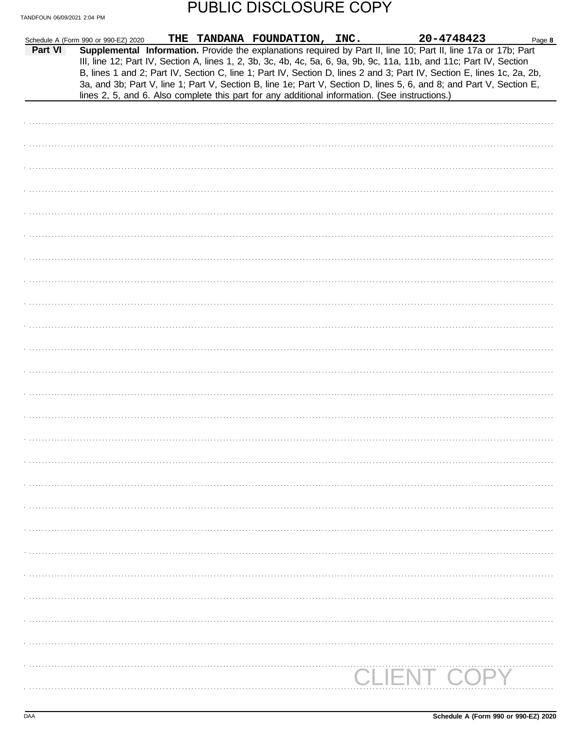|         | Schedule A (Form 990 or 990-EZ) 2020                                                           | THE TANDANA FOUNDATION, INC. | 20-4748423                                                                                                                                                                                                                                                                                                                                                                                                                                                                                | Page 8 |
|---------|------------------------------------------------------------------------------------------------|------------------------------|-------------------------------------------------------------------------------------------------------------------------------------------------------------------------------------------------------------------------------------------------------------------------------------------------------------------------------------------------------------------------------------------------------------------------------------------------------------------------------------------|--------|
| Part VI | lines 2, 5, and 6. Also complete this part for any additional information. (See instructions.) |                              | Supplemental Information. Provide the explanations required by Part II, line 10; Part II, line 17a or 17b; Part<br>III, line 12; Part IV, Section A, lines 1, 2, 3b, 3c, 4b, 4c, 5a, 6, 9a, 9b, 9c, 11a, 11b, and 11c; Part IV, Section<br>B, lines 1 and 2; Part IV, Section C, line 1; Part IV, Section D, lines 2 and 3; Part IV, Section E, lines 1c, 2a, 2b,<br>3a, and 3b; Part V, line 1; Part V, Section B, line 1e; Part V, Section D, lines 5, 6, and 8; and Part V, Section E, |        |
|         |                                                                                                |                              |                                                                                                                                                                                                                                                                                                                                                                                                                                                                                           |        |
|         |                                                                                                |                              |                                                                                                                                                                                                                                                                                                                                                                                                                                                                                           |        |
|         |                                                                                                |                              |                                                                                                                                                                                                                                                                                                                                                                                                                                                                                           |        |
|         |                                                                                                |                              |                                                                                                                                                                                                                                                                                                                                                                                                                                                                                           |        |
|         |                                                                                                |                              |                                                                                                                                                                                                                                                                                                                                                                                                                                                                                           |        |
|         |                                                                                                |                              |                                                                                                                                                                                                                                                                                                                                                                                                                                                                                           |        |
|         |                                                                                                |                              |                                                                                                                                                                                                                                                                                                                                                                                                                                                                                           |        |
|         |                                                                                                |                              |                                                                                                                                                                                                                                                                                                                                                                                                                                                                                           |        |
|         |                                                                                                |                              |                                                                                                                                                                                                                                                                                                                                                                                                                                                                                           |        |
|         |                                                                                                |                              |                                                                                                                                                                                                                                                                                                                                                                                                                                                                                           |        |
|         |                                                                                                |                              |                                                                                                                                                                                                                                                                                                                                                                                                                                                                                           |        |
|         |                                                                                                |                              |                                                                                                                                                                                                                                                                                                                                                                                                                                                                                           |        |
|         |                                                                                                |                              |                                                                                                                                                                                                                                                                                                                                                                                                                                                                                           |        |
|         |                                                                                                |                              |                                                                                                                                                                                                                                                                                                                                                                                                                                                                                           |        |
|         |                                                                                                |                              |                                                                                                                                                                                                                                                                                                                                                                                                                                                                                           |        |
|         |                                                                                                |                              |                                                                                                                                                                                                                                                                                                                                                                                                                                                                                           |        |
|         |                                                                                                |                              |                                                                                                                                                                                                                                                                                                                                                                                                                                                                                           |        |
|         |                                                                                                |                              |                                                                                                                                                                                                                                                                                                                                                                                                                                                                                           |        |
|         |                                                                                                |                              |                                                                                                                                                                                                                                                                                                                                                                                                                                                                                           |        |
|         |                                                                                                |                              |                                                                                                                                                                                                                                                                                                                                                                                                                                                                                           |        |
|         |                                                                                                |                              |                                                                                                                                                                                                                                                                                                                                                                                                                                                                                           |        |
|         |                                                                                                |                              |                                                                                                                                                                                                                                                                                                                                                                                                                                                                                           |        |
|         |                                                                                                |                              |                                                                                                                                                                                                                                                                                                                                                                                                                                                                                           |        |
|         |                                                                                                |                              |                                                                                                                                                                                                                                                                                                                                                                                                                                                                                           |        |
|         |                                                                                                |                              |                                                                                                                                                                                                                                                                                                                                                                                                                                                                                           |        |
|         |                                                                                                |                              |                                                                                                                                                                                                                                                                                                                                                                                                                                                                                           |        |
|         |                                                                                                |                              |                                                                                                                                                                                                                                                                                                                                                                                                                                                                                           |        |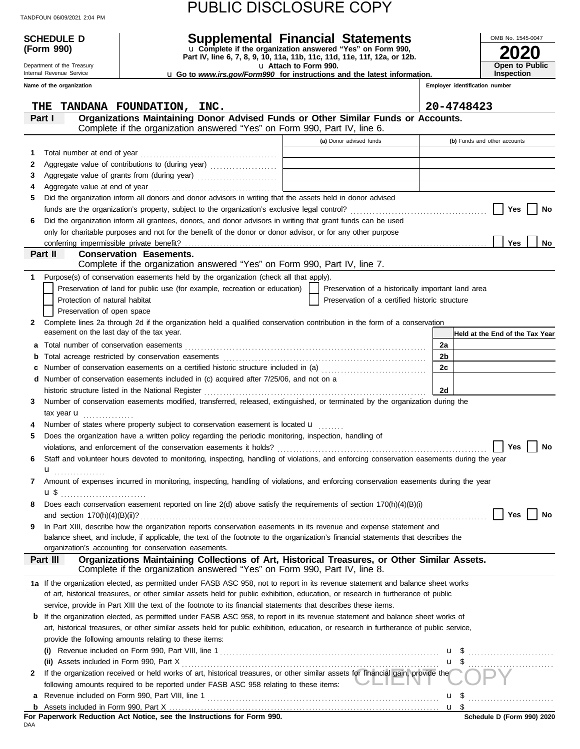| TANDFOUN 06/09/2021 2:04 PM |  |  |
|-----------------------------|--|--|
|                             |  |  |

| Schedule d                                |                                                                                                                                                                           | Supplemental Financial Statements                                                                 |                                | OMB No. 1545-0047               |  |  |
|-------------------------------------------|---------------------------------------------------------------------------------------------------------------------------------------------------------------------------|---------------------------------------------------------------------------------------------------|--------------------------------|---------------------------------|--|--|
| (Form 990)                                |                                                                                                                                                                           | u Complete if the organization answered "Yes" on Form 990,                                        |                                |                                 |  |  |
| Department of the Treasury                |                                                                                                                                                                           | Part IV, line 6, 7, 8, 9, 10, 11a, 11b, 11c, 11d, 11e, 11f, 12a, or 12b.<br>u Attach to Form 990. |                                | Open to Public                  |  |  |
| Internal Revenue Service                  |                                                                                                                                                                           | <b>u</b> Go to <i>www.irs.gov/Form990</i> for instructions and the latest information.            |                                | <b>Inspection</b>               |  |  |
| Name of the organization                  |                                                                                                                                                                           |                                                                                                   | Employer identification number |                                 |  |  |
|                                           |                                                                                                                                                                           |                                                                                                   |                                |                                 |  |  |
| THE<br>Part I                             | TANDANA FOUNDATION, INC.<br>Organizations Maintaining Donor Advised Funds or Other Similar Funds or Accounts.                                                             |                                                                                                   | 20-4748423                     |                                 |  |  |
|                                           | Complete if the organization answered "Yes" on Form 990, Part IV, line 6.                                                                                                 |                                                                                                   |                                |                                 |  |  |
|                                           |                                                                                                                                                                           | (a) Donor advised funds                                                                           |                                | (b) Funds and other accounts    |  |  |
| Total number at end of year<br>1          |                                                                                                                                                                           |                                                                                                   |                                |                                 |  |  |
| 2                                         |                                                                                                                                                                           |                                                                                                   |                                |                                 |  |  |
| 3                                         |                                                                                                                                                                           |                                                                                                   |                                |                                 |  |  |
| 4                                         |                                                                                                                                                                           |                                                                                                   |                                |                                 |  |  |
| 5                                         | Did the organization inform all donors and donor advisors in writing that the assets held in donor advised                                                                |                                                                                                   |                                |                                 |  |  |
|                                           | funds are the organization's property, subject to the organization's exclusive legal control?                                                                             |                                                                                                   |                                | Yes<br>No                       |  |  |
| 6                                         | Did the organization inform all grantees, donors, and donor advisors in writing that grant funds can be used                                                              |                                                                                                   |                                |                                 |  |  |
|                                           | only for charitable purposes and not for the benefit of the donor or donor advisor, or for any other purpose                                                              |                                                                                                   |                                |                                 |  |  |
| Part II                                   | <b>Conservation Easements.</b>                                                                                                                                            |                                                                                                   |                                | Yes<br>No                       |  |  |
|                                           | Complete if the organization answered "Yes" on Form 990, Part IV, line 7.                                                                                                 |                                                                                                   |                                |                                 |  |  |
| 1.                                        | Purpose(s) of conservation easements held by the organization (check all that apply).                                                                                     |                                                                                                   |                                |                                 |  |  |
|                                           | Preservation of land for public use (for example, recreation or education)                                                                                                | Preservation of a historically important land area                                                |                                |                                 |  |  |
| Protection of natural habitat             |                                                                                                                                                                           | Preservation of a certified historic structure                                                    |                                |                                 |  |  |
| Preservation of open space                |                                                                                                                                                                           |                                                                                                   |                                |                                 |  |  |
| $\mathbf{2}$                              | Complete lines 2a through 2d if the organization held a qualified conservation contribution in the form of a conservation                                                 |                                                                                                   |                                |                                 |  |  |
| easement on the last day of the tax year. |                                                                                                                                                                           |                                                                                                   |                                | Held at the End of the Tax Year |  |  |
| а                                         |                                                                                                                                                                           |                                                                                                   | 2a                             |                                 |  |  |
| b                                         |                                                                                                                                                                           |                                                                                                   | 2b                             |                                 |  |  |
| c                                         | Number of conservation easements on a certified historic structure included in (a) [[[[[[ [ ]]]]                                                                          |                                                                                                   | 2с                             |                                 |  |  |
| d                                         | Number of conservation easements included in (c) acquired after 7/25/06, and not on a                                                                                     |                                                                                                   |                                |                                 |  |  |
|                                           | historic structure listed in the National Register                                                                                                                        |                                                                                                   | 2d                             |                                 |  |  |
| 3                                         | Number of conservation easements modified, transferred, released, extinguished, or terminated by the organization during the                                              |                                                                                                   |                                |                                 |  |  |
| tax year $\mathbf{u}$<br>4                | Number of states where property subject to conservation easement is located $\mathbf u$                                                                                   |                                                                                                   |                                |                                 |  |  |
| 5                                         | Does the organization have a written policy regarding the periodic monitoring, inspection, handling of                                                                    |                                                                                                   |                                |                                 |  |  |
|                                           | violations, and enforcement of the conservation easements it holds? $\Box$ and $\Box$ are $\Box$ are $\Box$ No                                                            |                                                                                                   |                                |                                 |  |  |
| 6                                         | Staff and volunteer hours devoted to monitoring, inspecting, handling of violations, and enforcing conservation easements during the year                                 |                                                                                                   |                                |                                 |  |  |
| ${\bf u}$                                 |                                                                                                                                                                           |                                                                                                   |                                |                                 |  |  |
| $\mathbf{7}$                              | Amount of expenses incurred in monitoring, inspecting, handling of violations, and enforcing conservation easements during the year                                       |                                                                                                   |                                |                                 |  |  |
| $\mathbf{u}$ \$                           |                                                                                                                                                                           |                                                                                                   |                                |                                 |  |  |
| 8                                         | Does each conservation easement reported on line 2(d) above satisfy the requirements of section 170(h)(4)(B)(i)                                                           |                                                                                                   |                                |                                 |  |  |
|                                           |                                                                                                                                                                           |                                                                                                   |                                | Yes    <br>No                   |  |  |
| 9.                                        | In Part XIII, describe how the organization reports conservation easements in its revenue and expense statement and                                                       |                                                                                                   |                                |                                 |  |  |
|                                           | balance sheet, and include, if applicable, the text of the footnote to the organization's financial statements that describes the                                         |                                                                                                   |                                |                                 |  |  |
|                                           | organization's accounting for conservation easements.                                                                                                                     |                                                                                                   |                                |                                 |  |  |
| Part III                                  | Organizations Maintaining Collections of Art, Historical Treasures, or Other Similar Assets.<br>Complete if the organization answered "Yes" on Form 990, Part IV, line 8. |                                                                                                   |                                |                                 |  |  |
|                                           | 1a If the organization elected, as permitted under FASB ASC 958, not to report in its revenue statement and balance sheet works                                           |                                                                                                   |                                |                                 |  |  |
|                                           | of art, historical treasures, or other similar assets held for public exhibition, education, or research in furtherance of public                                         |                                                                                                   |                                |                                 |  |  |
|                                           | service, provide in Part XIII the text of the footnote to its financial statements that describes these items.                                                            |                                                                                                   |                                |                                 |  |  |
|                                           | <b>b</b> If the organization elected, as permitted under FASB ASC 958, to report in its revenue statement and balance sheet works of                                      |                                                                                                   |                                |                                 |  |  |
|                                           | art, historical treasures, or other similar assets held for public exhibition, education, or research in furtherance of public service,                                   |                                                                                                   |                                |                                 |  |  |
|                                           | provide the following amounts relating to these items:                                                                                                                    |                                                                                                   |                                |                                 |  |  |
|                                           |                                                                                                                                                                           |                                                                                                   |                                |                                 |  |  |
|                                           |                                                                                                                                                                           |                                                                                                   |                                | $\frac{u}{2}$                   |  |  |
| $\mathbf{2}$                              | If the organization received or held works of art, historical treasures, or other similar assets for financial gain, provide the                                          |                                                                                                   |                                |                                 |  |  |
|                                           | following amounts required to be reported under FASB ASC 958 relating to these items: <b>WELLET</b>                                                                       |                                                                                                   |                                |                                 |  |  |
|                                           |                                                                                                                                                                           |                                                                                                   |                                |                                 |  |  |

**b**

Assets included in Form 990, Part X . . . . . . . . . . . . . . . . . . . . . . . . . . . . . . . . . . . . . . . . . . . . . . . . . . . . . . . . . . . . . . . . . . . . . . . . . . . . . . . . . . . . .

<u>u \$</u>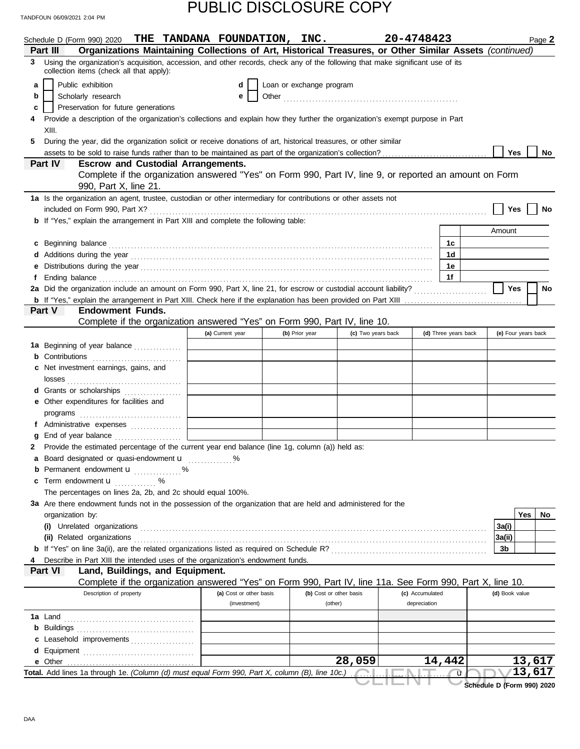|                | Schedule D (Form 990) 2020                                                                                                                                                                                                    |                                                                    |  | THE TANDANA FOUNDATION, INC. |                          |                                                                                                            | 20-4748423      |                      |                            | Page 2    |
|----------------|-------------------------------------------------------------------------------------------------------------------------------------------------------------------------------------------------------------------------------|--------------------------------------------------------------------|--|------------------------------|--------------------------|------------------------------------------------------------------------------------------------------------|-----------------|----------------------|----------------------------|-----------|
| Part III       |                                                                                                                                                                                                                               |                                                                    |  |                              |                          | Organizations Maintaining Collections of Art, Historical Treasures, or Other Similar Assets (continued)    |                 |                      |                            |           |
|                | 3 Using the organization's acquisition, accession, and other records, check any of the following that make significant use of its<br>collection items (check all that apply):                                                 |                                                                    |  |                              |                          |                                                                                                            |                 |                      |                            |           |
| a              | Public exhibition                                                                                                                                                                                                             |                                                                    |  | d                            | Loan or exchange program |                                                                                                            |                 |                      |                            |           |
| b              | Scholarly research                                                                                                                                                                                                            |                                                                    |  | е                            |                          |                                                                                                            |                 |                      |                            |           |
| c              | Preservation for future generations                                                                                                                                                                                           |                                                                    |  |                              |                          |                                                                                                            |                 |                      |                            |           |
|                | Provide a description of the organization's collections and explain how they further the organization's exempt purpose in Part                                                                                                |                                                                    |  |                              |                          |                                                                                                            |                 |                      |                            |           |
| XIII.          |                                                                                                                                                                                                                               |                                                                    |  |                              |                          |                                                                                                            |                 |                      |                            |           |
|                | During the year, did the organization solicit or receive donations of art, historical treasures, or other similar                                                                                                             |                                                                    |  |                              |                          |                                                                                                            |                 |                      |                            |           |
|                |                                                                                                                                                                                                                               |                                                                    |  |                              |                          |                                                                                                            |                 |                      | <b>Yes</b>                 | No        |
| <b>Part IV</b> |                                                                                                                                                                                                                               | <b>Escrow and Custodial Arrangements.</b><br>990, Part X, line 21. |  |                              |                          | Complete if the organization answered "Yes" on Form 990, Part IV, line 9, or reported an amount on Form    |                 |                      |                            |           |
|                | 1a Is the organization an agent, trustee, custodian or other intermediary for contributions or other assets not                                                                                                               |                                                                    |  |                              |                          |                                                                                                            |                 |                      |                            |           |
|                |                                                                                                                                                                                                                               |                                                                    |  |                              |                          |                                                                                                            |                 |                      | Yes                        | No        |
|                | <b>b</b> If "Yes," explain the arrangement in Part XIII and complete the following table:                                                                                                                                     |                                                                    |  |                              |                          |                                                                                                            |                 |                      |                            |           |
|                |                                                                                                                                                                                                                               |                                                                    |  |                              |                          |                                                                                                            |                 |                      | Amount                     |           |
|                |                                                                                                                                                                                                                               |                                                                    |  |                              |                          |                                                                                                            |                 | 1c                   |                            |           |
| C              |                                                                                                                                                                                                                               |                                                                    |  |                              |                          |                                                                                                            |                 | 1 <sub>d</sub>       |                            |           |
|                | Additions during the year with the continuum control of the state of the state of the state of the state of the state of the state of the state of the state of the state of the state of the state of the state of the state |                                                                    |  |                              |                          |                                                                                                            |                 |                      |                            |           |
|                |                                                                                                                                                                                                                               |                                                                    |  |                              |                          |                                                                                                            |                 | 1е                   |                            |           |
|                |                                                                                                                                                                                                                               |                                                                    |  |                              |                          |                                                                                                            |                 | 1f                   |                            |           |
|                | 2a Did the organization include an amount on Form 990, Part X, line 21, for escrow or custodial account liability?                                                                                                            |                                                                    |  |                              |                          |                                                                                                            |                 |                      | Yes                        | <b>No</b> |
| Part V         |                                                                                                                                                                                                                               | <b>Endowment Funds.</b>                                            |  |                              |                          |                                                                                                            |                 |                      |                            |           |
|                |                                                                                                                                                                                                                               |                                                                    |  |                              |                          |                                                                                                            |                 |                      |                            |           |
|                |                                                                                                                                                                                                                               |                                                                    |  |                              |                          | Complete if the organization answered "Yes" on Form 990, Part IV, line 10.                                 |                 |                      |                            |           |
|                |                                                                                                                                                                                                                               |                                                                    |  | (a) Current year             | (b) Prior year           | (c) Two years back                                                                                         |                 | (d) Three years back | (e) Four years back        |           |
|                | 1a Beginning of year balance                                                                                                                                                                                                  |                                                                    |  |                              |                          |                                                                                                            |                 |                      |                            |           |
| b              | Contributions                                                                                                                                                                                                                 |                                                                    |  |                              |                          |                                                                                                            |                 |                      |                            |           |
|                | Net investment earnings, gains, and                                                                                                                                                                                           |                                                                    |  |                              |                          |                                                                                                            |                 |                      |                            |           |
|                |                                                                                                                                                                                                                               |                                                                    |  |                              |                          |                                                                                                            |                 |                      |                            |           |
|                | d Grants or scholarships                                                                                                                                                                                                      |                                                                    |  |                              |                          |                                                                                                            |                 |                      |                            |           |
|                | e Other expenditures for facilities and                                                                                                                                                                                       |                                                                    |  |                              |                          |                                                                                                            |                 |                      |                            |           |
|                |                                                                                                                                                                                                                               |                                                                    |  |                              |                          |                                                                                                            |                 |                      |                            |           |
|                | f Administrative expenses                                                                                                                                                                                                     |                                                                    |  |                              |                          |                                                                                                            |                 |                      |                            |           |
| g              | End of year balance                                                                                                                                                                                                           |                                                                    |  |                              |                          |                                                                                                            |                 |                      |                            |           |
| 2              | Provide the estimated percentage of the current year end balance (line 1g, column (a)) held as:                                                                                                                               |                                                                    |  |                              |                          |                                                                                                            |                 |                      |                            |           |
|                | Board designated or quasi-endowment <b>u</b>                                                                                                                                                                                  |                                                                    |  |                              |                          |                                                                                                            |                 |                      |                            |           |
|                | <b>b</b> Permanent endowment <b>u</b> %                                                                                                                                                                                       |                                                                    |  |                              |                          |                                                                                                            |                 |                      |                            |           |
|                | Term endowment <b>u</b> %                                                                                                                                                                                                     |                                                                    |  |                              |                          |                                                                                                            |                 |                      |                            |           |
| c              | The percentages on lines 2a, 2b, and 2c should equal 100%.                                                                                                                                                                    |                                                                    |  |                              |                          |                                                                                                            |                 |                      |                            |           |
|                |                                                                                                                                                                                                                               |                                                                    |  |                              |                          |                                                                                                            |                 |                      |                            |           |
|                | 3a Are there endowment funds not in the possession of the organization that are held and administered for the                                                                                                                 |                                                                    |  |                              |                          |                                                                                                            |                 |                      |                            |           |
|                | organization by:                                                                                                                                                                                                              |                                                                    |  |                              |                          |                                                                                                            |                 |                      |                            | Yes<br>No |
|                |                                                                                                                                                                                                                               |                                                                    |  |                              |                          |                                                                                                            |                 |                      | 3a(i)                      |           |
|                | (ii) Related organizations                                                                                                                                                                                                    |                                                                    |  |                              |                          |                                                                                                            |                 |                      | 3a(ii)                     |           |
|                |                                                                                                                                                                                                                               |                                                                    |  |                              |                          |                                                                                                            |                 |                      | 3b                         |           |
|                | Describe in Part XIII the intended uses of the organization's endowment funds.                                                                                                                                                |                                                                    |  |                              |                          |                                                                                                            |                 |                      |                            |           |
| Part VI        |                                                                                                                                                                                                                               | Land, Buildings, and Equipment.                                    |  |                              |                          |                                                                                                            |                 |                      |                            |           |
|                |                                                                                                                                                                                                                               |                                                                    |  |                              |                          | Complete if the organization answered "Yes" on Form 990, Part IV, line 11a. See Form 990, Part X, line 10. |                 |                      |                            |           |
|                |                                                                                                                                                                                                                               | Description of property                                            |  | (a) Cost or other basis      |                          | (b) Cost or other basis                                                                                    | (c) Accumulated |                      | (d) Book value             |           |
|                |                                                                                                                                                                                                                               |                                                                    |  | (investment)                 |                          | (other)                                                                                                    | depreciation    |                      |                            |           |
|                |                                                                                                                                                                                                                               |                                                                    |  |                              |                          |                                                                                                            |                 |                      |                            |           |
|                | <b>b</b> Buildings <b>Multiples b</b>                                                                                                                                                                                         |                                                                    |  |                              |                          |                                                                                                            |                 |                      |                            |           |
|                | c Leasehold improvements                                                                                                                                                                                                      |                                                                    |  |                              |                          |                                                                                                            |                 |                      |                            |           |
|                |                                                                                                                                                                                                                               |                                                                    |  |                              |                          |                                                                                                            |                 |                      |                            |           |
|                |                                                                                                                                                                                                                               |                                                                    |  |                              |                          | 28,059                                                                                                     |                 | 14,442               |                            | 13,617    |
|                | Total. Add lines 1a through 1e. (Column (d) must equal Form 990, Part X, column (B), line 10c.)                                                                                                                               |                                                                    |  |                              |                          |                                                                                                            |                 | ū                    |                            | 13,617    |
|                |                                                                                                                                                                                                                               |                                                                    |  |                              |                          |                                                                                                            |                 |                      | Schedule D (Form 990) 2020 |           |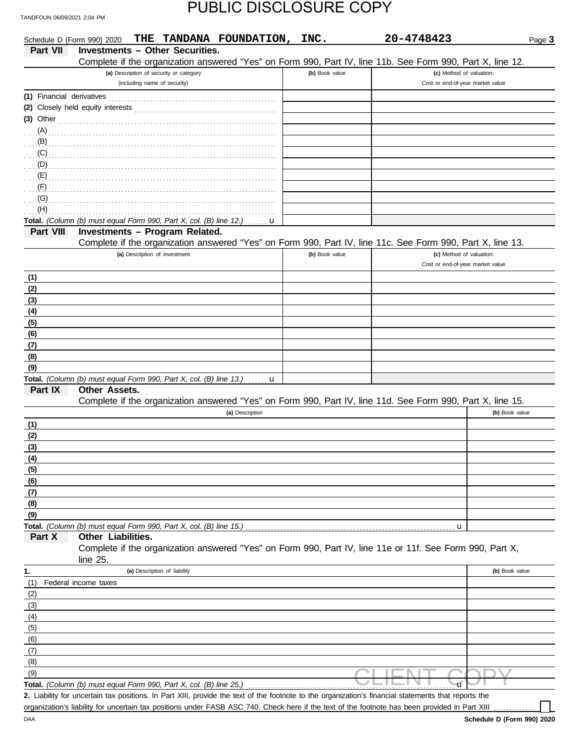| Schedule D (Form 990) 2020 | THE TANDANA FOUNDATION, INC.                                                                                                                                                                                                                                                                                                       |                | 20-4748423 |                                  | Page 3 |
|----------------------------|------------------------------------------------------------------------------------------------------------------------------------------------------------------------------------------------------------------------------------------------------------------------------------------------------------------------------------|----------------|------------|----------------------------------|--------|
| <b>Part VII</b>            | <b>Investments - Other Securities.</b>                                                                                                                                                                                                                                                                                             |                |            |                                  |        |
|                            | Complete if the organization answered "Yes" on Form 990, Part IV, line 11b. See Form 990, Part X, line 12.                                                                                                                                                                                                                         |                |            |                                  |        |
|                            | (a) Description of security or category                                                                                                                                                                                                                                                                                            | (b) Book value |            | (c) Method of valuation:         |        |
|                            | (including name of security)                                                                                                                                                                                                                                                                                                       |                |            | Cost or end-of-year market value |        |
|                            |                                                                                                                                                                                                                                                                                                                                    |                |            |                                  |        |
|                            |                                                                                                                                                                                                                                                                                                                                    |                |            |                                  |        |
|                            | (3) Other $\qquad \qquad$ 0.11                                                                                                                                                                                                                                                                                                     |                |            |                                  |        |
|                            |                                                                                                                                                                                                                                                                                                                                    |                |            |                                  |        |
|                            |                                                                                                                                                                                                                                                                                                                                    |                |            |                                  |        |
| (C)                        |                                                                                                                                                                                                                                                                                                                                    |                |            |                                  |        |
|                            | $\mathbf{D}$ $\mathbf{D}$ $\mathbf{D}$ $\mathbf{D}$ $\mathbf{D}$ $\mathbf{D}$ $\mathbf{D}$ $\mathbf{D}$ $\mathbf{D}$ $\mathbf{D}$ $\mathbf{D}$ $\mathbf{D}$ $\mathbf{D}$ $\mathbf{D}$ $\mathbf{D}$ $\mathbf{D}$ $\mathbf{D}$ $\mathbf{D}$ $\mathbf{D}$ $\mathbf{D}$ $\mathbf{D}$ $\mathbf{D}$ $\mathbf{D}$ $\mathbf{D}$ $\mathbf{$ |                |            |                                  |        |
| (E)                        |                                                                                                                                                                                                                                                                                                                                    |                |            |                                  |        |
| (F)                        |                                                                                                                                                                                                                                                                                                                                    |                |            |                                  |        |
| $\overline{G}$ (G)         |                                                                                                                                                                                                                                                                                                                                    |                |            |                                  |        |
| (H)                        |                                                                                                                                                                                                                                                                                                                                    |                |            |                                  |        |
|                            | Total. (Column (b) must equal Form 990, Part X, col. (B) line 12.)<br>u                                                                                                                                                                                                                                                            |                |            |                                  |        |
| Part VIII                  | Investments - Program Related.                                                                                                                                                                                                                                                                                                     |                |            |                                  |        |
|                            | Complete if the organization answered "Yes" on Form 990, Part IV, line 11c. See Form 990, Part X, line 13.                                                                                                                                                                                                                         |                |            |                                  |        |
|                            | (a) Description of investment                                                                                                                                                                                                                                                                                                      | (b) Book value |            | (c) Method of valuation:         |        |
|                            |                                                                                                                                                                                                                                                                                                                                    |                |            | Cost or end-of-year market value |        |
| (1)                        |                                                                                                                                                                                                                                                                                                                                    |                |            |                                  |        |
| (2)                        |                                                                                                                                                                                                                                                                                                                                    |                |            |                                  |        |
| (3)                        |                                                                                                                                                                                                                                                                                                                                    |                |            |                                  |        |
| (4)                        |                                                                                                                                                                                                                                                                                                                                    |                |            |                                  |        |
| (5)                        |                                                                                                                                                                                                                                                                                                                                    |                |            |                                  |        |
| (6)                        |                                                                                                                                                                                                                                                                                                                                    |                |            |                                  |        |
| (7)                        |                                                                                                                                                                                                                                                                                                                                    |                |            |                                  |        |
| (8)                        |                                                                                                                                                                                                                                                                                                                                    |                |            |                                  |        |
| (9)                        |                                                                                                                                                                                                                                                                                                                                    |                |            |                                  |        |
| Part IX                    | <b>Total.</b> (Column (b) must equal Form 990, Part X, col. (B) line 13.) $\ldots$ <b>u</b><br>Other Assets.                                                                                                                                                                                                                       |                |            |                                  |        |
|                            | Complete if the organization answered "Yes" on Form 990, Part IV, line 11d. See Form 990, Part X, line 15.                                                                                                                                                                                                                         |                |            |                                  |        |
|                            | (a) Description                                                                                                                                                                                                                                                                                                                    |                |            | (b) Book value                   |        |
| (1)                        |                                                                                                                                                                                                                                                                                                                                    |                |            |                                  |        |
| (2)                        |                                                                                                                                                                                                                                                                                                                                    |                |            |                                  |        |
| (3)                        |                                                                                                                                                                                                                                                                                                                                    |                |            |                                  |        |
| (4)                        |                                                                                                                                                                                                                                                                                                                                    |                |            |                                  |        |
| (5)                        |                                                                                                                                                                                                                                                                                                                                    |                |            |                                  |        |
| (6)                        |                                                                                                                                                                                                                                                                                                                                    |                |            |                                  |        |
| (7)                        |                                                                                                                                                                                                                                                                                                                                    |                |            |                                  |        |
| (8)                        |                                                                                                                                                                                                                                                                                                                                    |                |            |                                  |        |
| (9)                        |                                                                                                                                                                                                                                                                                                                                    |                |            |                                  |        |
|                            | Total. (Column (b) must equal Form 990, Part X, col. (B) line 15.)                                                                                                                                                                                                                                                                 |                | u          |                                  |        |
| Part X                     | Other Liabilities.                                                                                                                                                                                                                                                                                                                 |                |            |                                  |        |
|                            | Complete if the organization answered "Yes" on Form 990, Part IV, line 11e or 11f. See Form 990, Part X,                                                                                                                                                                                                                           |                |            |                                  |        |
|                            | line 25.                                                                                                                                                                                                                                                                                                                           |                |            |                                  |        |
| 1.                         | (a) Description of liability                                                                                                                                                                                                                                                                                                       |                |            | (b) Book value                   |        |
| (1)                        | Federal income taxes                                                                                                                                                                                                                                                                                                               |                |            |                                  |        |
| (2)                        |                                                                                                                                                                                                                                                                                                                                    |                |            |                                  |        |
| (3)                        |                                                                                                                                                                                                                                                                                                                                    |                |            |                                  |        |
| (4)                        |                                                                                                                                                                                                                                                                                                                                    |                |            |                                  |        |
| (5)                        |                                                                                                                                                                                                                                                                                                                                    |                |            |                                  |        |
| (6)                        |                                                                                                                                                                                                                                                                                                                                    |                |            |                                  |        |
| (7)                        |                                                                                                                                                                                                                                                                                                                                    |                |            |                                  |        |
| (8)                        |                                                                                                                                                                                                                                                                                                                                    |                |            |                                  |        |
| (9)                        |                                                                                                                                                                                                                                                                                                                                    |                |            |                                  |        |
|                            | Total. (Column (b) must equal Form 990, Part X, col. (B) line 25.)                                                                                                                                                                                                                                                                 |                |            |                                  |        |
|                            | 2. Liability for uncertain tax positions. In Part XIII, provide the text of the footnote to the organization's financial statements that reports the                                                                                                                                                                               |                |            |                                  |        |
|                            | organization's liability for uncertain tax positions under FASB ASC 740. Check here if the text of the footnote has been provided in Part XIII                                                                                                                                                                                     |                |            |                                  |        |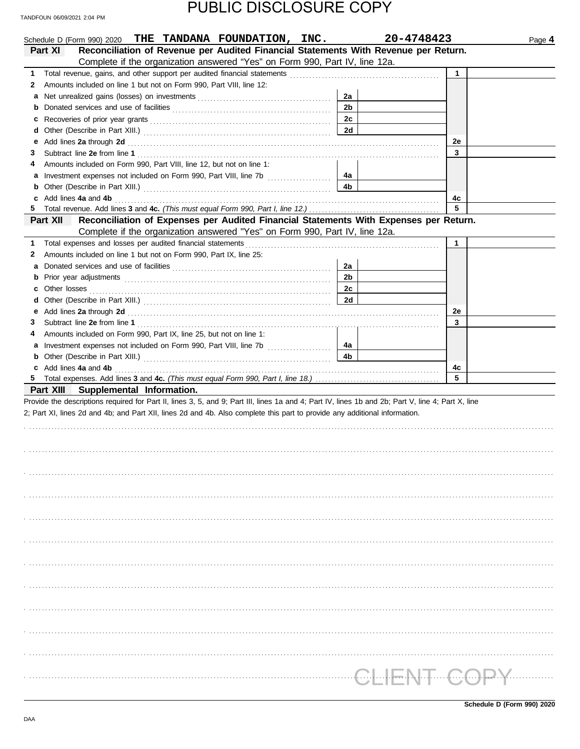| PUBLIC DISCLOSURE COPY |
|------------------------|
|------------------------|

|   | Schedule D (Form 990) 2020 THE TANDANA FOUNDATION, INC.                                                                                                                                                                        |                | 20-4748423   | Page 4 |
|---|--------------------------------------------------------------------------------------------------------------------------------------------------------------------------------------------------------------------------------|----------------|--------------|--------|
|   | Reconciliation of Revenue per Audited Financial Statements With Revenue per Return.<br>Part XI                                                                                                                                 |                |              |        |
|   | Complete if the organization answered "Yes" on Form 990, Part IV, line 12a.                                                                                                                                                    |                |              |        |
| 1 |                                                                                                                                                                                                                                |                | $\mathbf{1}$ |        |
| 2 | Amounts included on line 1 but not on Form 990, Part VIII, line 12:                                                                                                                                                            |                |              |        |
| а |                                                                                                                                                                                                                                | 2a             |              |        |
| b |                                                                                                                                                                                                                                | 2 <sub>b</sub> |              |        |
| c |                                                                                                                                                                                                                                | 2c             |              |        |
| d |                                                                                                                                                                                                                                | 2d             |              |        |
| е | Add lines 2a through 2d [11] Add [12] Add [12] Add lines 2a through 2d [12] Add lines 2a through 2d [12] Add [12] Add [12] Add [12] Add [12] Add [12] Add [12] Add [12] Add [12] Add [12] Add [12] Add [12] Add [12] Add [12]  |                | 2e           |        |
| З |                                                                                                                                                                                                                                |                | 3            |        |
| 4 | Amounts included on Form 990, Part VIII, line 12, but not on line 1:                                                                                                                                                           |                |              |        |
| а | Investment expenses not included on Form 990, Part VIII, line 7b [100] [100] [100] [100] [100] [100] [100] [100] [100] [100] [100] [100] [100] [100] [100] [100] [100] [100] [100] [100] [100] [100] [100] [100] [100] [100] [ | 4a             |              |        |
| b |                                                                                                                                                                                                                                | 4b             |              |        |
| c | Add lines 4a and 4b                                                                                                                                                                                                            |                | 4c           |        |
| 5 |                                                                                                                                                                                                                                |                | 5            |        |
|   | Part XII<br>Reconciliation of Expenses per Audited Financial Statements With Expenses per Return.                                                                                                                              |                |              |        |
|   | Complete if the organization answered "Yes" on Form 990, Part IV, line 12a.                                                                                                                                                    |                |              |        |
| 1 |                                                                                                                                                                                                                                |                | $\mathbf{1}$ |        |
| 2 | Amounts included on line 1 but not on Form 990, Part IX, line 25:                                                                                                                                                              |                |              |        |
| а |                                                                                                                                                                                                                                | 2a             |              |        |
| b |                                                                                                                                                                                                                                | 2 <sub>b</sub> |              |        |
| c |                                                                                                                                                                                                                                | 2c             |              |        |
| d |                                                                                                                                                                                                                                | 2d             |              |        |
| е | Add lines 2a through 2d [11] Add [12] Add [12] Add lines 2a through 2d [12] Add lines 2a through 2d [12] Add [12] Add [12] Add [12] Add [12] Add [12] Add [12] Add [12] Add [12] Add [12] Add [12] Add [12] Add [12] Add [12]  |                | 2e           |        |
| З |                                                                                                                                                                                                                                |                | 3            |        |
| 4 | Amounts included on Form 990, Part IX, line 25, but not on line 1:                                                                                                                                                             |                |              |        |
| а |                                                                                                                                                                                                                                | 4a             |              |        |
| b |                                                                                                                                                                                                                                | 4b             |              |        |
|   | c Add lines 4a and 4b                                                                                                                                                                                                          |                | 4c           |        |
|   |                                                                                                                                                                                                                                |                | 5            |        |
|   | Part XIII Supplemental Information.                                                                                                                                                                                            |                |              |        |
|   | Provide the descriptions required for Part II, lines 3, 5, and 9; Part III, lines 1a and 4; Part IV, lines 1b and 2b; Part V, line 4; Part X, line                                                                             |                |              |        |
|   | 2; Part XI, lines 2d and 4b; and Part XII, lines 2d and 4b. Also complete this part to provide any additional information.                                                                                                     |                |              |        |
|   |                                                                                                                                                                                                                                |                |              |        |
|   |                                                                                                                                                                                                                                |                |              |        |
|   |                                                                                                                                                                                                                                |                |              |        |
|   |                                                                                                                                                                                                                                |                |              |        |
|   |                                                                                                                                                                                                                                |                |              |        |
|   |                                                                                                                                                                                                                                |                |              |        |
|   |                                                                                                                                                                                                                                |                |              |        |
|   |                                                                                                                                                                                                                                |                |              |        |
|   |                                                                                                                                                                                                                                |                |              |        |
|   |                                                                                                                                                                                                                                |                |              |        |
|   |                                                                                                                                                                                                                                |                |              |        |
|   |                                                                                                                                                                                                                                |                |              |        |
|   |                                                                                                                                                                                                                                |                |              |        |
|   |                                                                                                                                                                                                                                |                |              |        |
|   |                                                                                                                                                                                                                                |                |              |        |
|   |                                                                                                                                                                                                                                |                |              |        |
|   |                                                                                                                                                                                                                                |                |              |        |
|   |                                                                                                                                                                                                                                |                |              |        |
|   |                                                                                                                                                                                                                                |                |              |        |
|   |                                                                                                                                                                                                                                |                |              |        |
|   |                                                                                                                                                                                                                                |                |              |        |
|   |                                                                                                                                                                                                                                |                |              |        |
|   |                                                                                                                                                                                                                                |                |              |        |
|   |                                                                                                                                                                                                                                |                |              |        |
|   |                                                                                                                                                                                                                                |                |              |        |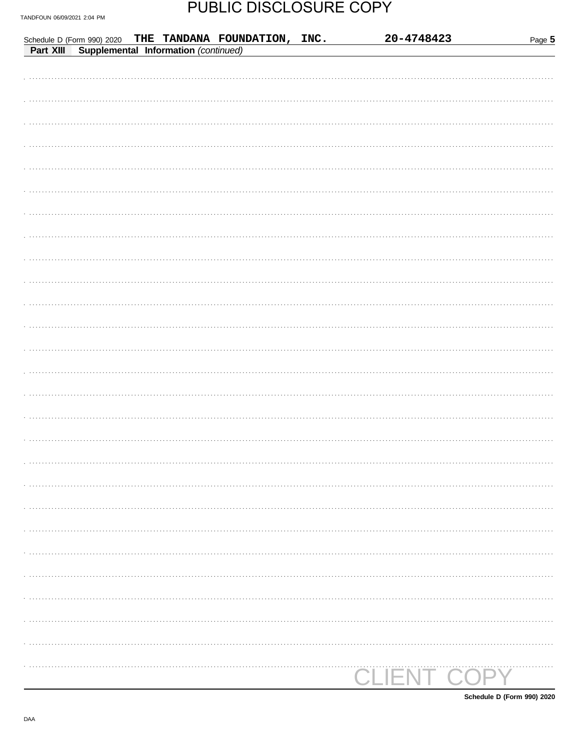|  | Schedule D (Form 990) 2020 THE TANDANA FOUNDATION, INC.<br>Part XIII Supplemental Information (continued) | 20-4748423         | Page 5 |
|--|-----------------------------------------------------------------------------------------------------------|--------------------|--------|
|  |                                                                                                           |                    |        |
|  |                                                                                                           |                    |        |
|  |                                                                                                           |                    |        |
|  |                                                                                                           |                    |        |
|  |                                                                                                           |                    |        |
|  |                                                                                                           |                    |        |
|  |                                                                                                           |                    |        |
|  |                                                                                                           |                    |        |
|  |                                                                                                           |                    |        |
|  |                                                                                                           |                    |        |
|  |                                                                                                           |                    |        |
|  |                                                                                                           |                    |        |
|  |                                                                                                           |                    |        |
|  |                                                                                                           |                    |        |
|  |                                                                                                           |                    |        |
|  |                                                                                                           |                    |        |
|  |                                                                                                           |                    |        |
|  |                                                                                                           |                    |        |
|  |                                                                                                           |                    |        |
|  |                                                                                                           |                    |        |
|  |                                                                                                           |                    |        |
|  |                                                                                                           |                    |        |
|  |                                                                                                           |                    |        |
|  |                                                                                                           |                    |        |
|  |                                                                                                           |                    |        |
|  |                                                                                                           |                    |        |
|  |                                                                                                           |                    |        |
|  |                                                                                                           |                    |        |
|  |                                                                                                           |                    |        |
|  |                                                                                                           | <b>CLIENT COPY</b> |        |

Schedule D (Form 990) 2020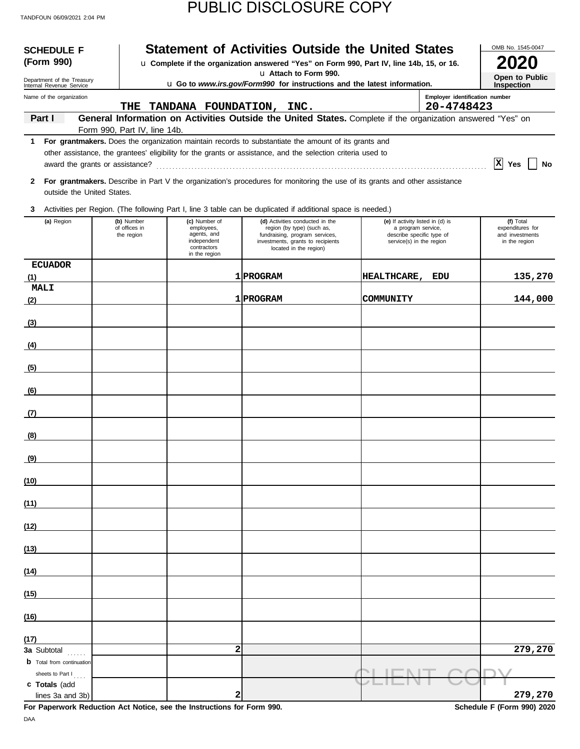| <b>SCHEDULE F</b><br>(Form 990)            |                              |                                                                          | <b>Statement of Activities Outside the United States</b><br>u Complete if the organization answered "Yes" on Form 990, Part IV, line 14b, 15, or 16.                                                                 |                                                                             |                                              | OMB No. 1545-0047                                    |
|--------------------------------------------|------------------------------|--------------------------------------------------------------------------|----------------------------------------------------------------------------------------------------------------------------------------------------------------------------------------------------------------------|-----------------------------------------------------------------------------|----------------------------------------------|------------------------------------------------------|
| Department of the Treasury                 |                              |                                                                          | u Attach to Form 990.                                                                                                                                                                                                |                                                                             |                                              | Open to Public                                       |
| Internal Revenue Service                   |                              |                                                                          | u Go to www.irs.gov/Form990 for instructions and the latest information.                                                                                                                                             |                                                                             |                                              | <b>Inspection</b>                                    |
| Name of the organization                   | THE                          | TANDANA FOUNDATION, INC.                                                 |                                                                                                                                                                                                                      |                                                                             | Employer identification number<br>20-4748423 |                                                      |
| Part I                                     |                              |                                                                          | General Information on Activities Outside the United States. Complete if the organization answered "Yes" on                                                                                                          |                                                                             |                                              |                                                      |
|                                            | Form 990, Part IV, line 14b. |                                                                          |                                                                                                                                                                                                                      |                                                                             |                                              |                                                      |
| 1                                          |                              |                                                                          | For grantmakers. Does the organization maintain records to substantiate the amount of its grants and<br>other assistance, the grantees' eligibility for the grants or assistance, and the selection criteria used to |                                                                             |                                              |                                                      |
|                                            |                              |                                                                          |                                                                                                                                                                                                                      |                                                                             |                                              | $ X $ Yes<br>No                                      |
| $\mathbf{2}$<br>outside the United States. |                              |                                                                          | For grantmakers. Describe in Part V the organization's procedures for monitoring the use of its grants and other assistance                                                                                          |                                                                             |                                              |                                                      |
| 3                                          |                              |                                                                          | Activities per Region. (The following Part I, line 3 table can be duplicated if additional space is needed.)                                                                                                         |                                                                             |                                              |                                                      |
| (a) Region                                 | (b) Number                   | (c) Number of                                                            | (d) Activities conducted in the                                                                                                                                                                                      | (e) If activity listed in (d) is                                            |                                              | (f) Total                                            |
|                                            | of offices in<br>the region  | employees,<br>agents, and<br>independent<br>contractors<br>in the region | region (by type) (such as,<br>fundraising, program services,<br>investments, grants to recipients<br>located in the region)                                                                                          | a program service,<br>describe specific type of<br>service(s) in the region |                                              | expenditures for<br>and investments<br>in the region |
| <b>ECUADOR</b>                             |                              |                                                                          |                                                                                                                                                                                                                      |                                                                             |                                              |                                                      |
| (1)<br><b>MALI</b>                         |                              |                                                                          | 1 PROGRAM                                                                                                                                                                                                            | <b>HEALTHCARE,</b>                                                          | EDU                                          | 135,270                                              |
| (2)                                        |                              |                                                                          | 1 PROGRAM                                                                                                                                                                                                            | COMMUNITY                                                                   |                                              | 144,000                                              |
|                                            |                              |                                                                          |                                                                                                                                                                                                                      |                                                                             |                                              |                                                      |
| (3)                                        |                              |                                                                          |                                                                                                                                                                                                                      |                                                                             |                                              |                                                      |
| (4)                                        |                              |                                                                          |                                                                                                                                                                                                                      |                                                                             |                                              |                                                      |
| (5)                                        |                              |                                                                          |                                                                                                                                                                                                                      |                                                                             |                                              |                                                      |
| (6)                                        |                              |                                                                          |                                                                                                                                                                                                                      |                                                                             |                                              |                                                      |
|                                            |                              |                                                                          |                                                                                                                                                                                                                      |                                                                             |                                              |                                                      |
| (7)                                        |                              |                                                                          |                                                                                                                                                                                                                      |                                                                             |                                              |                                                      |
| (8)                                        |                              |                                                                          |                                                                                                                                                                                                                      |                                                                             |                                              |                                                      |
| (9)                                        |                              |                                                                          |                                                                                                                                                                                                                      |                                                                             |                                              |                                                      |
| (10)                                       |                              |                                                                          |                                                                                                                                                                                                                      |                                                                             |                                              |                                                      |
| (11)                                       |                              |                                                                          |                                                                                                                                                                                                                      |                                                                             |                                              |                                                      |
|                                            |                              |                                                                          |                                                                                                                                                                                                                      |                                                                             |                                              |                                                      |
| (12)                                       |                              |                                                                          |                                                                                                                                                                                                                      |                                                                             |                                              |                                                      |
| (13)                                       |                              |                                                                          |                                                                                                                                                                                                                      |                                                                             |                                              |                                                      |
| (14)                                       |                              |                                                                          |                                                                                                                                                                                                                      |                                                                             |                                              |                                                      |
| (15)                                       |                              |                                                                          |                                                                                                                                                                                                                      |                                                                             |                                              |                                                      |
| (16)                                       |                              |                                                                          |                                                                                                                                                                                                                      |                                                                             |                                              |                                                      |
|                                            |                              |                                                                          |                                                                                                                                                                                                                      |                                                                             |                                              |                                                      |
| (17)<br>3a Subtotal                        |                              | $\overline{\mathbf{c}}$                                                  |                                                                                                                                                                                                                      |                                                                             |                                              | 279,270                                              |
| <b>b</b> Total from continuation           |                              |                                                                          |                                                                                                                                                                                                                      |                                                                             |                                              |                                                      |
| sheets to Part I<br>c Totals (add          |                              |                                                                          |                                                                                                                                                                                                                      |                                                                             |                                              |                                                      |
| lines 3a and 3b)                           |                              | 2                                                                        |                                                                                                                                                                                                                      |                                                                             |                                              | 279,270                                              |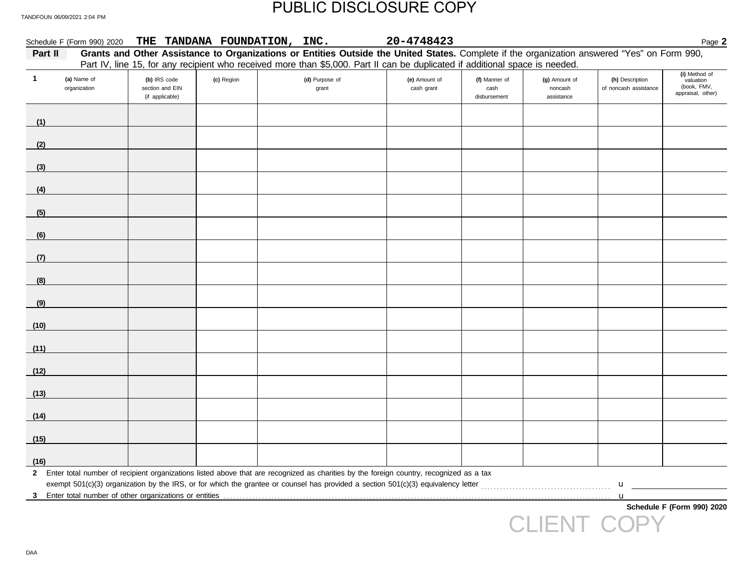| Part II      |                             |                                                    |            | Grants and Other Assistance to Organizations or Entities Outside the United States. Complete if the organization answered "Yes" on Form 990,<br>Part IV, line 15, for any recipient who received more than \$5,000. Part II can be duplicated if additional space is needed. |                             |                                       |                                        |                                          |                                                                |
|--------------|-----------------------------|----------------------------------------------------|------------|------------------------------------------------------------------------------------------------------------------------------------------------------------------------------------------------------------------------------------------------------------------------------|-----------------------------|---------------------------------------|----------------------------------------|------------------------------------------|----------------------------------------------------------------|
| $\mathbf{1}$ | (a) Name of<br>organization | (b) IRS code<br>section and EIN<br>(if applicable) | (c) Region | (d) Purpose of<br>grant                                                                                                                                                                                                                                                      | (e) Amount of<br>cash grant | (f) Manner of<br>cash<br>disbursement | (g) Amount of<br>noncash<br>assistance | (h) Description<br>of noncash assistance | (i) Method of<br>valuation<br>(book, FMV,<br>appraisal, other) |
| (1)          |                             |                                                    |            |                                                                                                                                                                                                                                                                              |                             |                                       |                                        |                                          |                                                                |
| (2)          |                             |                                                    |            |                                                                                                                                                                                                                                                                              |                             |                                       |                                        |                                          |                                                                |
| (3)          |                             |                                                    |            |                                                                                                                                                                                                                                                                              |                             |                                       |                                        |                                          |                                                                |
| (4)          |                             |                                                    |            |                                                                                                                                                                                                                                                                              |                             |                                       |                                        |                                          |                                                                |
| (5)          |                             |                                                    |            |                                                                                                                                                                                                                                                                              |                             |                                       |                                        |                                          |                                                                |
| (6)          |                             |                                                    |            |                                                                                                                                                                                                                                                                              |                             |                                       |                                        |                                          |                                                                |
| (7)          |                             |                                                    |            |                                                                                                                                                                                                                                                                              |                             |                                       |                                        |                                          |                                                                |
| (8)          |                             |                                                    |            |                                                                                                                                                                                                                                                                              |                             |                                       |                                        |                                          |                                                                |
| (9)          |                             |                                                    |            |                                                                                                                                                                                                                                                                              |                             |                                       |                                        |                                          |                                                                |
| (10)         |                             |                                                    |            |                                                                                                                                                                                                                                                                              |                             |                                       |                                        |                                          |                                                                |
| (11)         |                             |                                                    |            |                                                                                                                                                                                                                                                                              |                             |                                       |                                        |                                          |                                                                |
| (12)         |                             |                                                    |            |                                                                                                                                                                                                                                                                              |                             |                                       |                                        |                                          |                                                                |
| (13)         |                             |                                                    |            |                                                                                                                                                                                                                                                                              |                             |                                       |                                        |                                          |                                                                |
| (14)         |                             |                                                    |            |                                                                                                                                                                                                                                                                              |                             |                                       |                                        |                                          |                                                                |
| (15)         |                             |                                                    |            |                                                                                                                                                                                                                                                                              |                             |                                       |                                        |                                          |                                                                |
| (16)         |                             |                                                    |            |                                                                                                                                                                                                                                                                              |                             |                                       |                                        |                                          |                                                                |
|              |                             |                                                    |            | 2 Enter total number of recipient organizations listed above that are recognized as charities by the foreign country, recognized as a tax                                                                                                                                    |                             |                                       |                                        | $\mathbf{u}$                             |                                                                |
| 3            |                             |                                                    |            |                                                                                                                                                                                                                                                                              |                             |                                       |                                        | $\mathbf u$                              | Schedule F (Form 990) 2020                                     |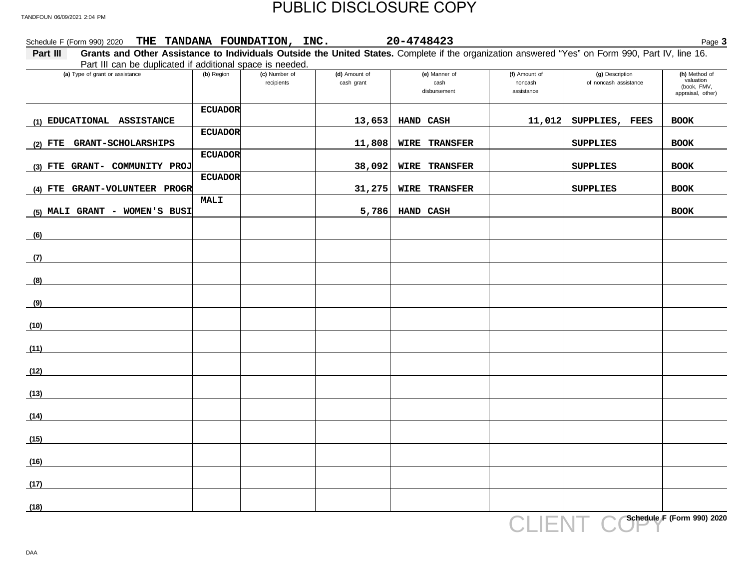| Schedule F (Form 990) 2020 THE TANDANA FOUNDATION, INC. 20-4748423                                                                                                                                                        |                |                             |                             |                                       |                                        |                                          | Page 3                                                         |
|---------------------------------------------------------------------------------------------------------------------------------------------------------------------------------------------------------------------------|----------------|-----------------------------|-----------------------------|---------------------------------------|----------------------------------------|------------------------------------------|----------------------------------------------------------------|
| Grants and Other Assistance to Individuals Outside the United States. Complete if the organization answered "Yes" on Form 990, Part IV, line 16.<br>Part III<br>Part III can be duplicated if additional space is needed. |                |                             |                             |                                       |                                        |                                          |                                                                |
| (a) Type of grant or assistance                                                                                                                                                                                           | (b) Region     | (c) Number of<br>recipients | (d) Amount of<br>cash grant | (e) Manner of<br>cash<br>disbursement | (f) Amount of<br>noncash<br>assistance | (g) Description<br>of noncash assistance | (h) Method of<br>valuation<br>(book, FMV,<br>appraisal, other) |
|                                                                                                                                                                                                                           | <b>ECUADOR</b> |                             |                             |                                       |                                        |                                          |                                                                |
| (1) EDUCATIONAL ASSISTANCE                                                                                                                                                                                                | <b>ECUADOR</b> |                             |                             | $13,653$ HAND CASH                    |                                        | $11,012$ SUPPLIES, FEES                  | <b>BOOK</b>                                                    |
| (2) FTE GRANT-SCHOLARSHIPS                                                                                                                                                                                                |                |                             | 11,808                      | <b>WIRE TRANSFER</b>                  |                                        | <b>SUPPLIES</b>                          | <b>BOOK</b>                                                    |
| (3) FTE GRANT- COMMUNITY PROJ                                                                                                                                                                                             | <b>ECUADOR</b> |                             | 38,092                      | <b>WIRE TRANSFER</b>                  |                                        | <b>SUPPLIES</b>                          | <b>BOOK</b>                                                    |
| (4) FTE GRANT-VOLUNTEER PROGR                                                                                                                                                                                             | <b>ECUADOR</b> |                             | 31,275                      | <b>WIRE TRANSFER</b>                  |                                        | <b>SUPPLIES</b>                          | <b>BOOK</b>                                                    |
| (5) MALI GRANT - WOMEN'S BUSI                                                                                                                                                                                             | MALI           |                             |                             | $5,786$ HAND CASH                     |                                        |                                          | <b>BOOK</b>                                                    |
| (6)                                                                                                                                                                                                                       |                |                             |                             |                                       |                                        |                                          |                                                                |
| (7)                                                                                                                                                                                                                       |                |                             |                             |                                       |                                        |                                          |                                                                |
| (8)                                                                                                                                                                                                                       |                |                             |                             |                                       |                                        |                                          |                                                                |
|                                                                                                                                                                                                                           |                |                             |                             |                                       |                                        |                                          |                                                                |
| (9)                                                                                                                                                                                                                       |                |                             |                             |                                       |                                        |                                          |                                                                |
| (10)                                                                                                                                                                                                                      |                |                             |                             |                                       |                                        |                                          |                                                                |
| (11)                                                                                                                                                                                                                      |                |                             |                             |                                       |                                        |                                          |                                                                |
| (12)                                                                                                                                                                                                                      |                |                             |                             |                                       |                                        |                                          |                                                                |
| (13)                                                                                                                                                                                                                      |                |                             |                             |                                       |                                        |                                          |                                                                |
| (14)                                                                                                                                                                                                                      |                |                             |                             |                                       |                                        |                                          |                                                                |
| (15)                                                                                                                                                                                                                      |                |                             |                             |                                       |                                        |                                          |                                                                |
| (16)                                                                                                                                                                                                                      |                |                             |                             |                                       |                                        |                                          |                                                                |
| (17)                                                                                                                                                                                                                      |                |                             |                             |                                       |                                        |                                          |                                                                |
| (18)                                                                                                                                                                                                                      |                |                             |                             |                                       |                                        |                                          |                                                                |
|                                                                                                                                                                                                                           |                |                             |                             |                                       | CLIENT                                 |                                          | Schedule F (Form 990) 2020                                     |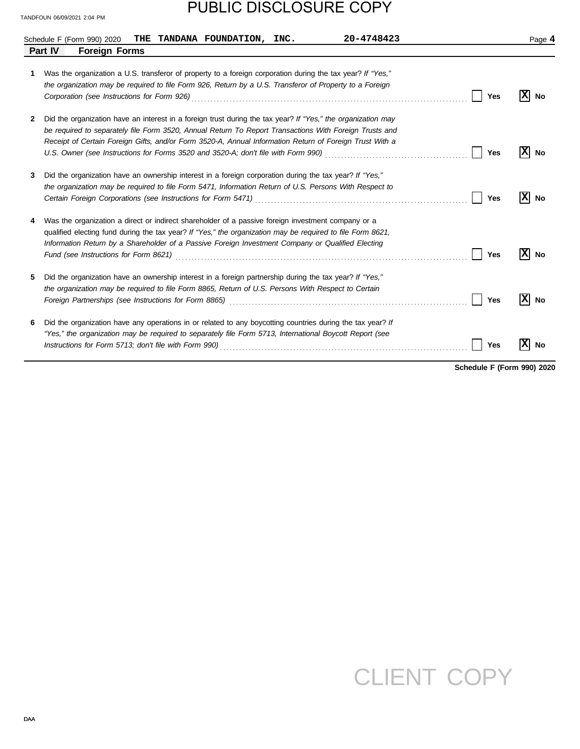# PUBLIC DISCLOSURE COPY

|    | 20-4748423<br>Schedule F (Form 990) 2020<br>THE TANDANA FOUNDATION, INC.                                                                                                                                                                                                                                                                                                                                                                           |     | Page 4             |
|----|----------------------------------------------------------------------------------------------------------------------------------------------------------------------------------------------------------------------------------------------------------------------------------------------------------------------------------------------------------------------------------------------------------------------------------------------------|-----|--------------------|
|    | <b>Foreign Forms</b><br>Part IV                                                                                                                                                                                                                                                                                                                                                                                                                    |     |                    |
| 1. | Was the organization a U.S. transferor of property to a foreign corporation during the tax year? If "Yes,"<br>the organization may be required to file Form 926, Return by a U.S. Transferor of Property to a Foreign                                                                                                                                                                                                                              | Yes | No                 |
| 2  | Did the organization have an interest in a foreign trust during the tax year? If "Yes," the organization may<br>be required to separately file Form 3520, Annual Return To Report Transactions With Foreign Trusts and<br>Receipt of Certain Foreign Gifts, and/or Form 3520-A, Annual Information Return of Foreign Trust With a<br>U.S. Owner (see Instructions for Forms 3520 and 3520-A; don't file with Form 990) <i>[[[[[[[[[[[[[[[]]]</i> ] | Yes | $\mathbf{x}$<br>No |
| 3  | Did the organization have an ownership interest in a foreign corporation during the tax year? If "Yes,"<br>the organization may be required to file Form 5471, Information Return of U.S. Persons With Respect to<br>Certain Foreign Corporations (see Instructions for Form 5471) [11] [2010] [2010] [2010] [2010] [2010] [2010] [                                                                                                                | Yes | ΙXΙ<br>No          |
| 4  | Was the organization a direct or indirect shareholder of a passive foreign investment company or a<br>qualified electing fund during the tax year? If "Yes," the organization may be required to file Form 8621,<br>Information Return by a Shareholder of a Passive Foreign Investment Company or Qualified Electing                                                                                                                              | Yes | ΙXΙ<br>No          |
| 5  | Did the organization have an ownership interest in a foreign partnership during the tax year? If "Yes,"<br>the organization may be required to file Form 8865, Return of U.S. Persons With Respect to Certain                                                                                                                                                                                                                                      | Yes | No                 |
| 6  | Did the organization have any operations in or related to any boycotting countries during the tax year? If<br>"Yes," the organization may be required to separately file Form 5713, International Boycott Report (see                                                                                                                                                                                                                              | Yes | No                 |

**Schedule F (Form 990) 2020**

# CLIENT COPY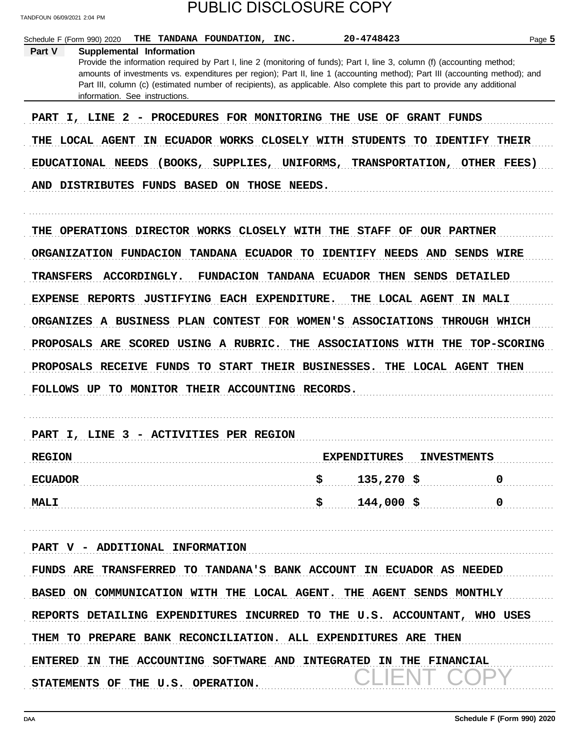| Schedule F (Form 990) 2020<br>THE TANDANA FOUNDATION, INC.           | 20-4748423                                                                                                                                                                                                                                                                                                                                                                         | Page 5            |
|----------------------------------------------------------------------|------------------------------------------------------------------------------------------------------------------------------------------------------------------------------------------------------------------------------------------------------------------------------------------------------------------------------------------------------------------------------------|-------------------|
| Supplemental Information<br>Part V<br>information. See instructions. | Provide the information required by Part I, line 2 (monitoring of funds); Part I, line 3, column (f) (accounting method;<br>amounts of investments vs. expenditures per region); Part II, line 1 (accounting method); Part III (accounting method); and<br>Part III, column (c) (estimated number of recipients), as applicable. Also complete this part to provide any additional |                   |
|                                                                      | PART I, LINE 2 - PROCEDURES FOR MONITORING THE USE OF GRANT FUNDS                                                                                                                                                                                                                                                                                                                  |                   |
| THE LOCAL AGENT                                                      | IN ECUADOR WORKS CLOSELY WITH STUDENTS TO IDENTIFY THEIR                                                                                                                                                                                                                                                                                                                           |                   |
| EDUCATIONAL NEEDS                                                    | (BOOKS, SUPPLIES, UNIFORMS, TRANSPORTATION, OTHER FEES)                                                                                                                                                                                                                                                                                                                            |                   |
| AND DISTRIBUTES FUNDS BASED ON THOSE NEEDS.                          |                                                                                                                                                                                                                                                                                                                                                                                    |                   |
|                                                                      |                                                                                                                                                                                                                                                                                                                                                                                    |                   |
|                                                                      | THE OPERATIONS DIRECTOR WORKS CLOSELY WITH THE STAFF OF OUR PARTNER                                                                                                                                                                                                                                                                                                                |                   |
| ORGANIZATION FUNDACION TANDANA ECUADOR TO                            | <b>IDENTIFY NEEDS AND</b>                                                                                                                                                                                                                                                                                                                                                          | <b>SENDS WIRE</b> |
| <b>TRANSFERS</b><br>ACCORDINGLY.                                     | FUNDACION TANDANA ECUADOR THEN SENDS                                                                                                                                                                                                                                                                                                                                               | <b>DETAILED</b>   |
| EXPENSE REPORTS                                                      | JUSTIFYING EACH EXPENDITURE.<br>THE LOCAL AGENT                                                                                                                                                                                                                                                                                                                                    | <b>IN MALI</b>    |
|                                                                      | ORGANIZES A BUSINESS PLAN CONTEST FOR WOMEN'S ASSOCIATIONS                                                                                                                                                                                                                                                                                                                         | THROUGH WHICH     |
| PROPOSALS ARE SCORED USING A RUBRIC.                                 | THE ASSOCIATIONS WITH THE TOP-SCORING                                                                                                                                                                                                                                                                                                                                              |                   |
|                                                                      | PROPOSALS RECEIVE FUNDS TO START THEIR BUSINESSES. THE LOCAL AGENT THEN                                                                                                                                                                                                                                                                                                            |                   |
| <b>FOLLOWS UP</b>                                                    | TO MONITOR THEIR ACCOUNTING RECORDS.                                                                                                                                                                                                                                                                                                                                               |                   |
|                                                                      |                                                                                                                                                                                                                                                                                                                                                                                    |                   |
| PART I, LINE 3 - ACTIVITIES PER REGION                               |                                                                                                                                                                                                                                                                                                                                                                                    |                   |
| <b>REGION</b>                                                        | <b>INVESTMENTS</b><br><b>EXPENDITURES</b>                                                                                                                                                                                                                                                                                                                                          |                   |
| <b>ECUADOR</b>                                                       | \$<br>$135,270$ \$                                                                                                                                                                                                                                                                                                                                                                 | 0                 |
| <b>MALI</b>                                                          | \$<br>$144,000$ \$                                                                                                                                                                                                                                                                                                                                                                 | 0                 |
|                                                                      |                                                                                                                                                                                                                                                                                                                                                                                    |                   |
| PART V - ADDITIONAL INFORMATION                                      |                                                                                                                                                                                                                                                                                                                                                                                    |                   |
|                                                                      | FUNDS ARE TRANSFERRED TO TANDANA'S BANK ACCOUNT IN ECUADOR AS NEEDED                                                                                                                                                                                                                                                                                                               |                   |
|                                                                      | BASED ON COMMUNICATION WITH THE LOCAL AGENT. THE AGENT SENDS MONTHLY                                                                                                                                                                                                                                                                                                               |                   |
|                                                                      | REPORTS DETAILING EXPENDITURES INCURRED TO THE U.S. ACCOUNTANT, WHO USES                                                                                                                                                                                                                                                                                                           |                   |
|                                                                      | THEM TO PREPARE BANK RECONCILIATION. ALL EXPENDITURES ARE THEN                                                                                                                                                                                                                                                                                                                     |                   |
| STATEMENTS OF THE U.S. OPERATION.                                    | ENTERED IN THE ACCOUNTING SOFTWARE AND INTEGRATED IN THE FINANCIAL                                                                                                                                                                                                                                                                                                                 |                   |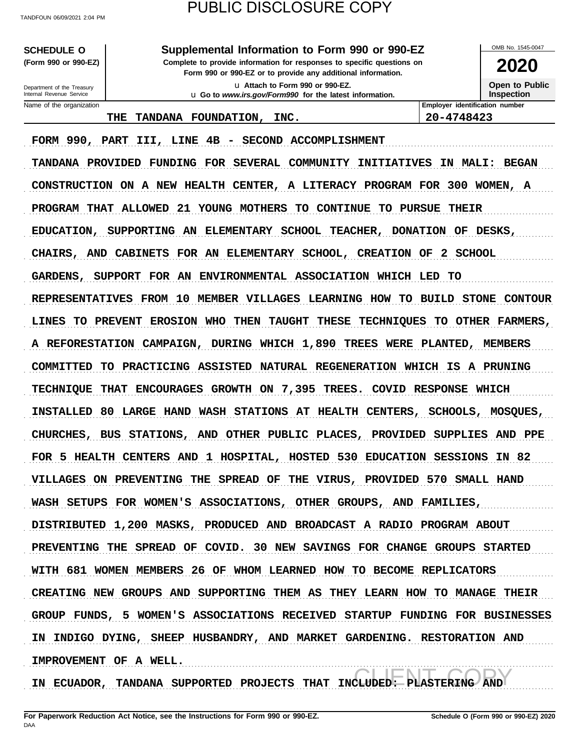**SCHEDULE O Supplemental Information to Form 990 or 990-EZ**

**Form 990 or 990-EZ or to provide any additional information. (Form 990 or 990-EZ) Complete to provide information for responses to specific questions on**

> u **Attach to Form 990 or 990-EZ.** u **Go to** *www.irs.gov/Form990* **for the latest information.**

**2020**

OMB No. 1545-0047

**Open to Public Inspection**

Name of the organization **Employer identification number Employer identification number** Internal Revenue Service Department of the Treasury

**THE TANDANA FOUNDATION, INC. 20-4748423**

FORM 990, PART III, LINE 4B - SECOND ACCOMPLISHMENT TANDANA PROVIDED FUNDING FOR SEVERAL COMMUNITY INITIATIVES IN MALI: BEGAN CONSTRUCTION ON A NEW HEALTH CENTER, A LITERACY PROGRAM FOR 300 WOMEN, A PROGRAM THAT ALLOWED 21 YOUNG MOTHERS TO CONTINUE TO PURSUE THEIR EDUCATION, SUPPORTING AN ELEMENTARY SCHOOL TEACHER, DONATION OF DESKS, CHAIRS, AND CABINETS FOR AN ELEMENTARY SCHOOL, CREATION OF 2 SCHOOL GARDENS, SUPPORT FOR AN ENVIRONMENTAL ASSOCIATION WHICH LED TO REPRESENTATIVES FROM 10 MEMBER VILLAGES LEARNING HOW TO BUILD STONE CONTOUR LINES TO PREVENT EROSION WHO THEN TAUGHT THESE TECHNIQUES TO OTHER FARMERS, A REFORESTATION CAMPAIGN, DURING WHICH 1,890 TREES WERE PLANTED, MEMBERS COMMITTED TO PRACTICING ASSISTED NATURAL REGENERATION WHICH IS A PRUNING TECHNIQUE THAT ENCOURAGES GROWTH ON 7,395 TREES. COVID RESPONSE WHICH INSTALLED 80 LARGE HAND WASH STATIONS AT HEALTH CENTERS, SCHOOLS, MOSQUES, CHURCHES, BUS STATIONS, AND OTHER PUBLIC PLACES, PROVIDED SUPPLIES AND PPE FOR 5 HEALTH CENTERS AND 1 HOSPITAL, HOSTED 530 EDUCATION SESSIONS IN 82 VILLAGES ON PREVENTING THE SPREAD OF THE VIRUS, PROVIDED 570 SMALL HAND WASH SETUPS FOR WOMEN'S ASSOCIATIONS, OTHER GROUPS, AND FAMILIES, DISTRIBUTED 1,200 MASKS, PRODUCED AND BROADCAST A RADIO PROGRAM ABOUT PREVENTING THE SPREAD OF COVID. 30 NEW SAVINGS FOR CHANGE GROUPS STARTED WITH 681 WOMEN MEMBERS 26 OF WHOM LEARNED HOW TO BECOME REPLICATORS CREATING NEW GROUPS AND SUPPORTING THEM AS THEY LEARN HOW TO MANAGE THEIR GROUP FUNDS, 5 WOMEN'S ASSOCIATIONS RECEIVED STARTUP FUNDING FOR BUSINESSES IN INDIGO DYING, SHEEP HUSBANDRY, AND MARKET GARDENING. RESTORATION AND IMPROVEMENT OF A WELL.

PNASTERING AND IN ECUADOR, TANDANA SUPPORTED PROJECTS THAT INCLUDED: PLASTERING AND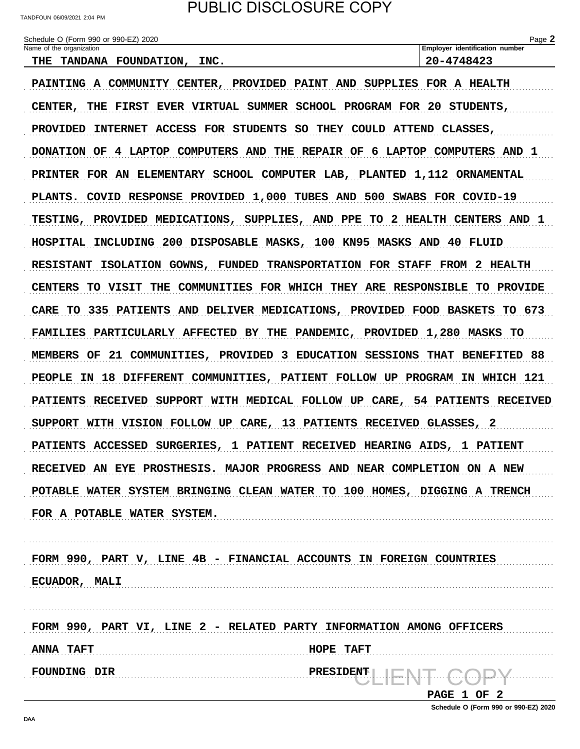TANDFOUN 06/09/2021 2:04 PM

Schedule O (Form 990 or 990-EZ) 2020

| Name of the organization<br>THE TANDANA FOUNDATION, INC.                    | Employer identification number<br>20-4748423 |
|-----------------------------------------------------------------------------|----------------------------------------------|
| PAINTING A COMMUNITY CENTER, PROVIDED PAINT AND SUPPLIES FOR A HEALTH       |                                              |
| CENTER, THE FIRST EVER VIRTUAL SUMMER SCHOOL PROGRAM FOR 20 STUDENTS,       |                                              |
| PROVIDED INTERNET ACCESS FOR STUDENTS SO THEY COULD ATTEND CLASSES,         |                                              |
| DONATION OF 4 LAPTOP COMPUTERS AND THE REPAIR OF 6 LAPTOP COMPUTERS AND 1   |                                              |
| PRINTER FOR AN ELEMENTARY SCHOOL COMPUTER LAB, PLANTED 1,112 ORNAMENTAL     |                                              |
| PLANTS. COVID RESPONSE PROVIDED 1,000 TUBES AND 500 SWABS FOR COVID-19      |                                              |
| TESTING, PROVIDED MEDICATIONS, SUPPLIES, AND PPE TO 2 HEALTH CENTERS AND 1  |                                              |
| HOSPITAL INCLUDING 200 DISPOSABLE MASKS, 100 KN95 MASKS AND 40 FLUID        |                                              |
| RESISTANT ISOLATION GOWNS, FUNDED TRANSPORTATION FOR STAFF FROM 2 HEALTH    |                                              |
| CENTERS TO VISIT THE COMMUNITIES FOR WHICH THEY ARE RESPONSIBLE TO PROVIDE  |                                              |
| CARE TO 335 PATIENTS AND DELIVER MEDICATIONS, PROVIDED FOOD BASKETS TO 673  |                                              |
| FAMILIES PARTICULARLY AFFECTED BY THE PANDEMIC, PROVIDED 1,280 MASKS TO     |                                              |
| MEMBERS OF 21 COMMUNITIES, PROVIDED 3 EDUCATION SESSIONS THAT BENEFITED 88  |                                              |
| PEOPLE IN 18 DIFFERENT COMMUNITIES, PATIENT FOLLOW UP PROGRAM IN WHICH 121  |                                              |
| PATIENTS RECEIVED SUPPORT WITH MEDICAL FOLLOW UP CARE, 54 PATIENTS RECEIVED |                                              |
| SUPPORT WITH VISION FOLLOW UP CARE, 13 PATIENTS RECEIVED GLASSES, 2         |                                              |
| PATIENTS ACCESSED SURGERIES, 1 PATIENT RECEIVED HEARING AIDS, 1 PATIENT     |                                              |
| RECEIVED AN EYE PROSTHESIS. MAJOR PROGRESS AND NEAR COMPLETION ON A NEW     |                                              |
| POTABLE WATER SYSTEM BRINGING CLEAN WATER TO 100 HOMES, DIGGING A TRENCH    |                                              |
| FOR A POTABLE WATER SYSTEM.                                                 |                                              |
|                                                                             |                                              |
| FORM 990, PART V, LINE 4B - FINANCIAL ACCOUNTS IN FOREIGN COUNTRIES         |                                              |
| <b>ECUADOR, MALI</b>                                                        |                                              |
|                                                                             |                                              |
| FORM 990, PART VI, LINE 2 - RELATED PARTY INFORMATION AMONG OFFICERS        |                                              |
| <b>ANNA TAFT</b>                                                            | HOPE TAFT                                    |
| <b>FOUNDING DIR</b><br>PRESIDENT                                            |                                              |
|                                                                             | PAGE 1 OF 2                                  |

Schedule O (Form 990 or 990-EZ) 2020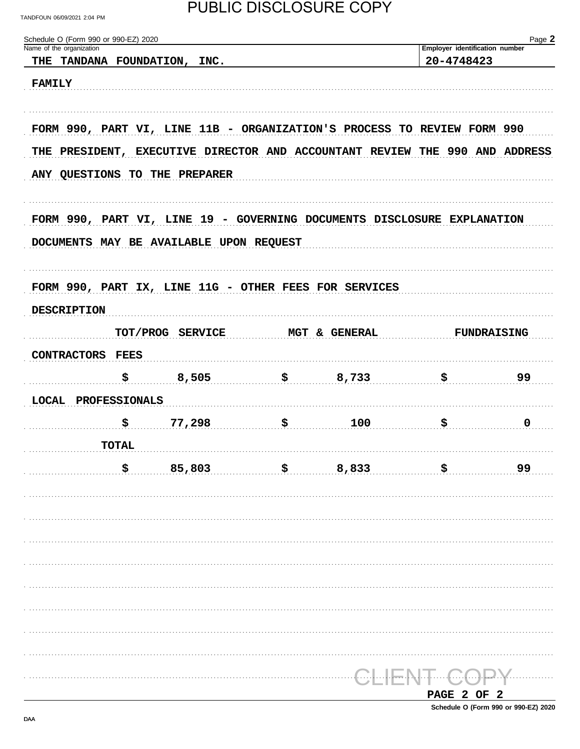### PUBLIC DISCLOSURE COPY

| Schedule O (Form 990 or 990-EZ) 2020<br>Name of the organization |              |                                                                             |               | Employer identification number | Page 2             |
|------------------------------------------------------------------|--------------|-----------------------------------------------------------------------------|---------------|--------------------------------|--------------------|
|                                                                  |              | THE TANDANA FOUNDATION, INC.                                                |               | 20-4748423                     |                    |
| <b>FAMILY</b>                                                    |              |                                                                             |               |                                |                    |
|                                                                  |              |                                                                             |               |                                |                    |
|                                                                  |              | FORM 990, PART VI, LINE 11B - ORGANIZATION'S PROCESS TO REVIEW FORM 990     |               |                                |                    |
|                                                                  |              | THE PRESIDENT, EXECUTIVE DIRECTOR AND ACCOUNTANT REVIEW THE 990 AND ADDRESS |               |                                |                    |
|                                                                  |              | ANY QUESTIONS TO THE PREPARER                                               |               |                                |                    |
|                                                                  |              | FORM 990, PART VI, LINE 19 - GOVERNING DOCUMENTS DISCLOSURE EXPLANATION     |               |                                |                    |
|                                                                  |              | DOCUMENTS MAY BE AVAILABLE UPON REQUEST                                     |               |                                |                    |
|                                                                  |              |                                                                             |               |                                |                    |
|                                                                  |              | FORM 990, PART IX, LINE 11G - OTHER FEES FOR SERVICES                       |               |                                |                    |
| <b>DESCRIPTION</b>                                               |              |                                                                             |               |                                |                    |
|                                                                  |              |                                                                             |               |                                |                    |
|                                                                  |              | TOT/PROG SERVICE                                                            | MGT & GENERAL |                                | <b>FUNDRAISING</b> |
| CONTRACTORS FEES                                                 |              |                                                                             |               |                                |                    |
|                                                                  | \$           | 8,505                                                                       | \$733         | \$                             | 99                 |
| LOCAL PROFESSIONALS                                              |              |                                                                             |               |                                |                    |
|                                                                  | \$           | 77,298                                                                      | \$<br>100     | \$                             | 0                  |
|                                                                  | <b>TOTAL</b> |                                                                             |               |                                |                    |
|                                                                  | Ŝ.           | 85,803                                                                      | \$<br>8,833   | \$                             | 99                 |
|                                                                  |              |                                                                             |               |                                |                    |
|                                                                  |              |                                                                             |               |                                |                    |
|                                                                  |              |                                                                             |               |                                |                    |
|                                                                  |              |                                                                             |               |                                |                    |
|                                                                  |              |                                                                             |               |                                |                    |
|                                                                  |              |                                                                             |               |                                |                    |
|                                                                  |              |                                                                             |               |                                |                    |
|                                                                  |              |                                                                             |               |                                |                    |
|                                                                  |              |                                                                             |               |                                |                    |
|                                                                  |              |                                                                             |               |                                |                    |
|                                                                  |              |                                                                             |               |                                |                    |
|                                                                  |              |                                                                             |               | PAGE 2 OF 2                    |                    |

Schedule O (Form 990 or 990-EZ) 2020